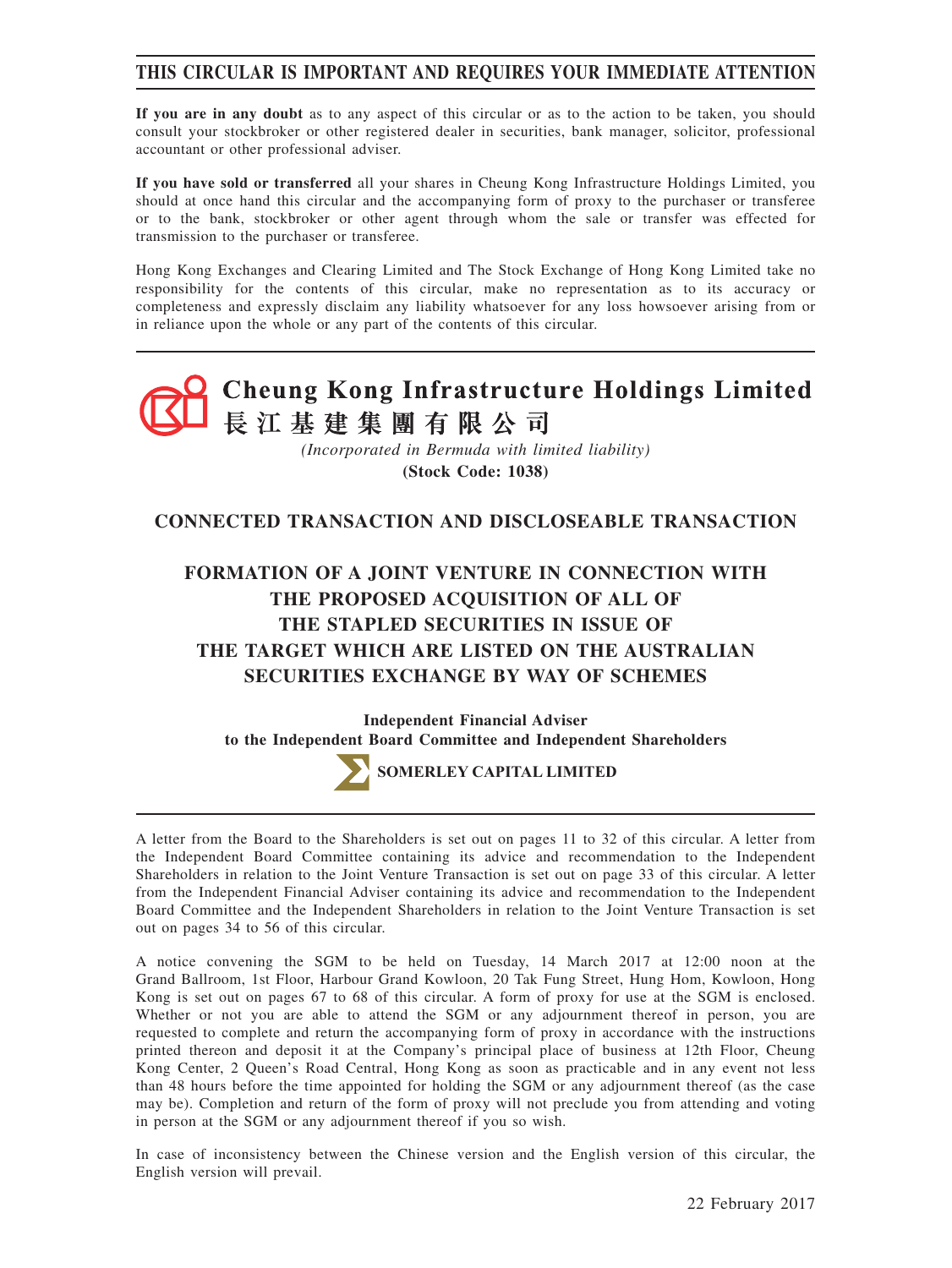# **THIS CIRCULAR IS IMPORTANT AND REQUIRES YOUR IMMEDIATE ATTENTION**

**If you are in any doubt** as to any aspect of this circular or as to the action to be taken, you should consult your stockbroker or other registered dealer in securities, bank manager, solicitor, professional accountant or other professional adviser.

**If you have sold or transferred** all your shares in Cheung Kong Infrastructure Holdings Limited, you should at once hand this circular and the accompanying form of proxy to the purchaser or transferee or to the bank, stockbroker or other agent through whom the sale or transfer was effected for transmission to the purchaser or transferee.

Hong Kong Exchanges and Clearing Limited and The Stock Exchange of Hong Kong Limited take no responsibility for the contents of this circular, make no representation as to its accuracy or completeness and expressly disclaim any liability whatsoever for any loss howsoever arising from or in reliance upon the whole or any part of the contents of this circular.



# **CONNECTED TRANSACTION AND DISCLOSEABLE TRANSACTION**

# **FORMATION OF A JOINT VENTURE IN CONNECTION WITH THE PROPOSED ACQUISITION OF ALL OF THE STAPLED SECURITIES IN ISSUE OF THE TARGET WHICH ARE LISTED ON THE AUSTRALIAN SECURITIES EXCHANGE BY WAY OF SCHEMES**

**Independent Financial Adviser to the Independent Board Committee and Independent Shareholders**



**SOMERLEY CAPITAL LIMITED**

A letter from the Board to the Shareholders is set out on pages 11 to 32 of this circular. A letter from the Independent Board Committee containing its advice and recommendation to the Independent Shareholders in relation to the Joint Venture Transaction is set out on page 33 of this circular. A letter from the Independent Financial Adviser containing its advice and recommendation to the Independent Board Committee and the Independent Shareholders in relation to the Joint Venture Transaction is set out on pages 34 to 56 of this circular.

A notice convening the SGM to be held on Tuesday, 14 March 2017 at 12:00 noon at the Grand Ballroom, 1st Floor, Harbour Grand Kowloon, 20 Tak Fung Street, Hung Hom, Kowloon, Hong Kong is set out on pages 67 to 68 of this circular. A form of proxy for use at the SGM is enclosed. Whether or not you are able to attend the SGM or any adjournment thereof in person, you are requested to complete and return the accompanying form of proxy in accordance with the instructions printed thereon and deposit it at the Company's principal place of business at 12th Floor, Cheung Kong Center, 2 Queen's Road Central, Hong Kong as soon as practicable and in any event not less than 48 hours before the time appointed for holding the SGM or any adjournment thereof (as the case may be). Completion and return of the form of proxy will not preclude you from attending and voting in person at the SGM or any adjournment thereof if you so wish.

In case of inconsistency between the Chinese version and the English version of this circular, the English version will prevail.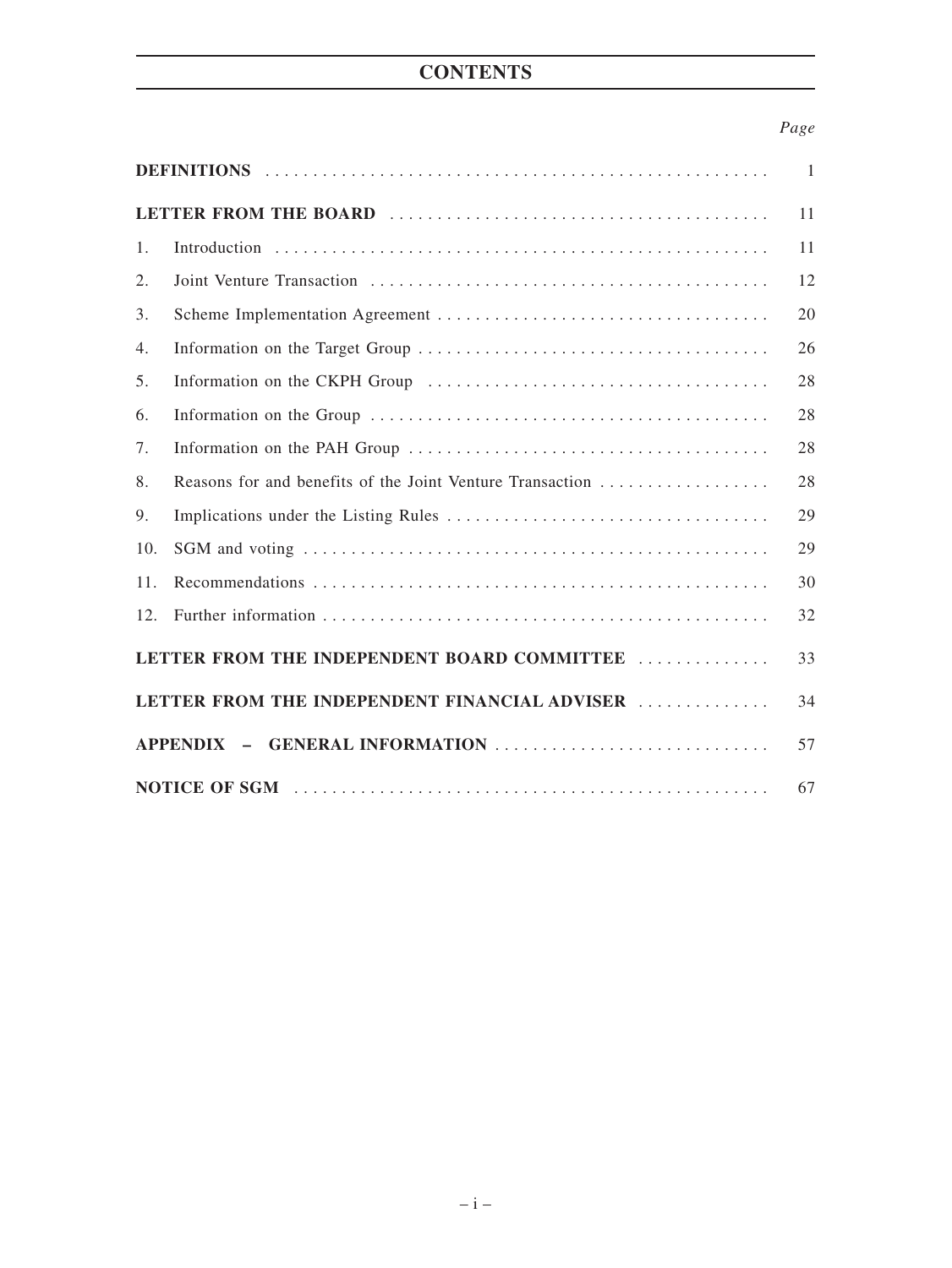# **CONTENTS**

# *Page*

| 1.                                                  |                                                           | 11 |  |
|-----------------------------------------------------|-----------------------------------------------------------|----|--|
| 2.                                                  |                                                           | 12 |  |
| 3.                                                  |                                                           | 20 |  |
| 4.                                                  |                                                           | 26 |  |
| 5.                                                  |                                                           | 28 |  |
| 6.                                                  |                                                           | 28 |  |
| 7.                                                  |                                                           | 28 |  |
| 8.                                                  | Reasons for and benefits of the Joint Venture Transaction | 28 |  |
| 9.                                                  |                                                           | 29 |  |
| 10.                                                 |                                                           | 29 |  |
| 11.                                                 |                                                           | 30 |  |
| 12.                                                 |                                                           | 32 |  |
| LETTER FROM THE INDEPENDENT BOARD COMMITTEE<br>33   |                                                           |    |  |
| LETTER FROM THE INDEPENDENT FINANCIAL ADVISER<br>34 |                                                           |    |  |
| APPENDIX - GENERAL INFORMATION                      |                                                           |    |  |
| 67                                                  |                                                           |    |  |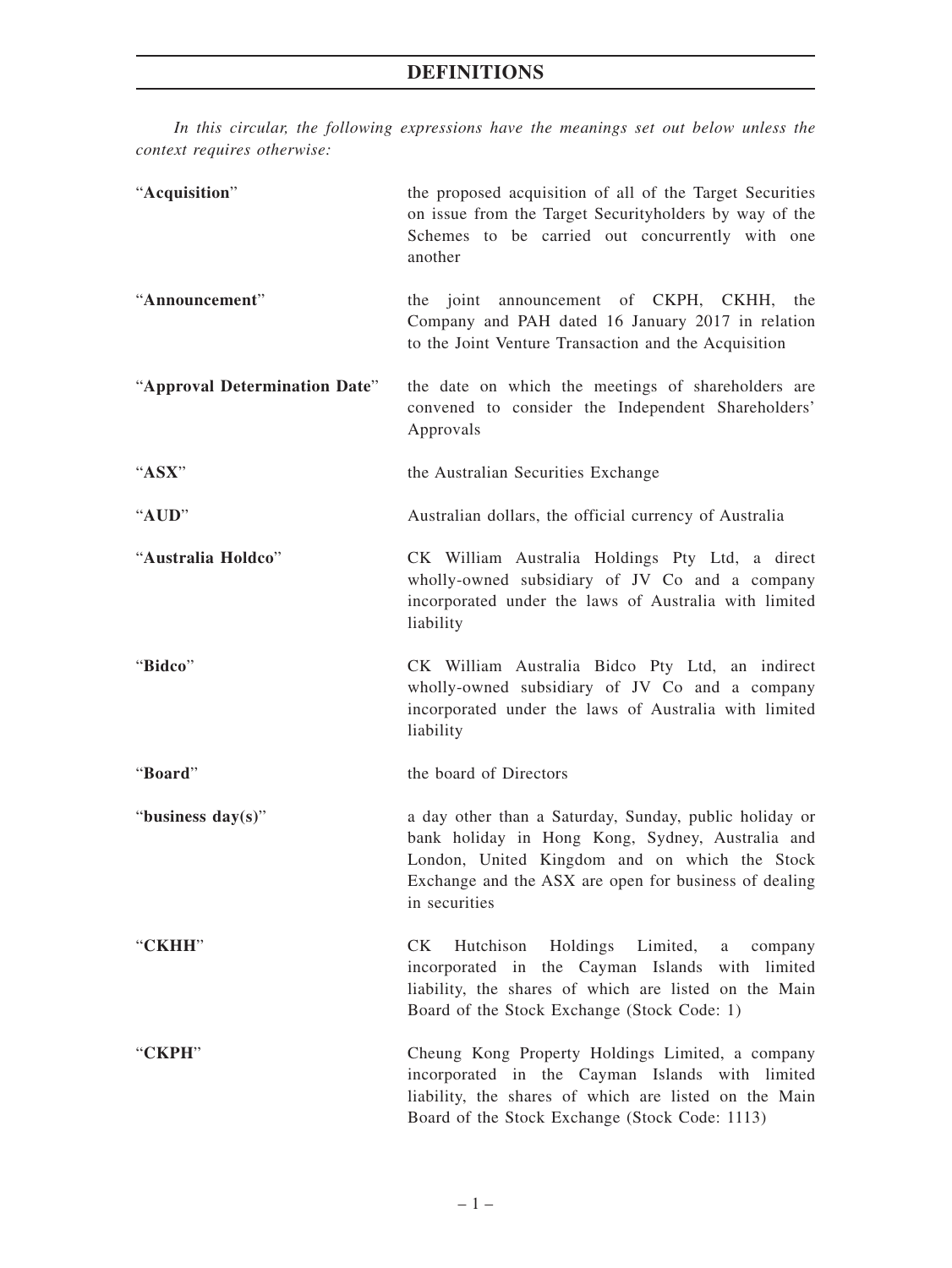*In this circular, the following expressions have the meanings set out below unless the context requires otherwise:*

| "Acquisition"                 | the proposed acquisition of all of the Target Securities<br>on issue from the Target Securityholders by way of the<br>Schemes to be carried out concurrently with one<br>another                                                      |  |
|-------------------------------|---------------------------------------------------------------------------------------------------------------------------------------------------------------------------------------------------------------------------------------|--|
| "Announcement"                | the joint announcement of CKPH, CKHH, the<br>Company and PAH dated 16 January 2017 in relation<br>to the Joint Venture Transaction and the Acquisition                                                                                |  |
| "Approval Determination Date" | the date on which the meetings of shareholders are<br>convened to consider the Independent Shareholders'<br>Approvals                                                                                                                 |  |
| " $\bf ASX$ "                 | the Australian Securities Exchange                                                                                                                                                                                                    |  |
| "AUD"                         | Australian dollars, the official currency of Australia                                                                                                                                                                                |  |
| "Australia Holdco"            | CK William Australia Holdings Pty Ltd, a direct<br>wholly-owned subsidiary of JV Co and a company<br>incorporated under the laws of Australia with limited<br>liability                                                               |  |
| "Bidco"                       | CK William Australia Bidco Pty Ltd, an indirect<br>wholly-owned subsidiary of JV Co and a company<br>incorporated under the laws of Australia with limited<br>liability                                                               |  |
| "Board"                       | the board of Directors                                                                                                                                                                                                                |  |
| "business day(s)"             | a day other than a Saturday, Sunday, public holiday or<br>bank holiday in Hong Kong, Sydney, Australia and<br>London, United Kingdom and on which the Stock<br>Exchange and the ASX are open for business of dealing<br>in securities |  |
| "CKHH"                        | CK<br>Holdings Limited,<br>Hutchison<br>a<br>company<br>incorporated in the Cayman Islands with limited<br>liability, the shares of which are listed on the Main<br>Board of the Stock Exchange (Stock Code: 1)                       |  |
| "CKPH"                        | Cheung Kong Property Holdings Limited, a company<br>incorporated in the Cayman Islands with limited<br>liability, the shares of which are listed on the Main<br>Board of the Stock Exchange (Stock Code: 1113)                        |  |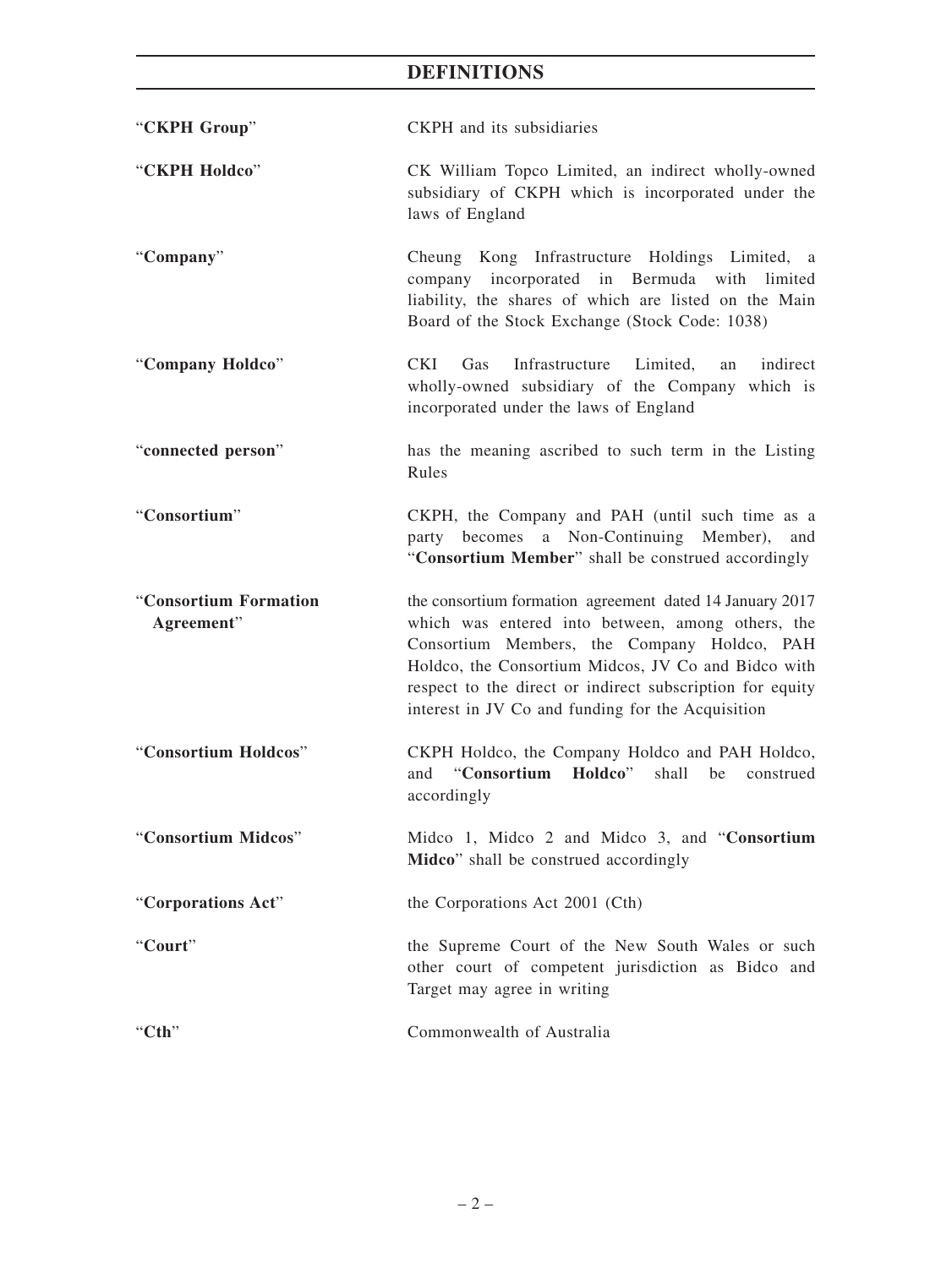| "CKPH Group"                        | CKPH and its subsidiaries                                                                                                                                                                                                                                                                                                             |  |
|-------------------------------------|---------------------------------------------------------------------------------------------------------------------------------------------------------------------------------------------------------------------------------------------------------------------------------------------------------------------------------------|--|
| "CKPH Holdco"                       | CK William Topco Limited, an indirect wholly-owned<br>subsidiary of CKPH which is incorporated under the<br>laws of England                                                                                                                                                                                                           |  |
| "Company"                           | Cheung Kong Infrastructure Holdings Limited, a<br>company incorporated in Bermuda with limited<br>liability, the shares of which are listed on the Main<br>Board of the Stock Exchange (Stock Code: 1038)                                                                                                                             |  |
| "Company Holdco"                    | CKI<br>Infrastructure<br>Limited,<br>indirect<br>Gas<br>an<br>wholly-owned subsidiary of the Company which is<br>incorporated under the laws of England                                                                                                                                                                               |  |
| "connected person"                  | has the meaning ascribed to such term in the Listing<br>Rules                                                                                                                                                                                                                                                                         |  |
| "Consortium"                        | CKPH, the Company and PAH (until such time as a<br>becomes a Non-Continuing Member),<br>party<br>and<br>"Consortium Member" shall be construed accordingly                                                                                                                                                                            |  |
| "Consortium Formation<br>Agreement" | the consortium formation agreement dated 14 January 2017<br>which was entered into between, among others, the<br>Consortium Members, the Company Holdco, PAH<br>Holdco, the Consortium Midcos, JV Co and Bidco with<br>respect to the direct or indirect subscription for equity<br>interest in JV Co and funding for the Acquisition |  |
| "Consortium Holdcos"                | CKPH Holdco, the Company Holdco and PAH Holdco,<br>"Consortium Holdco" shall be<br>and<br>construed<br>accordingly                                                                                                                                                                                                                    |  |
| "Consortium Midcos"                 | Midco 1, Midco 2 and Midco 3, and "Consortium<br>Midco" shall be construed accordingly                                                                                                                                                                                                                                                |  |
| "Corporations Act"                  | the Corporations Act 2001 (Cth)                                                                                                                                                                                                                                                                                                       |  |
| "Court"                             | the Supreme Court of the New South Wales or such<br>other court of competent jurisdiction as Bidco and<br>Target may agree in writing                                                                                                                                                                                                 |  |
| " $Cth$ "                           | Commonwealth of Australia                                                                                                                                                                                                                                                                                                             |  |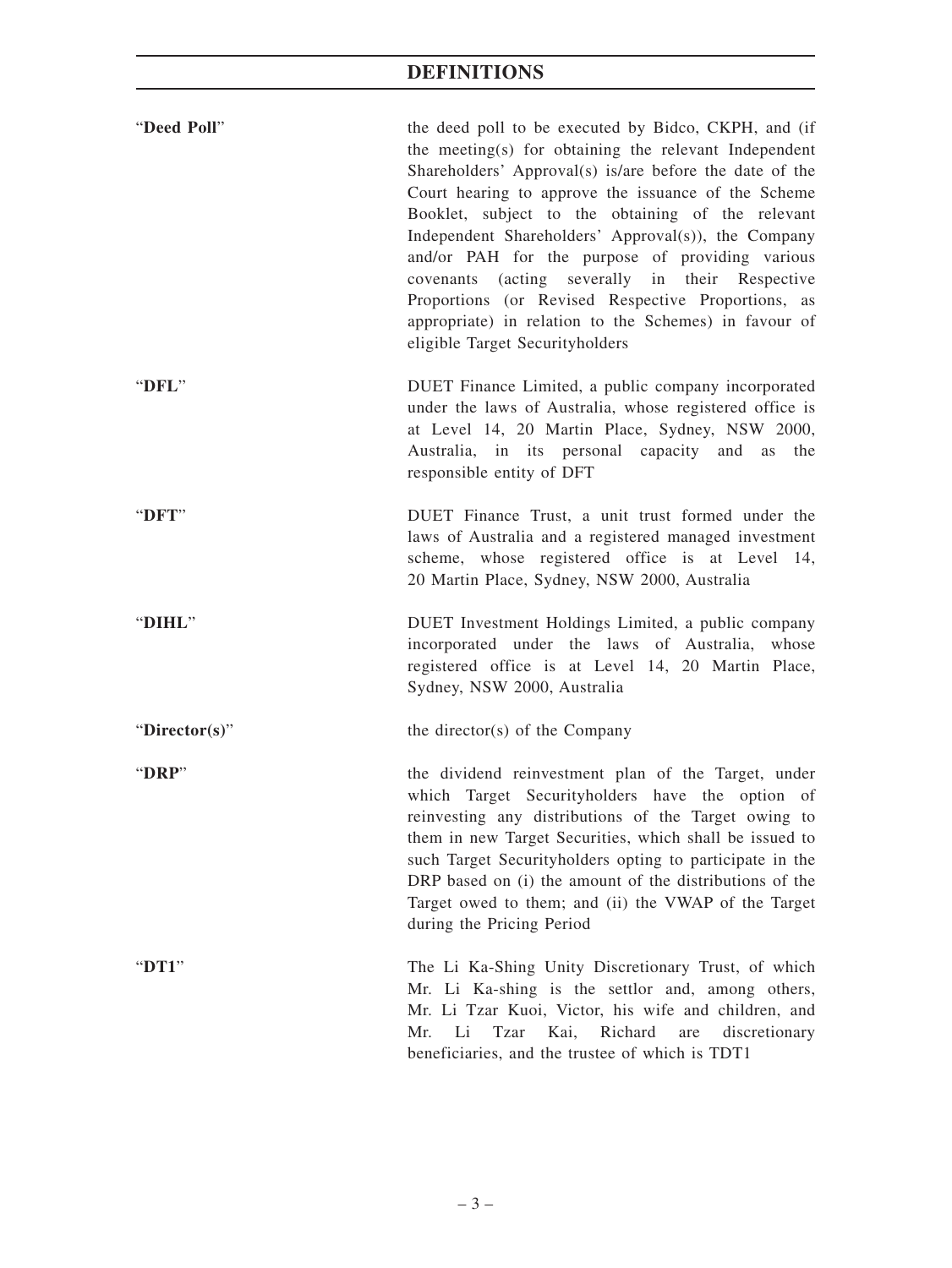| "Deed Poll"   | the deed poll to be executed by Bidco, CKPH, and (if<br>the meeting(s) for obtaining the relevant Independent<br>Shareholders' Approval(s) is/are before the date of the<br>Court hearing to approve the issuance of the Scheme<br>Booklet, subject to the obtaining of the relevant<br>Independent Shareholders' Approval(s)), the Company<br>and/or PAH for the purpose of providing various<br>covenants (acting severally in their Respective<br>Proportions (or Revised Respective Proportions, as<br>appropriate) in relation to the Schemes) in favour of<br>eligible Target Securityholders |
|---------------|-----------------------------------------------------------------------------------------------------------------------------------------------------------------------------------------------------------------------------------------------------------------------------------------------------------------------------------------------------------------------------------------------------------------------------------------------------------------------------------------------------------------------------------------------------------------------------------------------------|
| "DFL"         | DUET Finance Limited, a public company incorporated<br>under the laws of Australia, whose registered office is<br>at Level 14, 20 Martin Place, Sydney, NSW 2000,<br>Australia, in its personal capacity and as<br>the<br>responsible entity of DFT                                                                                                                                                                                                                                                                                                                                                 |
| "DFT"         | DUET Finance Trust, a unit trust formed under the<br>laws of Australia and a registered managed investment<br>scheme, whose registered office is at Level 14,<br>20 Martin Place, Sydney, NSW 2000, Australia                                                                                                                                                                                                                                                                                                                                                                                       |
| "DIHL"        | DUET Investment Holdings Limited, a public company<br>incorporated under the laws of Australia, whose<br>registered office is at Level 14, 20 Martin Place,<br>Sydney, NSW 2000, Australia                                                                                                                                                                                                                                                                                                                                                                                                          |
| "Director(s)" | the director(s) of the Company                                                                                                                                                                                                                                                                                                                                                                                                                                                                                                                                                                      |
| "DRP"         | the dividend reinvestment plan of the Target, under<br>which Target Securityholders have the option of<br>reinvesting any distributions of the Target owing to<br>them in new Target Securities, which shall be issued to<br>such Target Securityholders opting to participate in the<br>DRP based on (i) the amount of the distributions of the<br>Target owed to them; and (ii) the VWAP of the Target<br>during the Pricing Period                                                                                                                                                               |
| " $DT1"$      | The Li Ka-Shing Unity Discretionary Trust, of which<br>Mr. Li Ka-shing is the settlor and, among others,<br>Mr. Li Tzar Kuoi, Victor, his wife and children, and<br><b>Tzar</b><br>Kai,<br>Richard<br>Mr.<br>Li<br>discretionary<br>are<br>beneficiaries, and the trustee of which is TDT1                                                                                                                                                                                                                                                                                                          |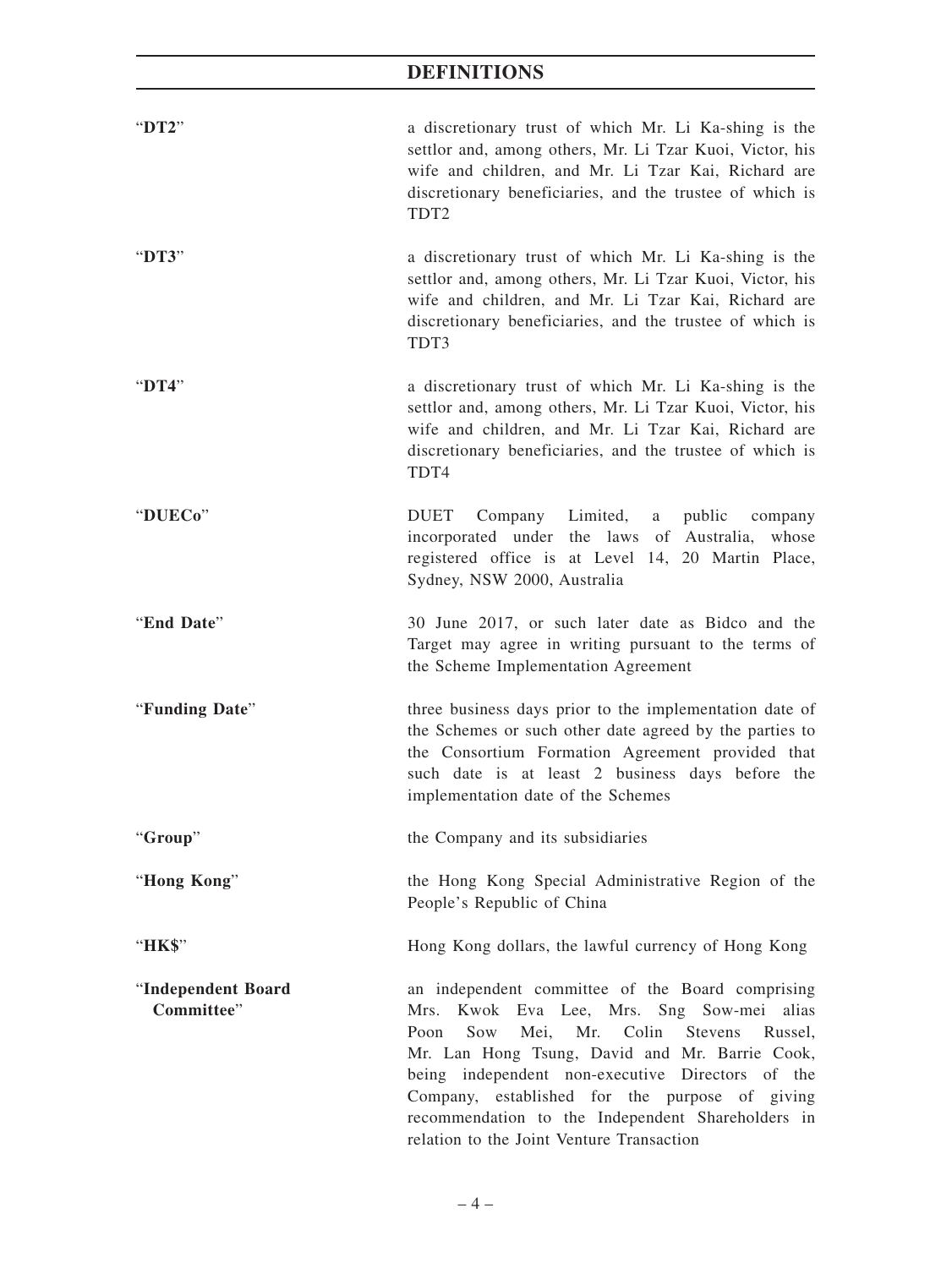| "DT2"                            | a discretionary trust of which Mr. Li Ka-shing is the<br>settlor and, among others, Mr. Li Tzar Kuoi, Victor, his<br>wife and children, and Mr. Li Tzar Kai, Richard are<br>discretionary beneficiaries, and the trustee of which is<br>TDT <sub>2</sub>                                                                                                                                                       |  |  |
|----------------------------------|----------------------------------------------------------------------------------------------------------------------------------------------------------------------------------------------------------------------------------------------------------------------------------------------------------------------------------------------------------------------------------------------------------------|--|--|
| "DT3"                            | a discretionary trust of which Mr. Li Ka-shing is the<br>settlor and, among others, Mr. Li Tzar Kuoi, Victor, his<br>wife and children, and Mr. Li Tzar Kai, Richard are<br>discretionary beneficiaries, and the trustee of which is<br>TDT3                                                                                                                                                                   |  |  |
| "DT4"                            | a discretionary trust of which Mr. Li Ka-shing is the<br>settlor and, among others, Mr. Li Tzar Kuoi, Victor, his<br>wife and children, and Mr. Li Tzar Kai, Richard are<br>discretionary beneficiaries, and the trustee of which is<br>TDT4                                                                                                                                                                   |  |  |
| "DUECo"                          | <b>DUET</b><br>Company Limited, a<br>public<br>company<br>incorporated under the laws of Australia, whose<br>registered office is at Level 14, 20 Martin Place,<br>Sydney, NSW 2000, Australia                                                                                                                                                                                                                 |  |  |
| "End Date"                       | 30 June 2017, or such later date as Bidco and the<br>Target may agree in writing pursuant to the terms of<br>the Scheme Implementation Agreement                                                                                                                                                                                                                                                               |  |  |
| "Funding Date"                   | three business days prior to the implementation date of<br>the Schemes or such other date agreed by the parties to<br>the Consortium Formation Agreement provided that<br>such date is at least 2 business days before the<br>implementation date of the Schemes                                                                                                                                               |  |  |
| "Group"                          | the Company and its subsidiaries                                                                                                                                                                                                                                                                                                                                                                               |  |  |
| "Hong Kong"                      | the Hong Kong Special Administrative Region of the<br>People's Republic of China                                                                                                                                                                                                                                                                                                                               |  |  |
| "НК\$"                           | Hong Kong dollars, the lawful currency of Hong Kong                                                                                                                                                                                                                                                                                                                                                            |  |  |
| "Independent Board<br>Committee" | an independent committee of the Board comprising<br>Mrs. Kwok Eva Lee, Mrs. Sng Sow-mei alias<br>Mei, Mr. Colin<br>Sow<br>Poon<br>Stevens<br>Russel,<br>Mr. Lan Hong Tsung, David and Mr. Barrie Cook,<br>being independent non-executive Directors of the<br>Company, established for the purpose of giving<br>recommendation to the Independent Shareholders in<br>relation to the Joint Venture Transaction |  |  |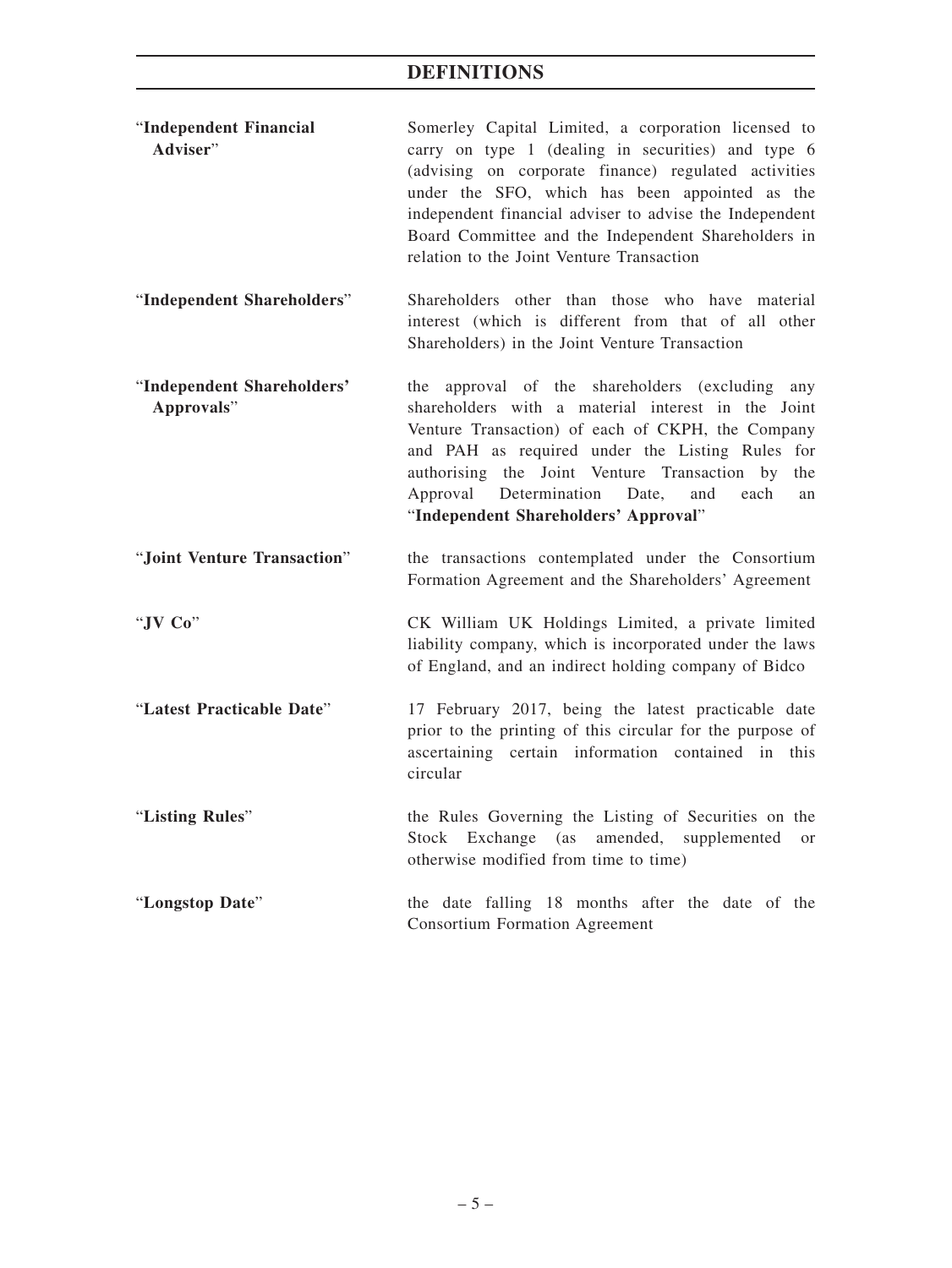| "Independent Financial" | Somerley Capital Limited, a corporation licensed to     |  |
|-------------------------|---------------------------------------------------------|--|
| Adviser"                | carry on type 1 (dealing in securities) and type 6      |  |
|                         | (advising on corporate finance) regulated activities    |  |
|                         | under the SFO, which has been appointed as the          |  |
|                         | independent financial adviser to advise the Independent |  |
|                         | Board Committee and the Independent Shareholders in     |  |
|                         | relation to the Joint Venture Transaction               |  |

"**Independent Shareholders**" Shareholders other than those who have material interest (which is different from that of all other Shareholders) in the Joint Venture Transaction

"**Independent Shareholders' Approvals**" the approval of the shareholders (excluding any shareholders with a material interest in the Joint Venture Transaction) of each of CKPH, the Company and PAH as required under the Listing Rules for authorising the Joint Venture Transaction by the Approval Determination Date, and each an "**Independent Shareholders' Approval**"

- "**Joint Venture Transaction**" the transactions contemplated under the Consortium Formation Agreement and the Shareholders' Agreement
- "**JV Co**" CK William UK Holdings Limited, a private limited liability company, which is incorporated under the laws of England, and an indirect holding company of Bidco

"**Latest Practicable Date**" 17 February 2017, being the latest practicable date prior to the printing of this circular for the purpose of ascertaining certain information contained in this circular

"**Listing Rules**" the Rules Governing the Listing of Securities on the Stock Exchange (as amended, supplemented or otherwise modified from time to time)

# "**Longstop Date**" the date falling 18 months after the date of the Consortium Formation Agreement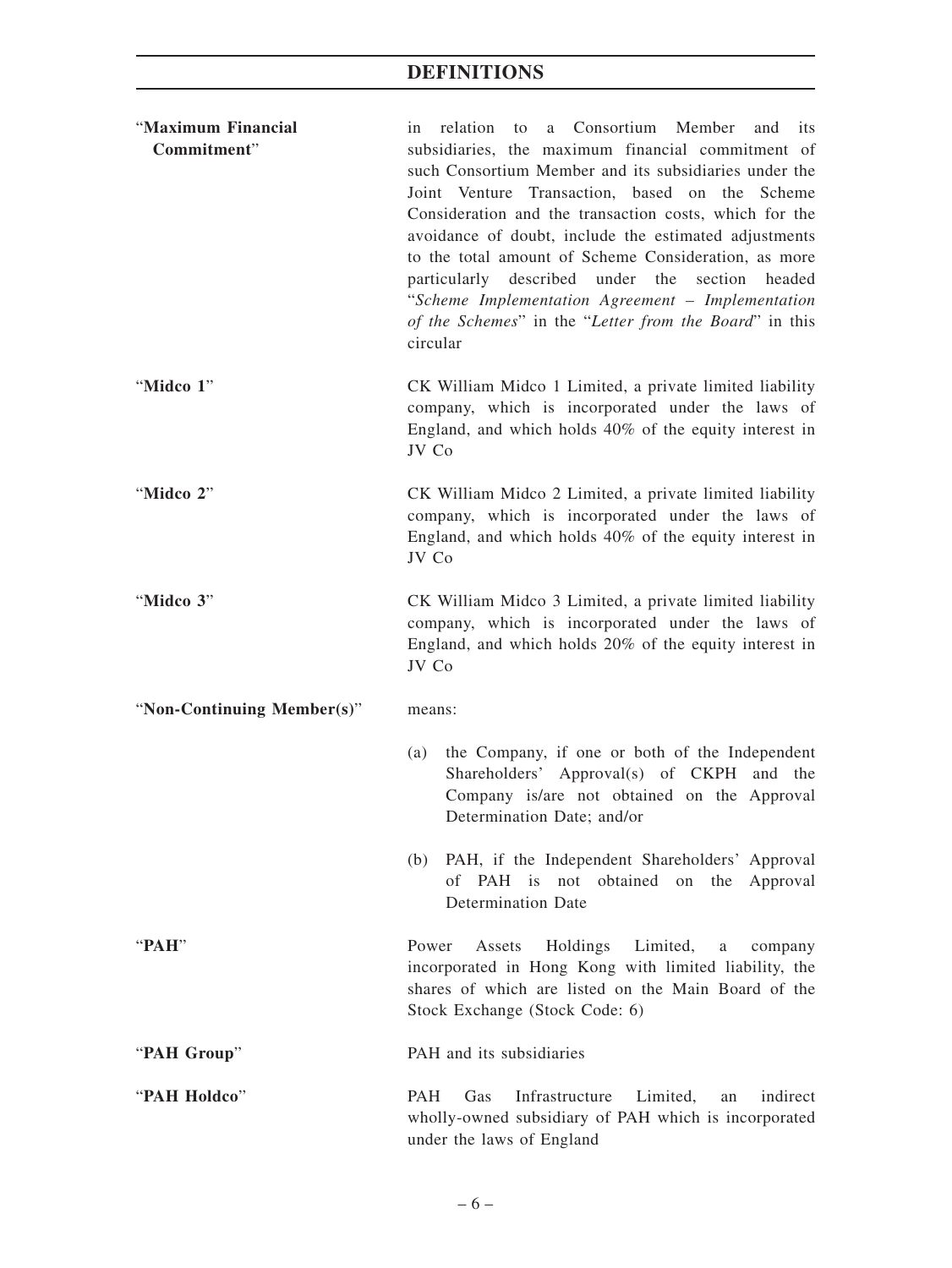| "Maximum Financial<br>Commitment" | a Consortium Member and its<br>in relation<br>to<br>subsidiaries, the maximum financial commitment of<br>such Consortium Member and its subsidiaries under the<br>Joint Venture Transaction, based on the Scheme<br>Consideration and the transaction costs, which for the<br>avoidance of doubt, include the estimated adjustments<br>to the total amount of Scheme Consideration, as more<br>described under the<br>section<br>particularly<br>headed<br>"Scheme Implementation Agreement - Implementation<br>of the Schemes" in the "Letter from the Board" in this |  |  |  |
|-----------------------------------|------------------------------------------------------------------------------------------------------------------------------------------------------------------------------------------------------------------------------------------------------------------------------------------------------------------------------------------------------------------------------------------------------------------------------------------------------------------------------------------------------------------------------------------------------------------------|--|--|--|
| "Midco 1"                         | circular<br>CK William Midco 1 Limited, a private limited liability<br>company, which is incorporated under the laws of<br>England, and which holds 40% of the equity interest in<br>JV Co                                                                                                                                                                                                                                                                                                                                                                             |  |  |  |
| "Midco 2"                         | CK William Midco 2 Limited, a private limited liability<br>company, which is incorporated under the laws of<br>England, and which holds 40% of the equity interest in<br>JV Co                                                                                                                                                                                                                                                                                                                                                                                         |  |  |  |
| "Midco 3"                         | CK William Midco 3 Limited, a private limited liability<br>company, which is incorporated under the laws of<br>England, and which holds 20% of the equity interest in<br>JV Co                                                                                                                                                                                                                                                                                                                                                                                         |  |  |  |
| "Non-Continuing Member(s)"        | means:                                                                                                                                                                                                                                                                                                                                                                                                                                                                                                                                                                 |  |  |  |
|                                   | the Company, if one or both of the Independent<br>(a)<br>Shareholders' Approval(s) of CKPH and the<br>Company is/are not obtained on the Approval<br>Determination Date; and/or                                                                                                                                                                                                                                                                                                                                                                                        |  |  |  |
|                                   | PAH, if the Independent Shareholders' Approval<br>(b)<br>PAH is<br>obtained<br>of<br>not<br>on the<br>Approval<br><b>Determination Date</b>                                                                                                                                                                                                                                                                                                                                                                                                                            |  |  |  |
| "PAH"                             | Power<br>Holdings<br>Limited,<br>Assets<br>company<br>a<br>incorporated in Hong Kong with limited liability, the<br>shares of which are listed on the Main Board of the<br>Stock Exchange (Stock Code: 6)                                                                                                                                                                                                                                                                                                                                                              |  |  |  |
| "PAH Group"                       | PAH and its subsidiaries                                                                                                                                                                                                                                                                                                                                                                                                                                                                                                                                               |  |  |  |
| "PAH Holdco"                      | <b>PAH</b><br>Infrastructure<br>indirect<br>Gas<br>Limited,<br>an<br>wholly-owned subsidiary of PAH which is incorporated<br>under the laws of England                                                                                                                                                                                                                                                                                                                                                                                                                 |  |  |  |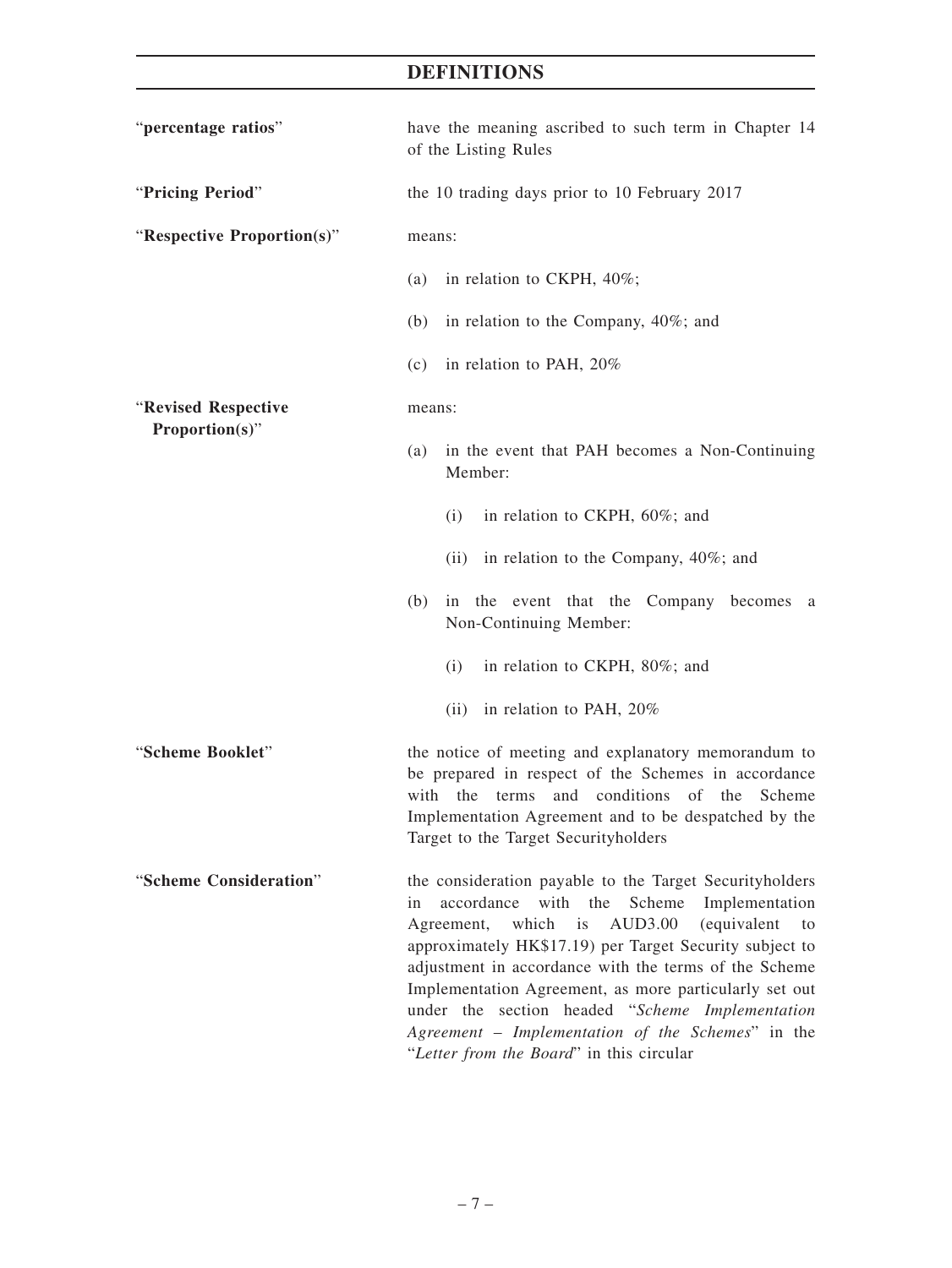| "percentage ratios"        | have the meaning ascribed to such term in Chapter 14<br>of the Listing Rules                                                                                                                                                                                                                                                                                                                                                                                                                              |  |  |
|----------------------------|-----------------------------------------------------------------------------------------------------------------------------------------------------------------------------------------------------------------------------------------------------------------------------------------------------------------------------------------------------------------------------------------------------------------------------------------------------------------------------------------------------------|--|--|
| "Pricing Period"           | the 10 trading days prior to 10 February 2017                                                                                                                                                                                                                                                                                                                                                                                                                                                             |  |  |
| "Respective Proportion(s)" | means:                                                                                                                                                                                                                                                                                                                                                                                                                                                                                                    |  |  |
|                            | (a) in relation to CKPH, $40\%$ ;                                                                                                                                                                                                                                                                                                                                                                                                                                                                         |  |  |
|                            | in relation to the Company, 40%; and<br>(b)                                                                                                                                                                                                                                                                                                                                                                                                                                                               |  |  |
|                            | (c) in relation to PAH, $20\%$                                                                                                                                                                                                                                                                                                                                                                                                                                                                            |  |  |
| "Revised Respective        | means:                                                                                                                                                                                                                                                                                                                                                                                                                                                                                                    |  |  |
| Proportion(s)"             | in the event that PAH becomes a Non-Continuing<br>(a)<br>Member:                                                                                                                                                                                                                                                                                                                                                                                                                                          |  |  |
|                            | (i)<br>in relation to CKPH, 60%; and                                                                                                                                                                                                                                                                                                                                                                                                                                                                      |  |  |
|                            | (ii) in relation to the Company, $40\%$ ; and                                                                                                                                                                                                                                                                                                                                                                                                                                                             |  |  |
|                            | in the event that the Company becomes a<br>(b)<br>Non-Continuing Member:                                                                                                                                                                                                                                                                                                                                                                                                                                  |  |  |
|                            | (i)<br>in relation to CKPH, 80%; and                                                                                                                                                                                                                                                                                                                                                                                                                                                                      |  |  |
|                            | (ii) in relation to PAH, $20\%$                                                                                                                                                                                                                                                                                                                                                                                                                                                                           |  |  |
| "Scheme Booklet"           | the notice of meeting and explanatory memorandum to<br>be prepared in respect of the Schemes in accordance<br>with the terms<br>and conditions of the Scheme<br>Implementation Agreement and to be despatched by the<br>Target to the Target Securityholders                                                                                                                                                                                                                                              |  |  |
| "Scheme Consideration"     | the consideration payable to the Target Securityholders<br>Scheme<br>accordance with the<br>Implementation<br>in<br>Agreement, which is<br>(equivalent<br>AUD3.00<br>to<br>approximately HK\$17.19) per Target Security subject to<br>adjustment in accordance with the terms of the Scheme<br>Implementation Agreement, as more particularly set out<br>under the section headed "Scheme Implementation<br>Agreement - Implementation of the Schemes" in the<br>"Letter from the Board" in this circular |  |  |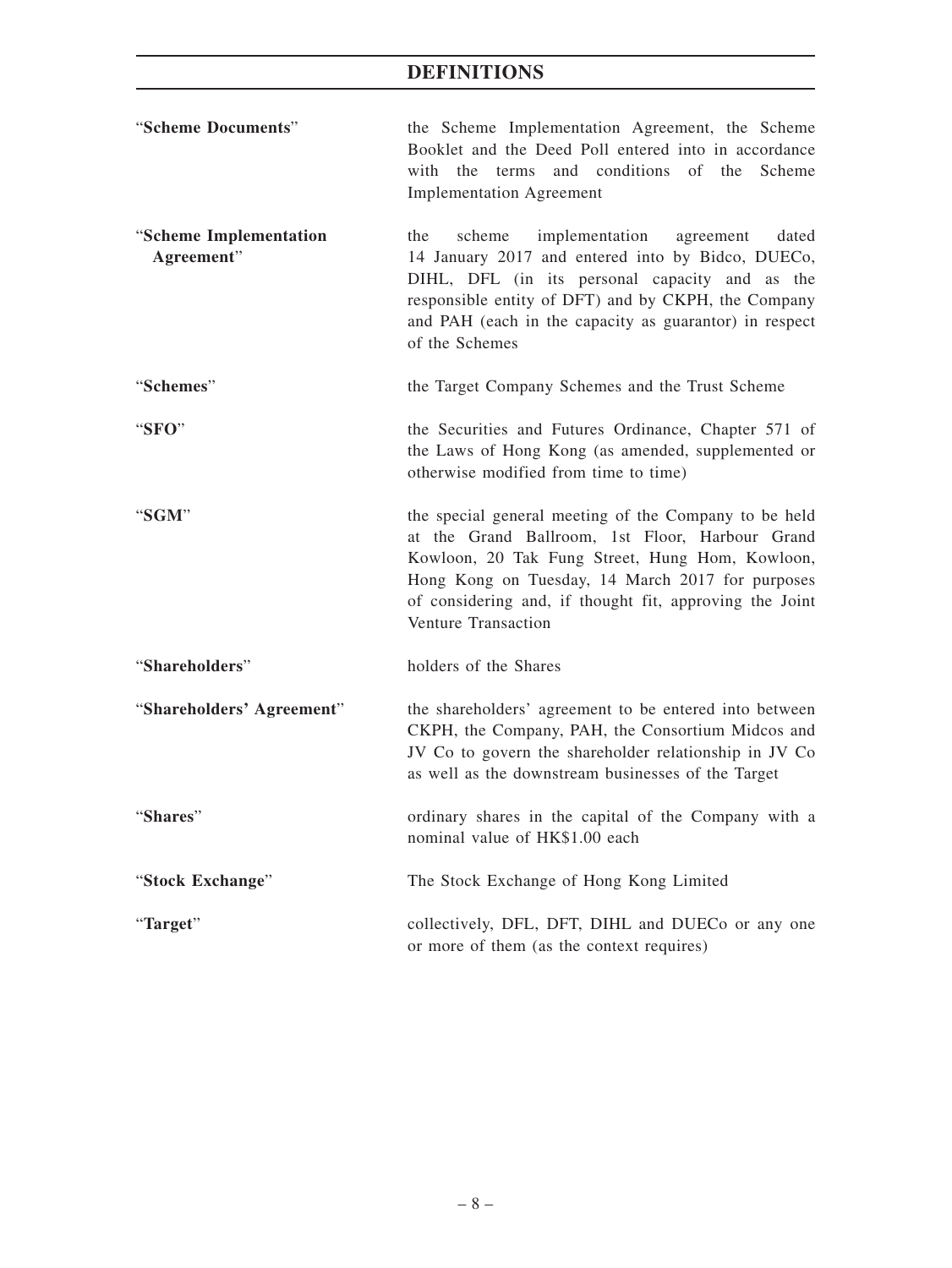| "Scheme Documents"                   | the Scheme Implementation Agreement, the Scheme<br>Booklet and the Deed Poll entered into in accordance<br>with the terms and conditions of the Scheme<br><b>Implementation Agreement</b>                                                                                                         |  |  |
|--------------------------------------|---------------------------------------------------------------------------------------------------------------------------------------------------------------------------------------------------------------------------------------------------------------------------------------------------|--|--|
| "Scheme Implementation<br>Agreement" | implementation<br>dated<br>the<br>scheme<br>agreement<br>14 January 2017 and entered into by Bidco, DUECo,<br>DIHL, DFL (in its personal capacity and as the<br>responsible entity of DFT) and by CKPH, the Company<br>and PAH (each in the capacity as guarantor) in respect<br>of the Schemes   |  |  |
| "Schemes"                            | the Target Company Schemes and the Trust Scheme                                                                                                                                                                                                                                                   |  |  |
| "SFO"                                | the Securities and Futures Ordinance, Chapter 571 of<br>the Laws of Hong Kong (as amended, supplemented or<br>otherwise modified from time to time)                                                                                                                                               |  |  |
| "SGM"                                | the special general meeting of the Company to be held<br>at the Grand Ballroom, 1st Floor, Harbour Grand<br>Kowloon, 20 Tak Fung Street, Hung Hom, Kowloon,<br>Hong Kong on Tuesday, 14 March 2017 for purposes<br>of considering and, if thought fit, approving the Joint<br>Venture Transaction |  |  |
| "Shareholders"                       | holders of the Shares                                                                                                                                                                                                                                                                             |  |  |
| "Shareholders' Agreement"            | the shareholders' agreement to be entered into between<br>CKPH, the Company, PAH, the Consortium Midcos and<br>JV Co to govern the shareholder relationship in JV Co<br>as well as the downstream businesses of the Target                                                                        |  |  |
| "Shares"                             | ordinary shares in the capital of the Company with a<br>nominal value of HK\$1.00 each                                                                                                                                                                                                            |  |  |
| "Stock Exchange"                     | The Stock Exchange of Hong Kong Limited                                                                                                                                                                                                                                                           |  |  |
| "Target"                             | collectively, DFL, DFT, DIHL and DUECo or any one<br>or more of them (as the context requires)                                                                                                                                                                                                    |  |  |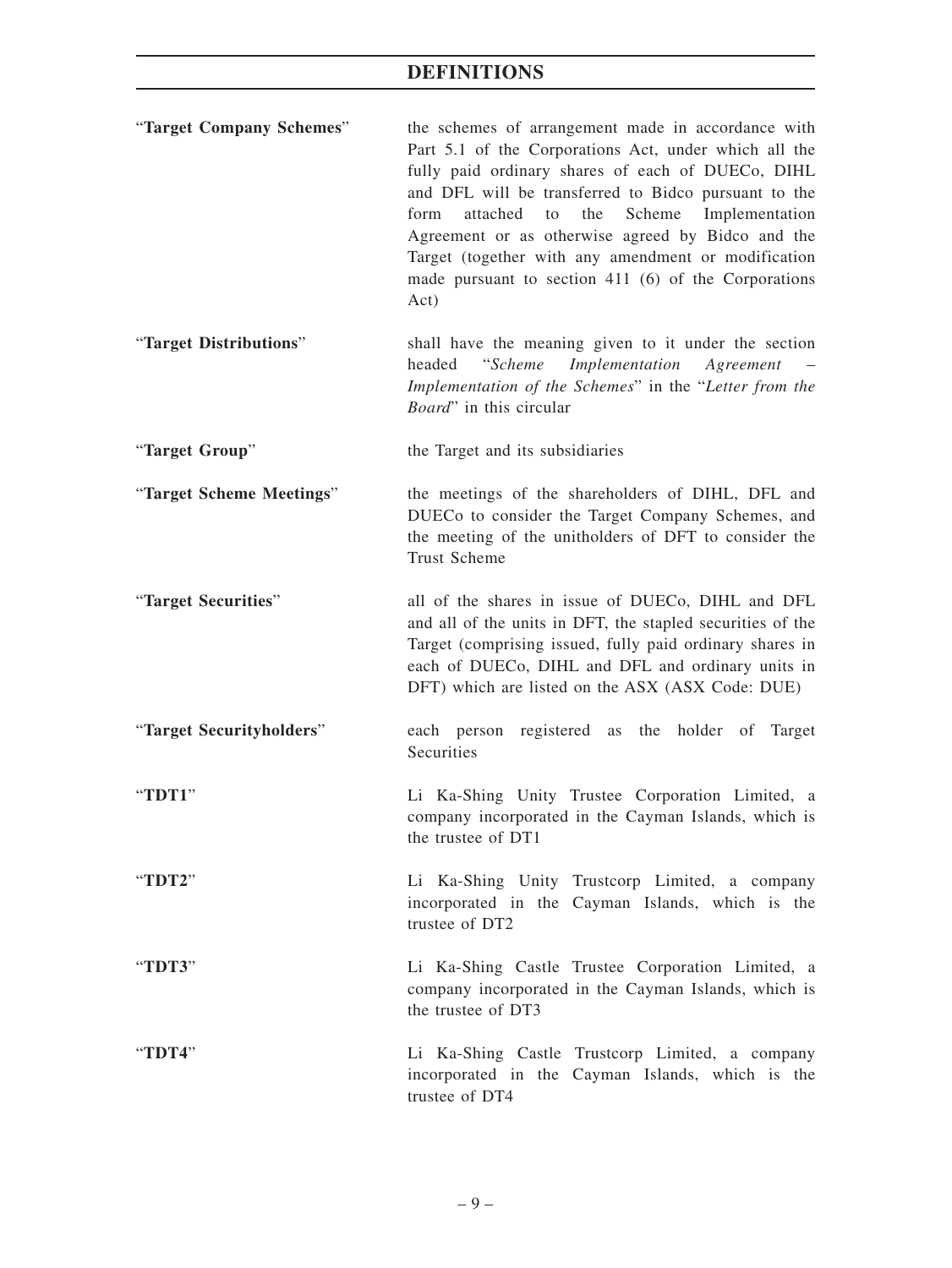| "Target Company Schemes" | the schemes of arrangement made in accordance with<br>Part 5.1 of the Corporations Act, under which all the<br>fully paid ordinary shares of each of DUECo, DIHL<br>and DFL will be transferred to Bidco pursuant to the<br>Scheme<br>the<br>Implementation<br>form<br>attached<br>to<br>Agreement or as otherwise agreed by Bidco and the<br>Target (together with any amendment or modification<br>made pursuant to section 411 $(6)$ of the Corporations<br>Act) |
|--------------------------|---------------------------------------------------------------------------------------------------------------------------------------------------------------------------------------------------------------------------------------------------------------------------------------------------------------------------------------------------------------------------------------------------------------------------------------------------------------------|
| "Target Distributions"   | shall have the meaning given to it under the section<br>Implementation Agreement<br>headed<br><i>"Scheme</i><br>Implementation of the Schemes" in the "Letter from the<br><i>Board</i> " in this circular                                                                                                                                                                                                                                                           |
| "Target Group"           | the Target and its subsidiaries                                                                                                                                                                                                                                                                                                                                                                                                                                     |
| "Target Scheme Meetings" | the meetings of the shareholders of DIHL, DFL and<br>DUECo to consider the Target Company Schemes, and<br>the meeting of the unitholders of DFT to consider the<br><b>Trust Scheme</b>                                                                                                                                                                                                                                                                              |
| "Target Securities"      | all of the shares in issue of DUECo, DIHL and DFL<br>and all of the units in DFT, the stapled securities of the<br>Target (comprising issued, fully paid ordinary shares in<br>each of DUECo, DIHL and DFL and ordinary units in<br>DFT) which are listed on the ASX (ASX Code: DUE)                                                                                                                                                                                |
| "Target Securityholders" | each person registered as the holder of Target<br>Securities                                                                                                                                                                                                                                                                                                                                                                                                        |
| "TDT1"                   | Li Ka-Shing Unity Trustee Corporation Limited, a<br>company incorporated in the Cayman Islands, which is<br>the trustee of DT1                                                                                                                                                                                                                                                                                                                                      |
| "TDT2"                   | Li Ka-Shing Unity Trustcorp Limited, a company<br>incorporated in the Cayman Islands, which is the<br>trustee of DT2                                                                                                                                                                                                                                                                                                                                                |
| "TDT3"                   | Li Ka-Shing Castle Trustee Corporation Limited, a<br>company incorporated in the Cayman Islands, which is<br>the trustee of DT3                                                                                                                                                                                                                                                                                                                                     |
| "TDT4"                   | Li Ka-Shing Castle Trustcorp Limited, a company<br>incorporated in the Cayman Islands, which is the<br>trustee of DT4                                                                                                                                                                                                                                                                                                                                               |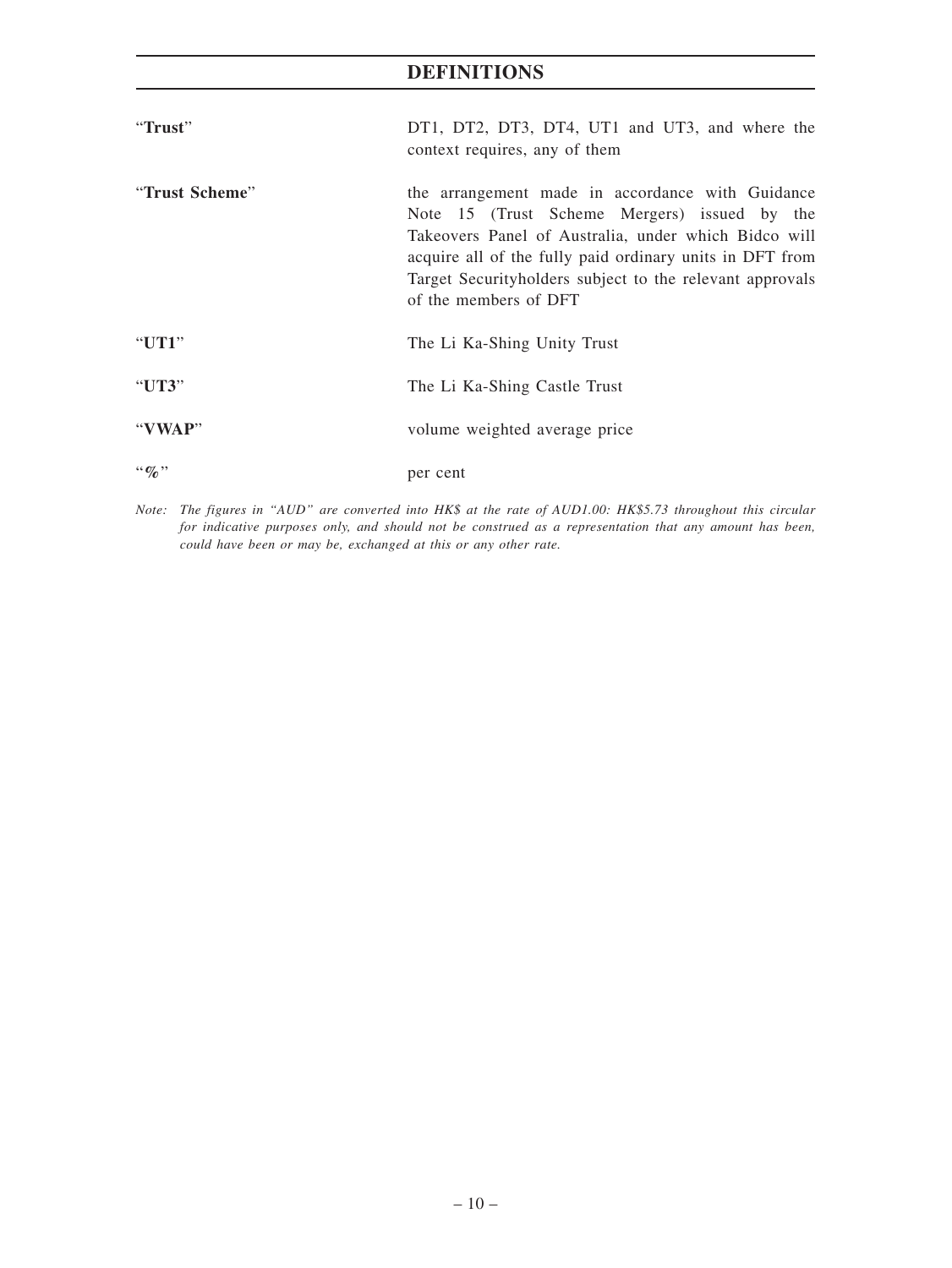| "Trust"                       | DT1, DT2, DT3, DT4, UT1 and UT3, and where the<br>context requires, any of them                                                                                                                                                                                                                            |
|-------------------------------|------------------------------------------------------------------------------------------------------------------------------------------------------------------------------------------------------------------------------------------------------------------------------------------------------------|
| "Trust Scheme"                | the arrangement made in accordance with Guidance<br>Note 15 (Trust Scheme Mergers) issued by the<br>Takeovers Panel of Australia, under which Bidco will<br>acquire all of the fully paid ordinary units in DFT from<br>Target Security holders subject to the relevant approvals<br>of the members of DFT |
| "UT1"                         | The Li Ka-Shing Unity Trust                                                                                                                                                                                                                                                                                |
| "UT3"                         | The Li Ka-Shing Castle Trust                                                                                                                                                                                                                                                                               |
| "VWAP"                        | volume weighted average price                                                                                                                                                                                                                                                                              |
| $\cdot \cdot \mathcal{Q}_0$ " | per cent                                                                                                                                                                                                                                                                                                   |

*Note: The figures in "AUD" are converted into HK\$ at the rate of AUD1.00: HK\$5.73 throughout this circular for indicative purposes only, and should not be construed as a representation that any amount has been, could have been or may be, exchanged at this or any other rate.*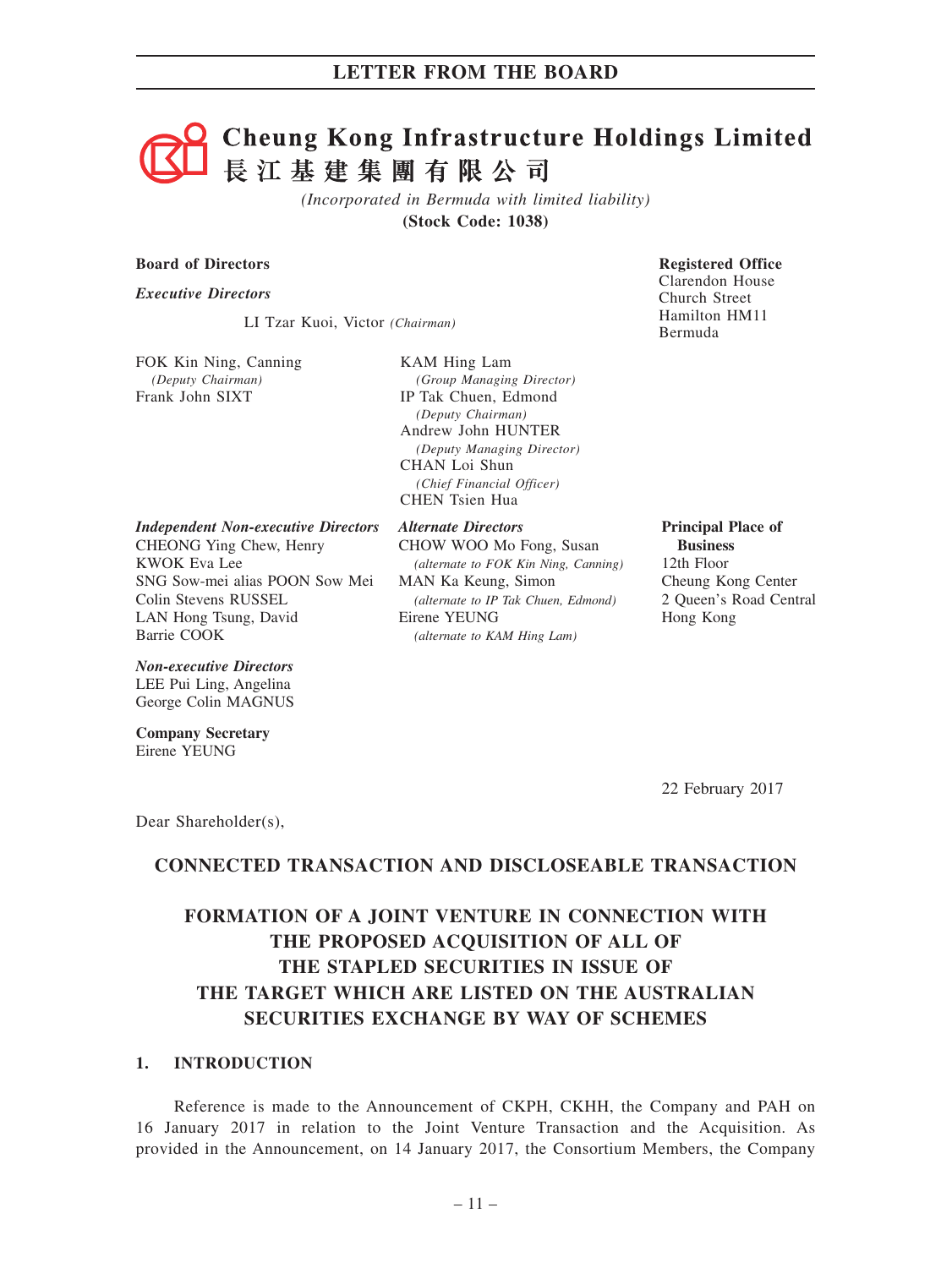# **Cheung Kong Infrastructure Holdings Limited** 長江基建集團有限公司

*(Incorporated in Bermuda with limited liability)* **(Stock Code: 1038)**

#### **Board of Directors Board of Directors Registered Office**

*Executive Directors*

LI Tzar Kuoi, Victor *(Chairman)*

FOK Kin Ning, Canning *(Deputy Chairman)* Frank John SIXT

KAM Hing Lam *(Group Managing Director)* IP Tak Chuen, Edmond *(Deputy Chairman)* Andrew John HUNTER *(Deputy Managing Director)* CHAN Loi Shun *(Chief Financial Officer)* CHEN Tsien Hua

*Independent Non-executive Directors*

CHEONG Ying Chew, Henry KWOK Eva Lee SNG Sow-mei alias POON Sow Mei Colin Stevens RUSSEL LAN Hong Tsung, David Barrie COOK

#### *Non-executive Directors* LEE Pui Ling, Angelina

George Colin MAGNUS

**Company Secretary** Eirene YEUNG

*Alternate Directors* CHOW WOO Mo Fong, Susan *(alternate to FOK Kin Ning, Canning)* MAN Ka Keung, Simon *(alternate to IP Tak Chuen, Edmond)* Eirene YEUNG *(alternate to KAM Hing Lam)*

Clarendon House Church Street Hamilton HM11 Bermuda

**Principal Place of Business** 12th Floor Cheung Kong Center 2 Queen's Road Central

Hong Kong

22 February 2017

Dear Shareholder(s),

# **CONNECTED TRANSACTION AND DISCLOSEABLE TRANSACTION**

# **FORMATION OF A JOINT VENTURE IN CONNECTION WITH THE PROPOSED ACQUISITION OF ALL OF THE STAPLED SECURITIES IN ISSUE OF THE TARGET WHICH ARE LISTED ON THE AUSTRALIAN SECURITIES EXCHANGE BY WAY OF SCHEMES**

## **1. INTRODUCTION**

Reference is made to the Announcement of CKPH, CKHH, the Company and PAH on 16 January 2017 in relation to the Joint Venture Transaction and the Acquisition. As provided in the Announcement, on 14 January 2017, the Consortium Members, the Company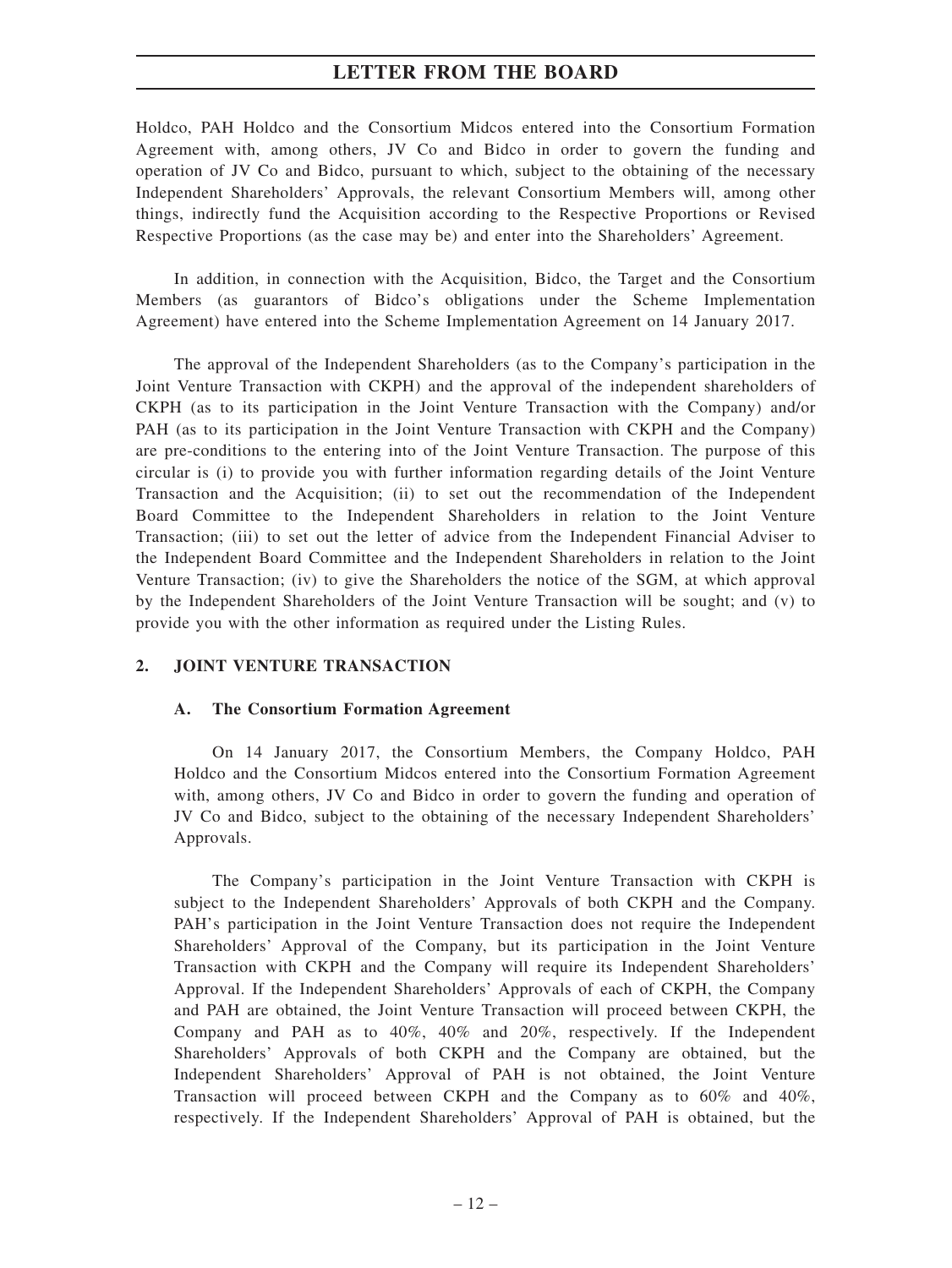Holdco, PAH Holdco and the Consortium Midcos entered into the Consortium Formation Agreement with, among others, JV Co and Bidco in order to govern the funding and operation of JV Co and Bidco, pursuant to which, subject to the obtaining of the necessary Independent Shareholders' Approvals, the relevant Consortium Members will, among other things, indirectly fund the Acquisition according to the Respective Proportions or Revised Respective Proportions (as the case may be) and enter into the Shareholders' Agreement.

In addition, in connection with the Acquisition, Bidco, the Target and the Consortium Members (as guarantors of Bidco's obligations under the Scheme Implementation Agreement) have entered into the Scheme Implementation Agreement on 14 January 2017.

The approval of the Independent Shareholders (as to the Company's participation in the Joint Venture Transaction with CKPH) and the approval of the independent shareholders of CKPH (as to its participation in the Joint Venture Transaction with the Company) and/or PAH (as to its participation in the Joint Venture Transaction with CKPH and the Company) are pre-conditions to the entering into of the Joint Venture Transaction. The purpose of this circular is (i) to provide you with further information regarding details of the Joint Venture Transaction and the Acquisition; (ii) to set out the recommendation of the Independent Board Committee to the Independent Shareholders in relation to the Joint Venture Transaction; (iii) to set out the letter of advice from the Independent Financial Adviser to the Independent Board Committee and the Independent Shareholders in relation to the Joint Venture Transaction; (iv) to give the Shareholders the notice of the SGM, at which approval by the Independent Shareholders of the Joint Venture Transaction will be sought; and (v) to provide you with the other information as required under the Listing Rules.

# **2. JOINT VENTURE TRANSACTION**

#### **A. The Consortium Formation Agreement**

On 14 January 2017, the Consortium Members, the Company Holdco, PAH Holdco and the Consortium Midcos entered into the Consortium Formation Agreement with, among others, JV Co and Bidco in order to govern the funding and operation of JV Co and Bidco, subject to the obtaining of the necessary Independent Shareholders' Approvals.

The Company's participation in the Joint Venture Transaction with CKPH is subject to the Independent Shareholders' Approvals of both CKPH and the Company. PAH's participation in the Joint Venture Transaction does not require the Independent Shareholders' Approval of the Company, but its participation in the Joint Venture Transaction with CKPH and the Company will require its Independent Shareholders' Approval. If the Independent Shareholders' Approvals of each of CKPH, the Company and PAH are obtained, the Joint Venture Transaction will proceed between CKPH, the Company and PAH as to 40%, 40% and 20%, respectively. If the Independent Shareholders' Approvals of both CKPH and the Company are obtained, but the Independent Shareholders' Approval of PAH is not obtained, the Joint Venture Transaction will proceed between CKPH and the Company as to 60% and 40%, respectively. If the Independent Shareholders' Approval of PAH is obtained, but the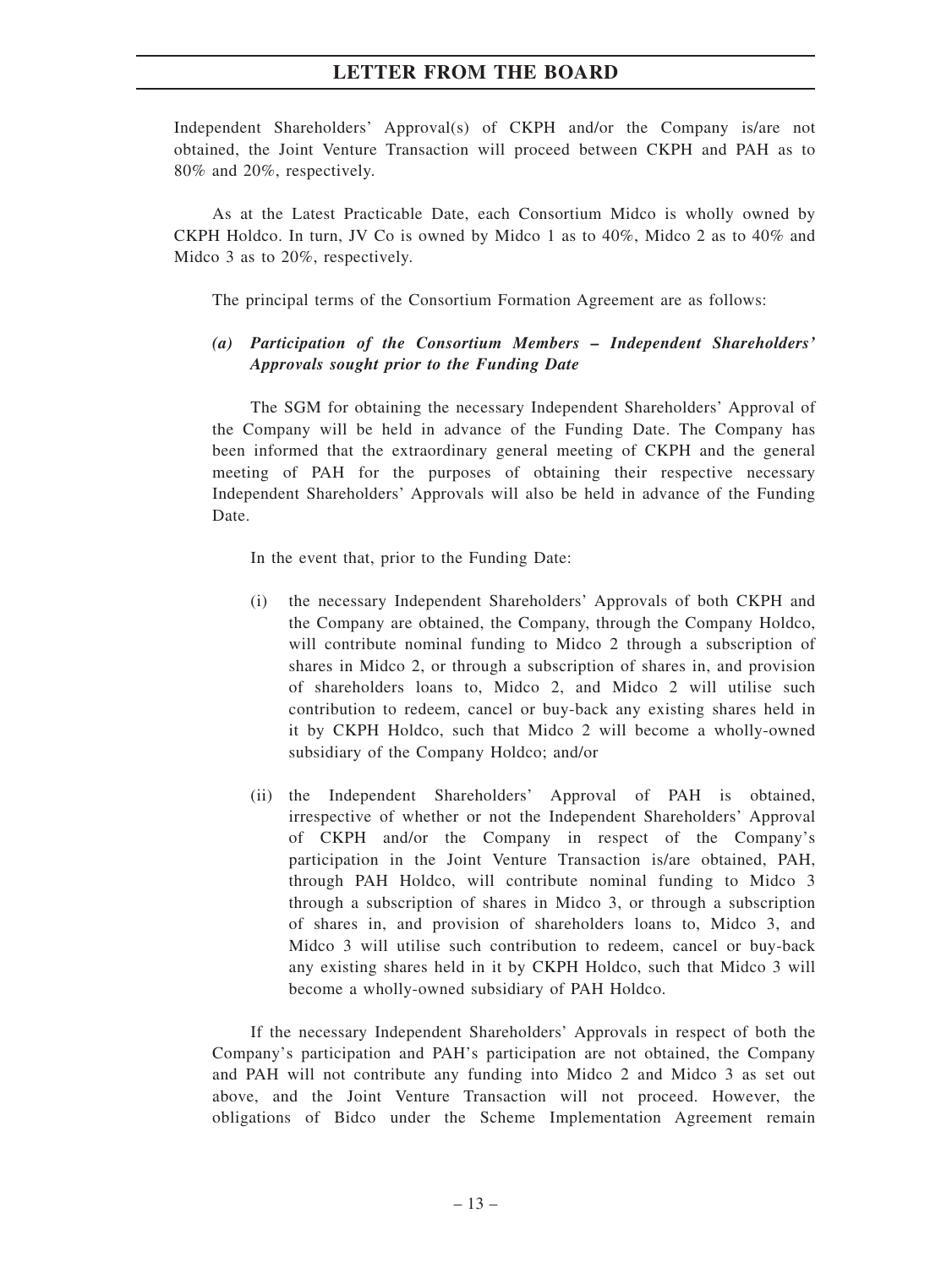Independent Shareholders' Approval(s) of CKPH and/or the Company is/are not obtained, the Joint Venture Transaction will proceed between CKPH and PAH as to 80% and 20%, respectively.

As at the Latest Practicable Date, each Consortium Midco is wholly owned by CKPH Holdco. In turn, JV Co is owned by Midco 1 as to 40%, Midco 2 as to 40% and Midco 3 as to 20%, respectively.

The principal terms of the Consortium Formation Agreement are as follows:

# *(a) Participation of the Consortium Members – Independent Shareholders' Approvals sought prior to the Funding Date*

The SGM for obtaining the necessary Independent Shareholders' Approval of the Company will be held in advance of the Funding Date. The Company has been informed that the extraordinary general meeting of CKPH and the general meeting of PAH for the purposes of obtaining their respective necessary Independent Shareholders' Approvals will also be held in advance of the Funding Date.

In the event that, prior to the Funding Date:

- (i) the necessary Independent Shareholders' Approvals of both CKPH and the Company are obtained, the Company, through the Company Holdco, will contribute nominal funding to Midco 2 through a subscription of shares in Midco 2, or through a subscription of shares in, and provision of shareholders loans to, Midco 2, and Midco 2 will utilise such contribution to redeem, cancel or buy-back any existing shares held in it by CKPH Holdco, such that Midco 2 will become a wholly-owned subsidiary of the Company Holdco; and/or
- (ii) the Independent Shareholders' Approval of PAH is obtained, irrespective of whether or not the Independent Shareholders' Approval of CKPH and/or the Company in respect of the Company's participation in the Joint Venture Transaction is/are obtained, PAH, through PAH Holdco, will contribute nominal funding to Midco 3 through a subscription of shares in Midco 3, or through a subscription of shares in, and provision of shareholders loans to, Midco 3, and Midco 3 will utilise such contribution to redeem, cancel or buy-back any existing shares held in it by CKPH Holdco, such that Midco 3 will become a wholly-owned subsidiary of PAH Holdco.

If the necessary Independent Shareholders' Approvals in respect of both the Company's participation and PAH's participation are not obtained, the Company and PAH will not contribute any funding into Midco 2 and Midco 3 as set out above, and the Joint Venture Transaction will not proceed. However, the obligations of Bidco under the Scheme Implementation Agreement remain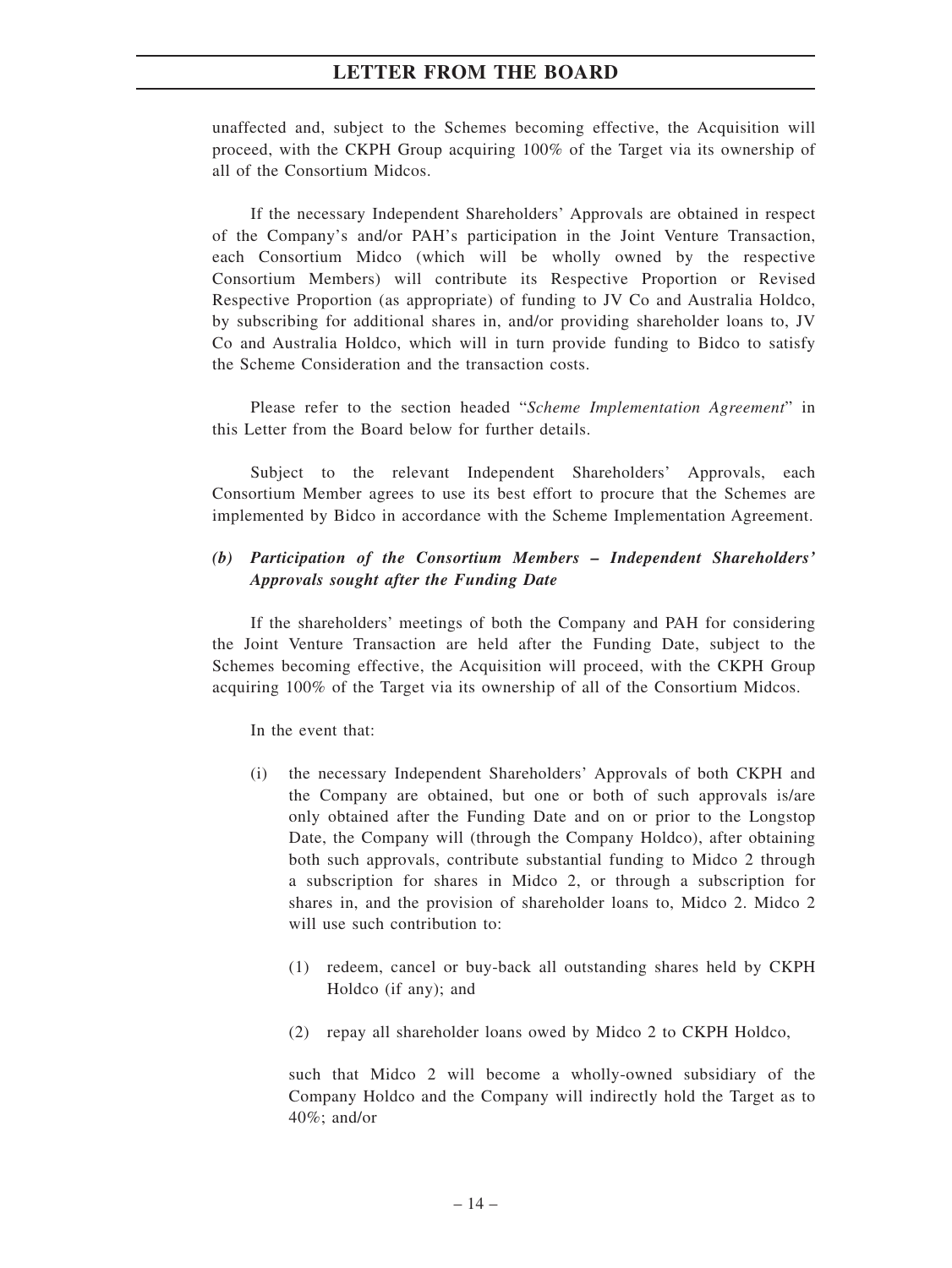unaffected and, subject to the Schemes becoming effective, the Acquisition will proceed, with the CKPH Group acquiring 100% of the Target via its ownership of all of the Consortium Midcos.

If the necessary Independent Shareholders' Approvals are obtained in respect of the Company's and/or PAH's participation in the Joint Venture Transaction, each Consortium Midco (which will be wholly owned by the respective Consortium Members) will contribute its Respective Proportion or Revised Respective Proportion (as appropriate) of funding to JV Co and Australia Holdco, by subscribing for additional shares in, and/or providing shareholder loans to, JV Co and Australia Holdco, which will in turn provide funding to Bidco to satisfy the Scheme Consideration and the transaction costs.

Please refer to the section headed "*Scheme Implementation Agreement*" in this Letter from the Board below for further details.

Subject to the relevant Independent Shareholders' Approvals, each Consortium Member agrees to use its best effort to procure that the Schemes are implemented by Bidco in accordance with the Scheme Implementation Agreement.

# *(b) Participation of the Consortium Members – Independent Shareholders' Approvals sought after the Funding Date*

If the shareholders' meetings of both the Company and PAH for considering the Joint Venture Transaction are held after the Funding Date, subject to the Schemes becoming effective, the Acquisition will proceed, with the CKPH Group acquiring 100% of the Target via its ownership of all of the Consortium Midcos.

In the event that:

- (i) the necessary Independent Shareholders' Approvals of both CKPH and the Company are obtained, but one or both of such approvals is/are only obtained after the Funding Date and on or prior to the Longstop Date, the Company will (through the Company Holdco), after obtaining both such approvals, contribute substantial funding to Midco 2 through a subscription for shares in Midco 2, or through a subscription for shares in, and the provision of shareholder loans to, Midco 2. Midco 2 will use such contribution to:
	- (1) redeem, cancel or buy-back all outstanding shares held by CKPH Holdco (if any); and
	- (2) repay all shareholder loans owed by Midco 2 to CKPH Holdco,

such that Midco 2 will become a wholly-owned subsidiary of the Company Holdco and the Company will indirectly hold the Target as to 40%; and/or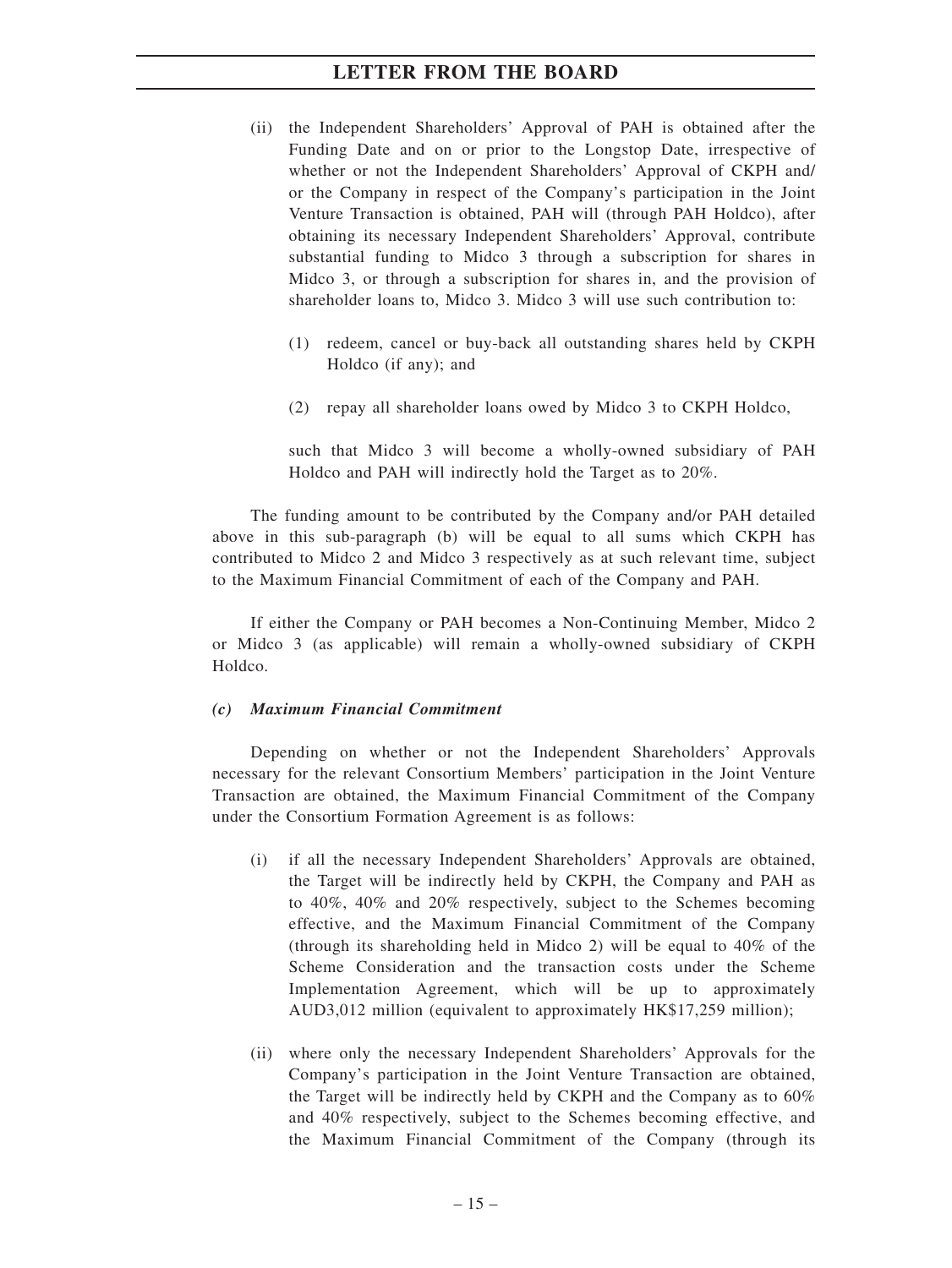- (ii) the Independent Shareholders' Approval of PAH is obtained after the Funding Date and on or prior to the Longstop Date, irrespective of whether or not the Independent Shareholders' Approval of CKPH and/ or the Company in respect of the Company's participation in the Joint Venture Transaction is obtained, PAH will (through PAH Holdco), after obtaining its necessary Independent Shareholders' Approval, contribute substantial funding to Midco 3 through a subscription for shares in Midco 3, or through a subscription for shares in, and the provision of shareholder loans to, Midco 3. Midco 3 will use such contribution to:
	- (1) redeem, cancel or buy-back all outstanding shares held by CKPH Holdco (if any); and
	- (2) repay all shareholder loans owed by Midco 3 to CKPH Holdco,

such that Midco 3 will become a wholly-owned subsidiary of PAH Holdco and PAH will indirectly hold the Target as to 20%.

The funding amount to be contributed by the Company and/or PAH detailed above in this sub-paragraph (b) will be equal to all sums which CKPH has contributed to Midco 2 and Midco 3 respectively as at such relevant time, subject to the Maximum Financial Commitment of each of the Company and PAH.

If either the Company or PAH becomes a Non-Continuing Member, Midco 2 or Midco 3 (as applicable) will remain a wholly-owned subsidiary of CKPH Holdco.

#### *(c) Maximum Financial Commitment*

Depending on whether or not the Independent Shareholders' Approvals necessary for the relevant Consortium Members' participation in the Joint Venture Transaction are obtained, the Maximum Financial Commitment of the Company under the Consortium Formation Agreement is as follows:

- (i) if all the necessary Independent Shareholders' Approvals are obtained, the Target will be indirectly held by CKPH, the Company and PAH as to 40%, 40% and 20% respectively, subject to the Schemes becoming effective, and the Maximum Financial Commitment of the Company (through its shareholding held in Midco 2) will be equal to 40% of the Scheme Consideration and the transaction costs under the Scheme Implementation Agreement, which will be up to approximately AUD3,012 million (equivalent to approximately HK\$17,259 million);
- (ii) where only the necessary Independent Shareholders' Approvals for the Company's participation in the Joint Venture Transaction are obtained, the Target will be indirectly held by CKPH and the Company as to 60% and 40% respectively, subject to the Schemes becoming effective, and the Maximum Financial Commitment of the Company (through its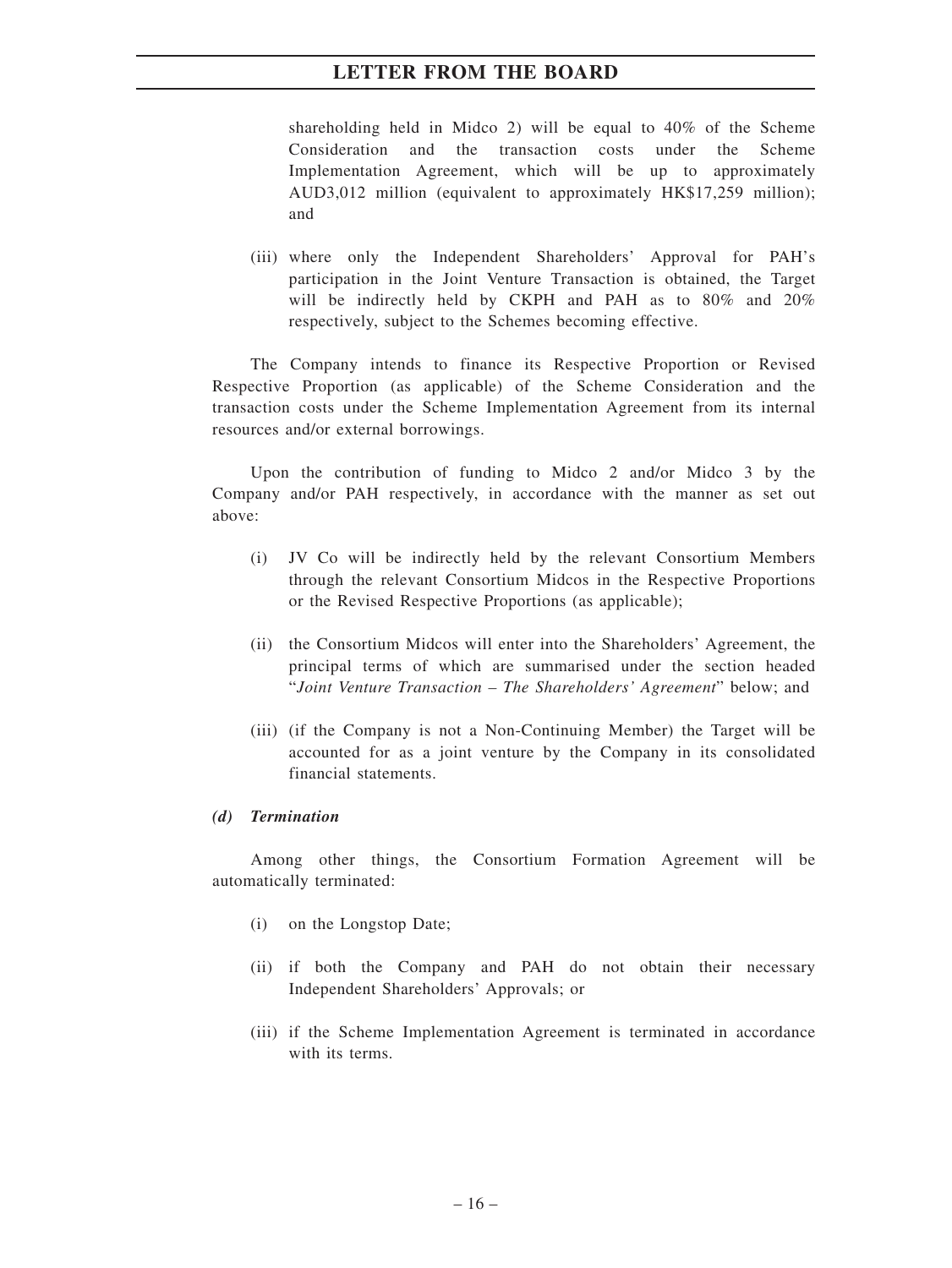shareholding held in Midco 2) will be equal to 40% of the Scheme Consideration and the transaction costs under the Scheme Implementation Agreement, which will be up to approximately AUD3,012 million (equivalent to approximately HK\$17,259 million); and

(iii) where only the Independent Shareholders' Approval for PAH's participation in the Joint Venture Transaction is obtained, the Target will be indirectly held by CKPH and PAH as to 80% and 20% respectively, subject to the Schemes becoming effective.

The Company intends to finance its Respective Proportion or Revised Respective Proportion (as applicable) of the Scheme Consideration and the transaction costs under the Scheme Implementation Agreement from its internal resources and/or external borrowings.

Upon the contribution of funding to Midco 2 and/or Midco 3 by the Company and/or PAH respectively, in accordance with the manner as set out above:

- (i) JV Co will be indirectly held by the relevant Consortium Members through the relevant Consortium Midcos in the Respective Proportions or the Revised Respective Proportions (as applicable);
- (ii) the Consortium Midcos will enter into the Shareholders' Agreement, the principal terms of which are summarised under the section headed "*Joint Venture Transaction – The Shareholders' Agreement*" below; and
- (iii) (if the Company is not a Non-Continuing Member) the Target will be accounted for as a joint venture by the Company in its consolidated financial statements.

#### *(d) Termination*

Among other things, the Consortium Formation Agreement will be automatically terminated:

- (i) on the Longstop Date;
- (ii) if both the Company and PAH do not obtain their necessary Independent Shareholders' Approvals; or
- (iii) if the Scheme Implementation Agreement is terminated in accordance with its terms.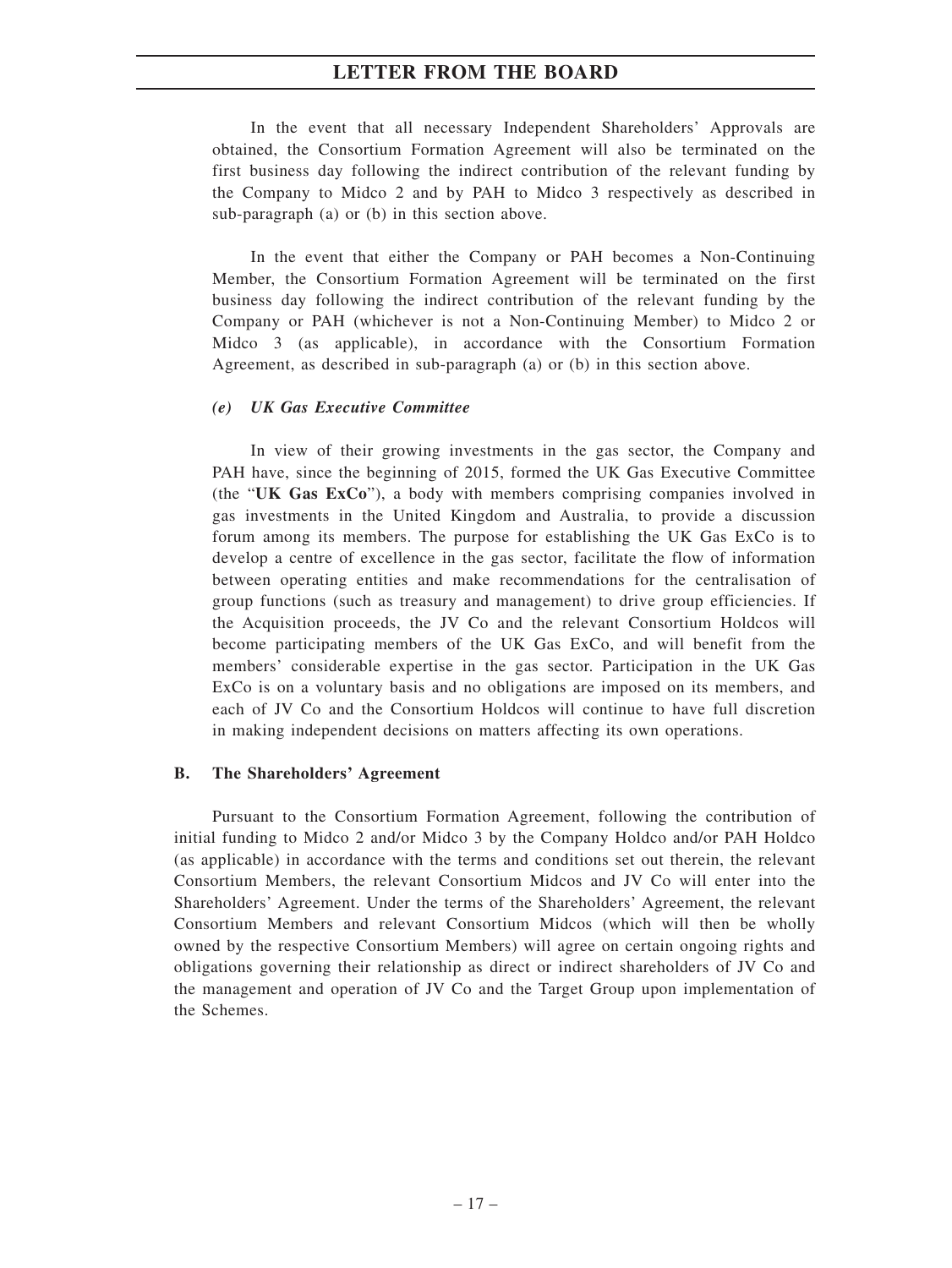In the event that all necessary Independent Shareholders' Approvals are obtained, the Consortium Formation Agreement will also be terminated on the first business day following the indirect contribution of the relevant funding by the Company to Midco 2 and by PAH to Midco 3 respectively as described in sub-paragraph (a) or (b) in this section above.

In the event that either the Company or PAH becomes a Non-Continuing Member, the Consortium Formation Agreement will be terminated on the first business day following the indirect contribution of the relevant funding by the Company or PAH (whichever is not a Non-Continuing Member) to Midco 2 or Midco 3 (as applicable), in accordance with the Consortium Formation Agreement, as described in sub-paragraph (a) or (b) in this section above.

#### *(e) UK Gas Executive Committee*

In view of their growing investments in the gas sector, the Company and PAH have, since the beginning of 2015, formed the UK Gas Executive Committee (the "**UK Gas ExCo**"), a body with members comprising companies involved in gas investments in the United Kingdom and Australia, to provide a discussion forum among its members. The purpose for establishing the UK Gas ExCo is to develop a centre of excellence in the gas sector, facilitate the flow of information between operating entities and make recommendations for the centralisation of group functions (such as treasury and management) to drive group efficiencies. If the Acquisition proceeds, the JV Co and the relevant Consortium Holdcos will become participating members of the UK Gas ExCo, and will benefit from the members' considerable expertise in the gas sector. Participation in the UK Gas ExCo is on a voluntary basis and no obligations are imposed on its members, and each of JV Co and the Consortium Holdcos will continue to have full discretion in making independent decisions on matters affecting its own operations.

#### **B. The Shareholders' Agreement**

Pursuant to the Consortium Formation Agreement, following the contribution of initial funding to Midco 2 and/or Midco 3 by the Company Holdco and/or PAH Holdco (as applicable) in accordance with the terms and conditions set out therein, the relevant Consortium Members, the relevant Consortium Midcos and JV Co will enter into the Shareholders' Agreement. Under the terms of the Shareholders' Agreement, the relevant Consortium Members and relevant Consortium Midcos (which will then be wholly owned by the respective Consortium Members) will agree on certain ongoing rights and obligations governing their relationship as direct or indirect shareholders of JV Co and the management and operation of JV Co and the Target Group upon implementation of the Schemes.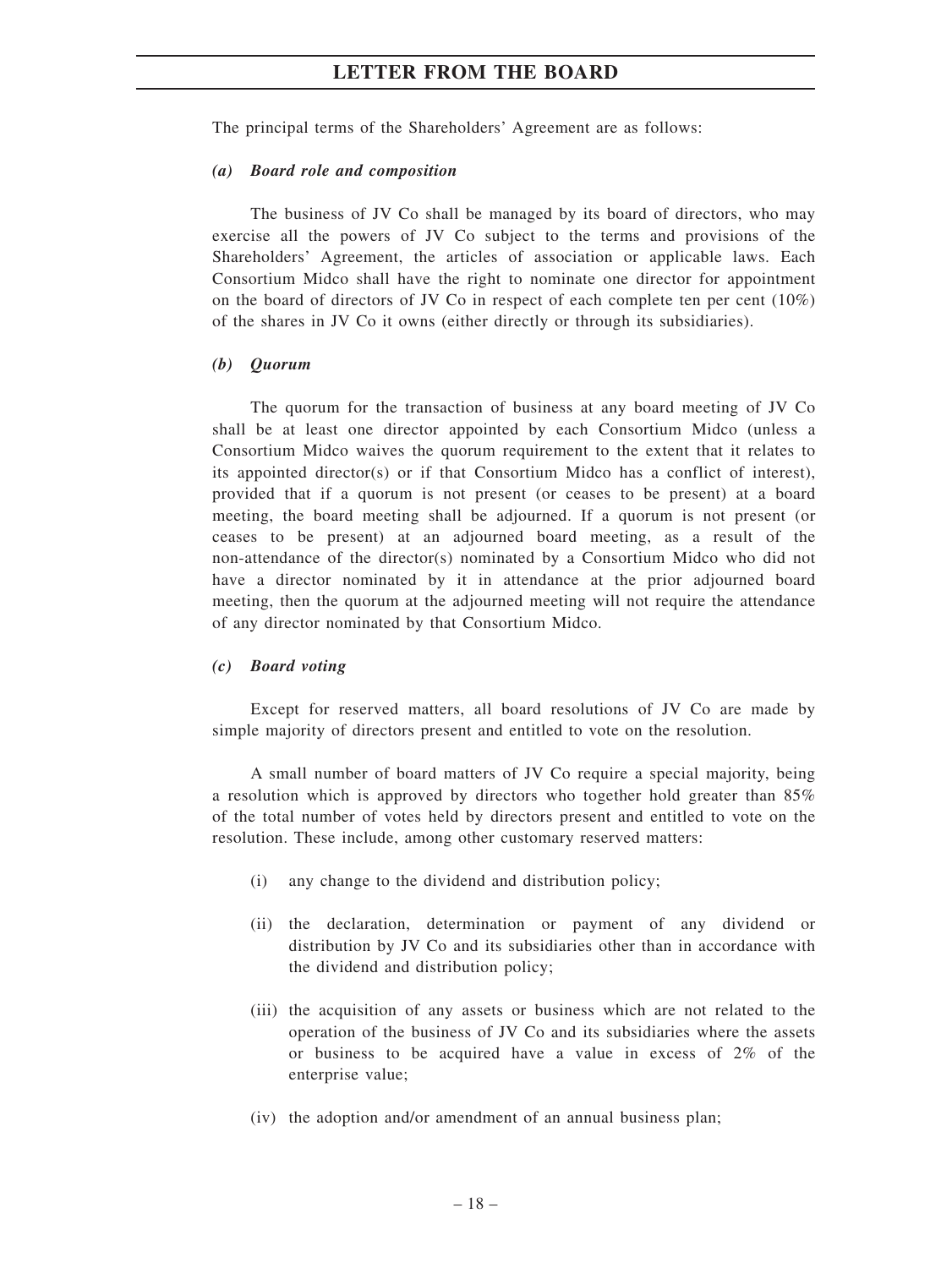The principal terms of the Shareholders' Agreement are as follows:

#### *(a) Board role and composition*

The business of JV Co shall be managed by its board of directors, who may exercise all the powers of JV Co subject to the terms and provisions of the Shareholders' Agreement, the articles of association or applicable laws. Each Consortium Midco shall have the right to nominate one director for appointment on the board of directors of JV Co in respect of each complete ten per cent  $(10\%)$ of the shares in JV Co it owns (either directly or through its subsidiaries).

#### *(b) Quorum*

The quorum for the transaction of business at any board meeting of JV Co shall be at least one director appointed by each Consortium Midco (unless a Consortium Midco waives the quorum requirement to the extent that it relates to its appointed director(s) or if that Consortium Midco has a conflict of interest), provided that if a quorum is not present (or ceases to be present) at a board meeting, the board meeting shall be adjourned. If a quorum is not present (or ceases to be present) at an adjourned board meeting, as a result of the non-attendance of the director(s) nominated by a Consortium Midco who did not have a director nominated by it in attendance at the prior adjourned board meeting, then the quorum at the adjourned meeting will not require the attendance of any director nominated by that Consortium Midco.

#### *(c) Board voting*

Except for reserved matters, all board resolutions of JV Co are made by simple majority of directors present and entitled to vote on the resolution.

A small number of board matters of JV Co require a special majority, being a resolution which is approved by directors who together hold greater than 85% of the total number of votes held by directors present and entitled to vote on the resolution. These include, among other customary reserved matters:

- (i) any change to the dividend and distribution policy;
- (ii) the declaration, determination or payment of any dividend or distribution by JV Co and its subsidiaries other than in accordance with the dividend and distribution policy;
- (iii) the acquisition of any assets or business which are not related to the operation of the business of JV Co and its subsidiaries where the assets or business to be acquired have a value in excess of 2% of the enterprise value;
- (iv) the adoption and/or amendment of an annual business plan;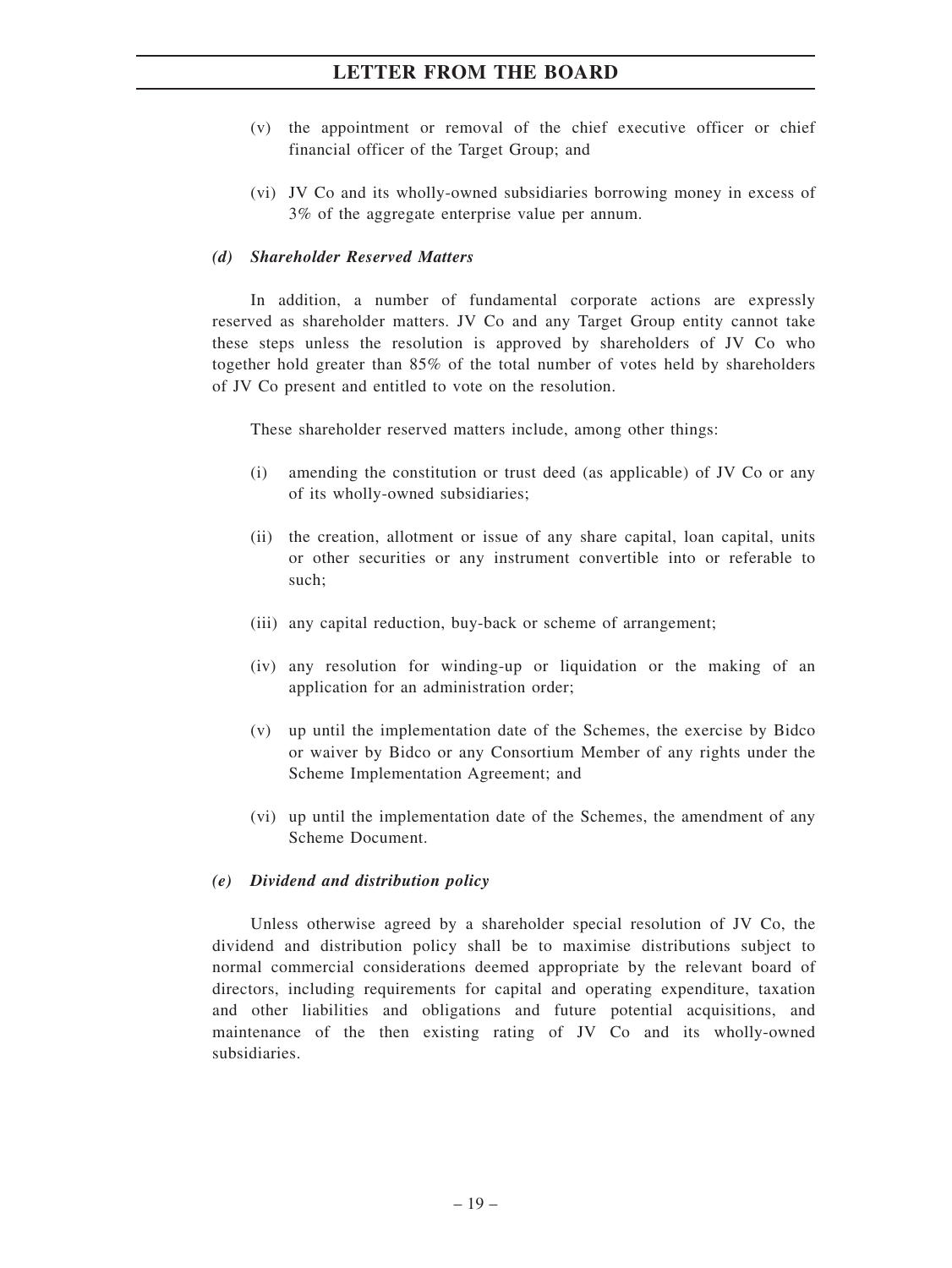- (v) the appointment or removal of the chief executive officer or chief financial officer of the Target Group; and
- (vi) JV Co and its wholly-owned subsidiaries borrowing money in excess of 3% of the aggregate enterprise value per annum.

#### *(d) Shareholder Reserved Matters*

In addition, a number of fundamental corporate actions are expressly reserved as shareholder matters. JV Co and any Target Group entity cannot take these steps unless the resolution is approved by shareholders of JV Co who together hold greater than 85% of the total number of votes held by shareholders of JV Co present and entitled to vote on the resolution.

These shareholder reserved matters include, among other things:

- (i) amending the constitution or trust deed (as applicable) of JV Co or any of its wholly-owned subsidiaries;
- (ii) the creation, allotment or issue of any share capital, loan capital, units or other securities or any instrument convertible into or referable to such;
- (iii) any capital reduction, buy-back or scheme of arrangement;
- (iv) any resolution for winding-up or liquidation or the making of an application for an administration order;
- (v) up until the implementation date of the Schemes, the exercise by Bidco or waiver by Bidco or any Consortium Member of any rights under the Scheme Implementation Agreement; and
- (vi) up until the implementation date of the Schemes, the amendment of any Scheme Document.

#### *(e) Dividend and distribution policy*

Unless otherwise agreed by a shareholder special resolution of JV Co, the dividend and distribution policy shall be to maximise distributions subject to normal commercial considerations deemed appropriate by the relevant board of directors, including requirements for capital and operating expenditure, taxation and other liabilities and obligations and future potential acquisitions, and maintenance of the then existing rating of JV Co and its wholly-owned subsidiaries.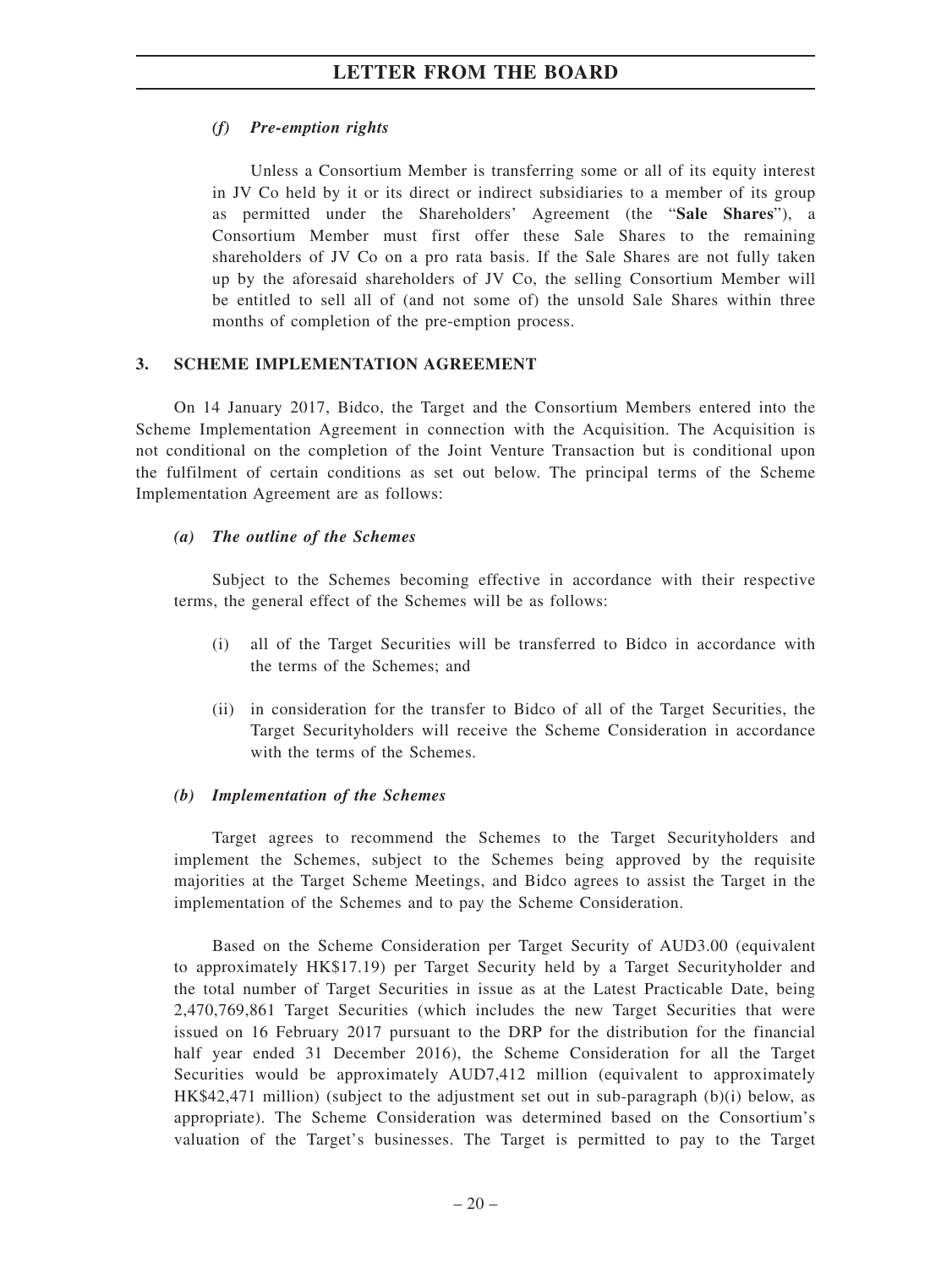# *(f) Pre-emption rights*

Unless a Consortium Member is transferring some or all of its equity interest in JV Co held by it or its direct or indirect subsidiaries to a member of its group as permitted under the Shareholders' Agreement (the "**Sale Shares**"), a Consortium Member must first offer these Sale Shares to the remaining shareholders of JV Co on a pro rata basis. If the Sale Shares are not fully taken up by the aforesaid shareholders of JV Co, the selling Consortium Member will be entitled to sell all of (and not some of) the unsold Sale Shares within three months of completion of the pre-emption process.

## **3. SCHEME IMPLEMENTATION AGREEMENT**

On 14 January 2017, Bidco, the Target and the Consortium Members entered into the Scheme Implementation Agreement in connection with the Acquisition. The Acquisition is not conditional on the completion of the Joint Venture Transaction but is conditional upon the fulfilment of certain conditions as set out below. The principal terms of the Scheme Implementation Agreement are as follows:

### *(a) The outline of the Schemes*

Subject to the Schemes becoming effective in accordance with their respective terms, the general effect of the Schemes will be as follows:

- (i) all of the Target Securities will be transferred to Bidco in accordance with the terms of the Schemes; and
- (ii) in consideration for the transfer to Bidco of all of the Target Securities, the Target Securityholders will receive the Scheme Consideration in accordance with the terms of the Schemes.

#### *(b) Implementation of the Schemes*

Target agrees to recommend the Schemes to the Target Securityholders and implement the Schemes, subject to the Schemes being approved by the requisite majorities at the Target Scheme Meetings, and Bidco agrees to assist the Target in the implementation of the Schemes and to pay the Scheme Consideration.

Based on the Scheme Consideration per Target Security of AUD3.00 (equivalent to approximately HK\$17.19) per Target Security held by a Target Securityholder and the total number of Target Securities in issue as at the Latest Practicable Date, being 2,470,769,861 Target Securities (which includes the new Target Securities that were issued on 16 February 2017 pursuant to the DRP for the distribution for the financial half year ended 31 December 2016), the Scheme Consideration for all the Target Securities would be approximately AUD7,412 million (equivalent to approximately HK\$42,471 million) (subject to the adjustment set out in sub-paragraph (b)(i) below, as appropriate). The Scheme Consideration was determined based on the Consortium's valuation of the Target's businesses. The Target is permitted to pay to the Target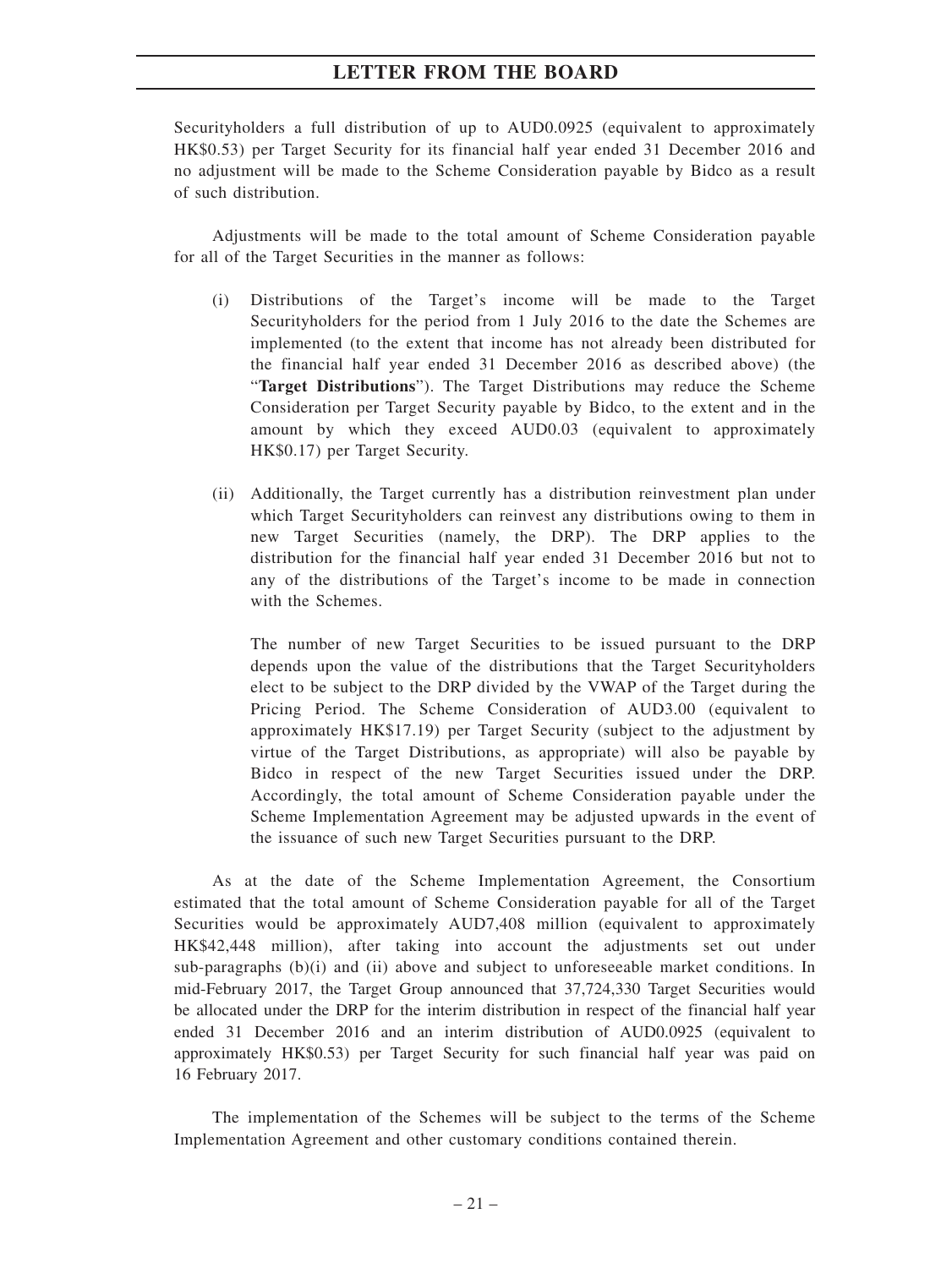Securityholders a full distribution of up to AUD0.0925 (equivalent to approximately HK\$0.53) per Target Security for its financial half year ended 31 December 2016 and no adjustment will be made to the Scheme Consideration payable by Bidco as a result of such distribution.

Adjustments will be made to the total amount of Scheme Consideration payable for all of the Target Securities in the manner as follows:

- (i) Distributions of the Target's income will be made to the Target Securityholders for the period from 1 July 2016 to the date the Schemes are implemented (to the extent that income has not already been distributed for the financial half year ended 31 December 2016 as described above) (the "**Target Distributions**"). The Target Distributions may reduce the Scheme Consideration per Target Security payable by Bidco, to the extent and in the amount by which they exceed AUD0.03 (equivalent to approximately HK\$0.17) per Target Security.
- (ii) Additionally, the Target currently has a distribution reinvestment plan under which Target Securityholders can reinvest any distributions owing to them in new Target Securities (namely, the DRP). The DRP applies to the distribution for the financial half year ended 31 December 2016 but not to any of the distributions of the Target's income to be made in connection with the Schemes.

The number of new Target Securities to be issued pursuant to the DRP depends upon the value of the distributions that the Target Securityholders elect to be subject to the DRP divided by the VWAP of the Target during the Pricing Period. The Scheme Consideration of AUD3.00 (equivalent to approximately HK\$17.19) per Target Security (subject to the adjustment by virtue of the Target Distributions, as appropriate) will also be payable by Bidco in respect of the new Target Securities issued under the DRP. Accordingly, the total amount of Scheme Consideration payable under the Scheme Implementation Agreement may be adjusted upwards in the event of the issuance of such new Target Securities pursuant to the DRP.

As at the date of the Scheme Implementation Agreement, the Consortium estimated that the total amount of Scheme Consideration payable for all of the Target Securities would be approximately AUD7,408 million (equivalent to approximately HK\$42,448 million), after taking into account the adjustments set out under sub-paragraphs  $(b)(i)$  and  $(ii)$  above and subject to unforeseeable market conditions. In mid-February 2017, the Target Group announced that 37,724,330 Target Securities would be allocated under the DRP for the interim distribution in respect of the financial half year ended 31 December 2016 and an interim distribution of AUD0.0925 (equivalent to approximately HK\$0.53) per Target Security for such financial half year was paid on 16 February 2017.

The implementation of the Schemes will be subject to the terms of the Scheme Implementation Agreement and other customary conditions contained therein.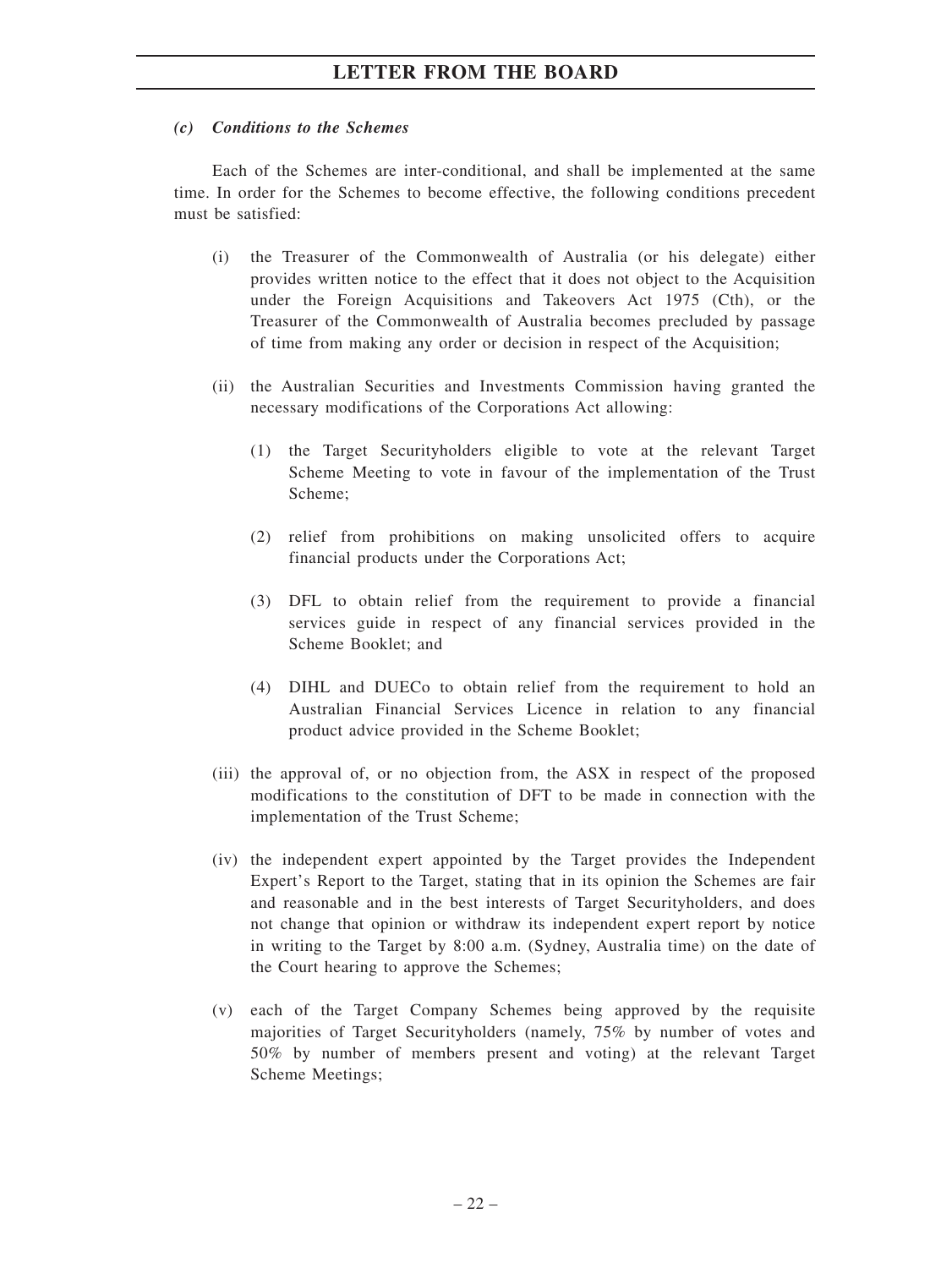### *(c) Conditions to the Schemes*

Each of the Schemes are inter-conditional, and shall be implemented at the same time. In order for the Schemes to become effective, the following conditions precedent must be satisfied:

- (i) the Treasurer of the Commonwealth of Australia (or his delegate) either provides written notice to the effect that it does not object to the Acquisition under the Foreign Acquisitions and Takeovers Act 1975 (Cth), or the Treasurer of the Commonwealth of Australia becomes precluded by passage of time from making any order or decision in respect of the Acquisition;
- (ii) the Australian Securities and Investments Commission having granted the necessary modifications of the Corporations Act allowing:
	- (1) the Target Securityholders eligible to vote at the relevant Target Scheme Meeting to vote in favour of the implementation of the Trust Scheme;
	- (2) relief from prohibitions on making unsolicited offers to acquire financial products under the Corporations Act;
	- (3) DFL to obtain relief from the requirement to provide a financial services guide in respect of any financial services provided in the Scheme Booklet; and
	- (4) DIHL and DUECo to obtain relief from the requirement to hold an Australian Financial Services Licence in relation to any financial product advice provided in the Scheme Booklet;
- (iii) the approval of, or no objection from, the ASX in respect of the proposed modifications to the constitution of DFT to be made in connection with the implementation of the Trust Scheme;
- (iv) the independent expert appointed by the Target provides the Independent Expert's Report to the Target, stating that in its opinion the Schemes are fair and reasonable and in the best interests of Target Securityholders, and does not change that opinion or withdraw its independent expert report by notice in writing to the Target by 8:00 a.m. (Sydney, Australia time) on the date of the Court hearing to approve the Schemes;
- (v) each of the Target Company Schemes being approved by the requisite majorities of Target Securityholders (namely, 75% by number of votes and 50% by number of members present and voting) at the relevant Target Scheme Meetings;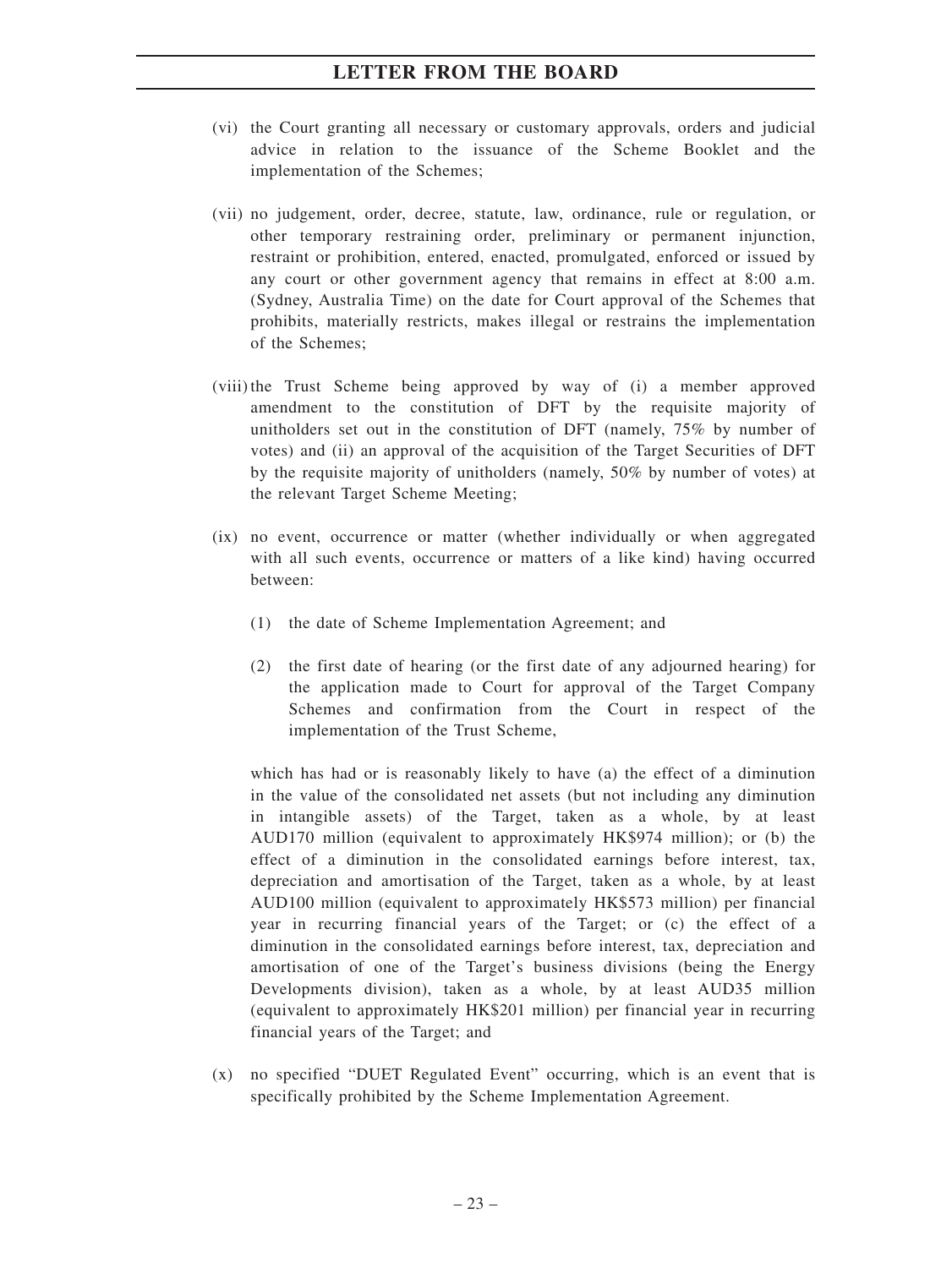- (vi) the Court granting all necessary or customary approvals, orders and judicial advice in relation to the issuance of the Scheme Booklet and the implementation of the Schemes;
- (vii) no judgement, order, decree, statute, law, ordinance, rule or regulation, or other temporary restraining order, preliminary or permanent injunction, restraint or prohibition, entered, enacted, promulgated, enforced or issued by any court or other government agency that remains in effect at 8:00 a.m. (Sydney, Australia Time) on the date for Court approval of the Schemes that prohibits, materially restricts, makes illegal or restrains the implementation of the Schemes;
- (viii) the Trust Scheme being approved by way of (i) a member approved amendment to the constitution of DFT by the requisite majority of unitholders set out in the constitution of DFT (namely, 75% by number of votes) and (ii) an approval of the acquisition of the Target Securities of DFT by the requisite majority of unitholders (namely, 50% by number of votes) at the relevant Target Scheme Meeting;
- (ix) no event, occurrence or matter (whether individually or when aggregated with all such events, occurrence or matters of a like kind) having occurred between:
	- (1) the date of Scheme Implementation Agreement; and
	- (2) the first date of hearing (or the first date of any adjourned hearing) for the application made to Court for approval of the Target Company Schemes and confirmation from the Court in respect of the implementation of the Trust Scheme,

which has had or is reasonably likely to have (a) the effect of a diminution in the value of the consolidated net assets (but not including any diminution in intangible assets) of the Target, taken as a whole, by at least AUD170 million (equivalent to approximately HK\$974 million); or (b) the effect of a diminution in the consolidated earnings before interest, tax, depreciation and amortisation of the Target, taken as a whole, by at least AUD100 million (equivalent to approximately HK\$573 million) per financial year in recurring financial years of the Target; or (c) the effect of a diminution in the consolidated earnings before interest, tax, depreciation and amortisation of one of the Target's business divisions (being the Energy Developments division), taken as a whole, by at least AUD35 million (equivalent to approximately HK\$201 million) per financial year in recurring financial years of the Target; and

(x) no specified "DUET Regulated Event" occurring, which is an event that is specifically prohibited by the Scheme Implementation Agreement.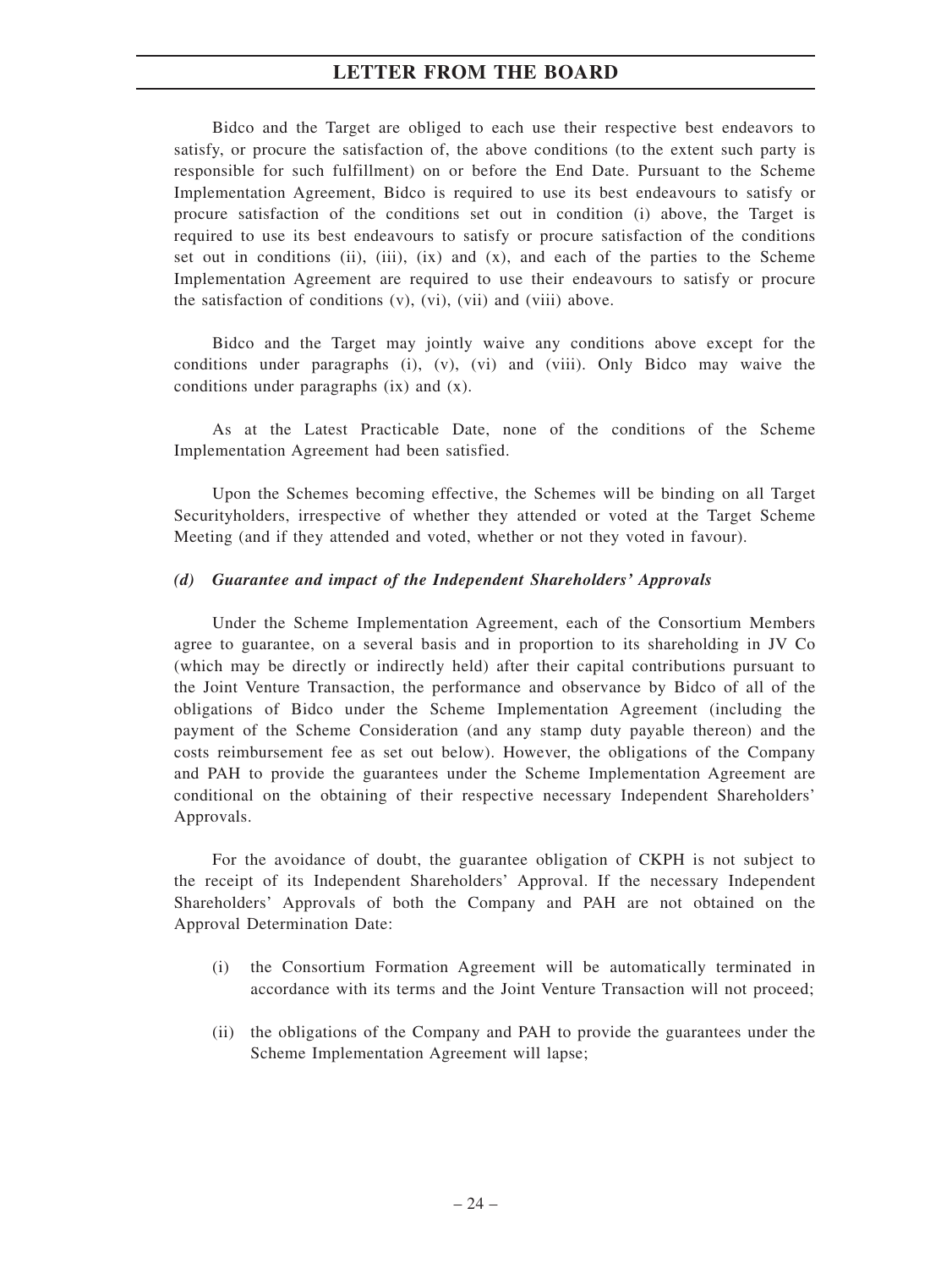Bidco and the Target are obliged to each use their respective best endeavors to satisfy, or procure the satisfaction of, the above conditions (to the extent such party is responsible for such fulfillment) on or before the End Date. Pursuant to the Scheme Implementation Agreement, Bidco is required to use its best endeavours to satisfy or procure satisfaction of the conditions set out in condition (i) above, the Target is required to use its best endeavours to satisfy or procure satisfaction of the conditions set out in conditions (ii), (iii),  $(ix)$  and  $(x)$ , and each of the parties to the Scheme Implementation Agreement are required to use their endeavours to satisfy or procure the satisfaction of conditions (v), (vi), (vii) and (viii) above.

Bidco and the Target may jointly waive any conditions above except for the conditions under paragraphs (i), (v), (vi) and (viii). Only Bidco may waive the conditions under paragraphs (ix) and (x).

As at the Latest Practicable Date, none of the conditions of the Scheme Implementation Agreement had been satisfied.

Upon the Schemes becoming effective, the Schemes will be binding on all Target Securityholders, irrespective of whether they attended or voted at the Target Scheme Meeting (and if they attended and voted, whether or not they voted in favour).

#### *(d) Guarantee and impact of the Independent Shareholders' Approvals*

Under the Scheme Implementation Agreement, each of the Consortium Members agree to guarantee, on a several basis and in proportion to its shareholding in JV Co (which may be directly or indirectly held) after their capital contributions pursuant to the Joint Venture Transaction, the performance and observance by Bidco of all of the obligations of Bidco under the Scheme Implementation Agreement (including the payment of the Scheme Consideration (and any stamp duty payable thereon) and the costs reimbursement fee as set out below). However, the obligations of the Company and PAH to provide the guarantees under the Scheme Implementation Agreement are conditional on the obtaining of their respective necessary Independent Shareholders' Approvals.

For the avoidance of doubt, the guarantee obligation of CKPH is not subject to the receipt of its Independent Shareholders' Approval. If the necessary Independent Shareholders' Approvals of both the Company and PAH are not obtained on the Approval Determination Date:

- (i) the Consortium Formation Agreement will be automatically terminated in accordance with its terms and the Joint Venture Transaction will not proceed;
- (ii) the obligations of the Company and PAH to provide the guarantees under the Scheme Implementation Agreement will lapse;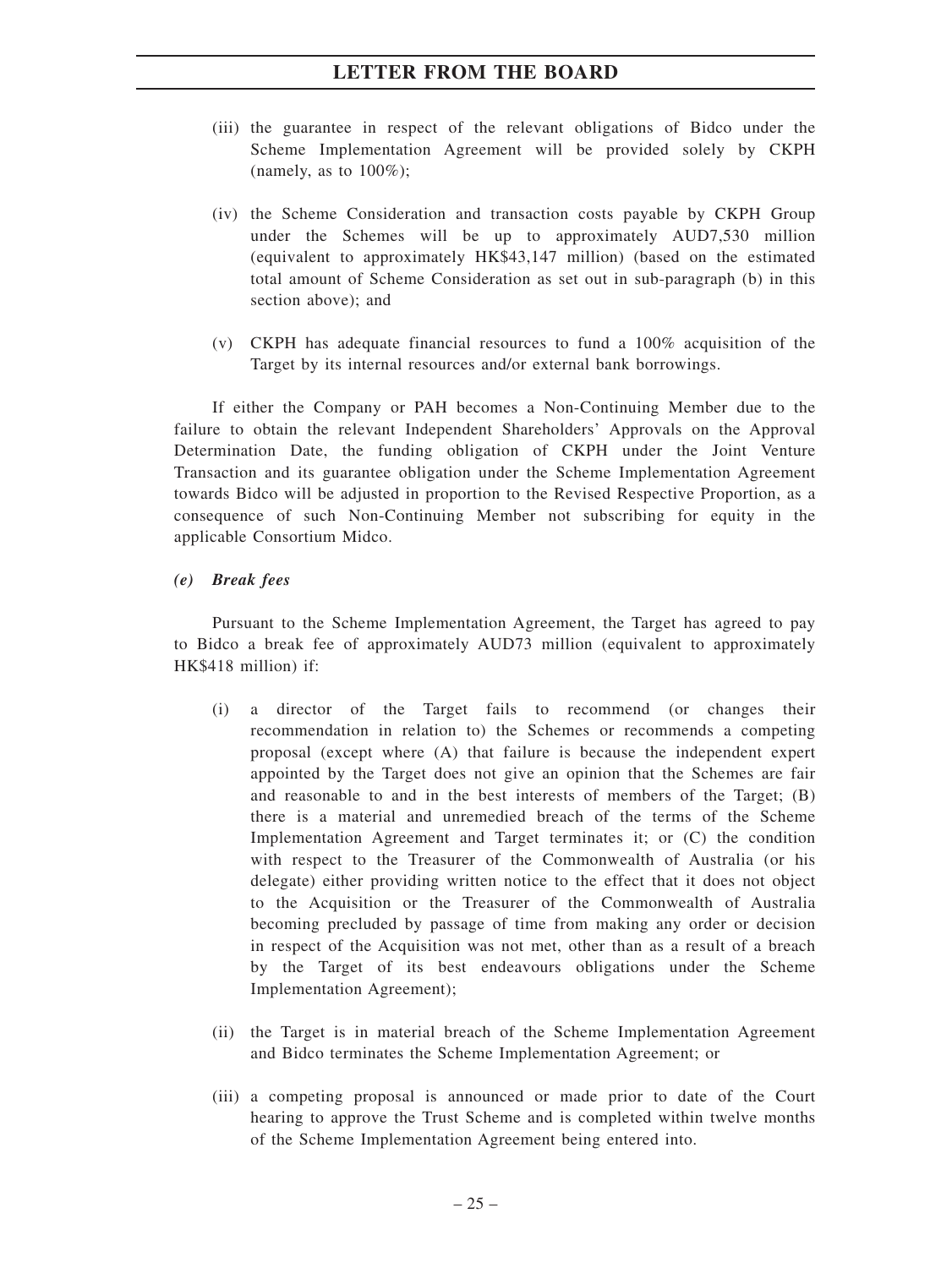- (iii) the guarantee in respect of the relevant obligations of Bidco under the Scheme Implementation Agreement will be provided solely by CKPH (namely, as to  $100\%$ );
- (iv) the Scheme Consideration and transaction costs payable by CKPH Group under the Schemes will be up to approximately AUD7,530 million (equivalent to approximately HK\$43,147 million) (based on the estimated total amount of Scheme Consideration as set out in sub-paragraph (b) in this section above); and
- (v) CKPH has adequate financial resources to fund a 100% acquisition of the Target by its internal resources and/or external bank borrowings.

If either the Company or PAH becomes a Non-Continuing Member due to the failure to obtain the relevant Independent Shareholders' Approvals on the Approval Determination Date, the funding obligation of CKPH under the Joint Venture Transaction and its guarantee obligation under the Scheme Implementation Agreement towards Bidco will be adjusted in proportion to the Revised Respective Proportion, as a consequence of such Non-Continuing Member not subscribing for equity in the applicable Consortium Midco.

### *(e) Break fees*

Pursuant to the Scheme Implementation Agreement, the Target has agreed to pay to Bidco a break fee of approximately AUD73 million (equivalent to approximately HK\$418 million) if:

- (i) a director of the Target fails to recommend (or changes their recommendation in relation to) the Schemes or recommends a competing proposal (except where (A) that failure is because the independent expert appointed by the Target does not give an opinion that the Schemes are fair and reasonable to and in the best interests of members of the Target; (B) there is a material and unremedied breach of the terms of the Scheme Implementation Agreement and Target terminates it; or (C) the condition with respect to the Treasurer of the Commonwealth of Australia (or his delegate) either providing written notice to the effect that it does not object to the Acquisition or the Treasurer of the Commonwealth of Australia becoming precluded by passage of time from making any order or decision in respect of the Acquisition was not met, other than as a result of a breach by the Target of its best endeavours obligations under the Scheme Implementation Agreement);
- (ii) the Target is in material breach of the Scheme Implementation Agreement and Bidco terminates the Scheme Implementation Agreement; or
- (iii) a competing proposal is announced or made prior to date of the Court hearing to approve the Trust Scheme and is completed within twelve months of the Scheme Implementation Agreement being entered into.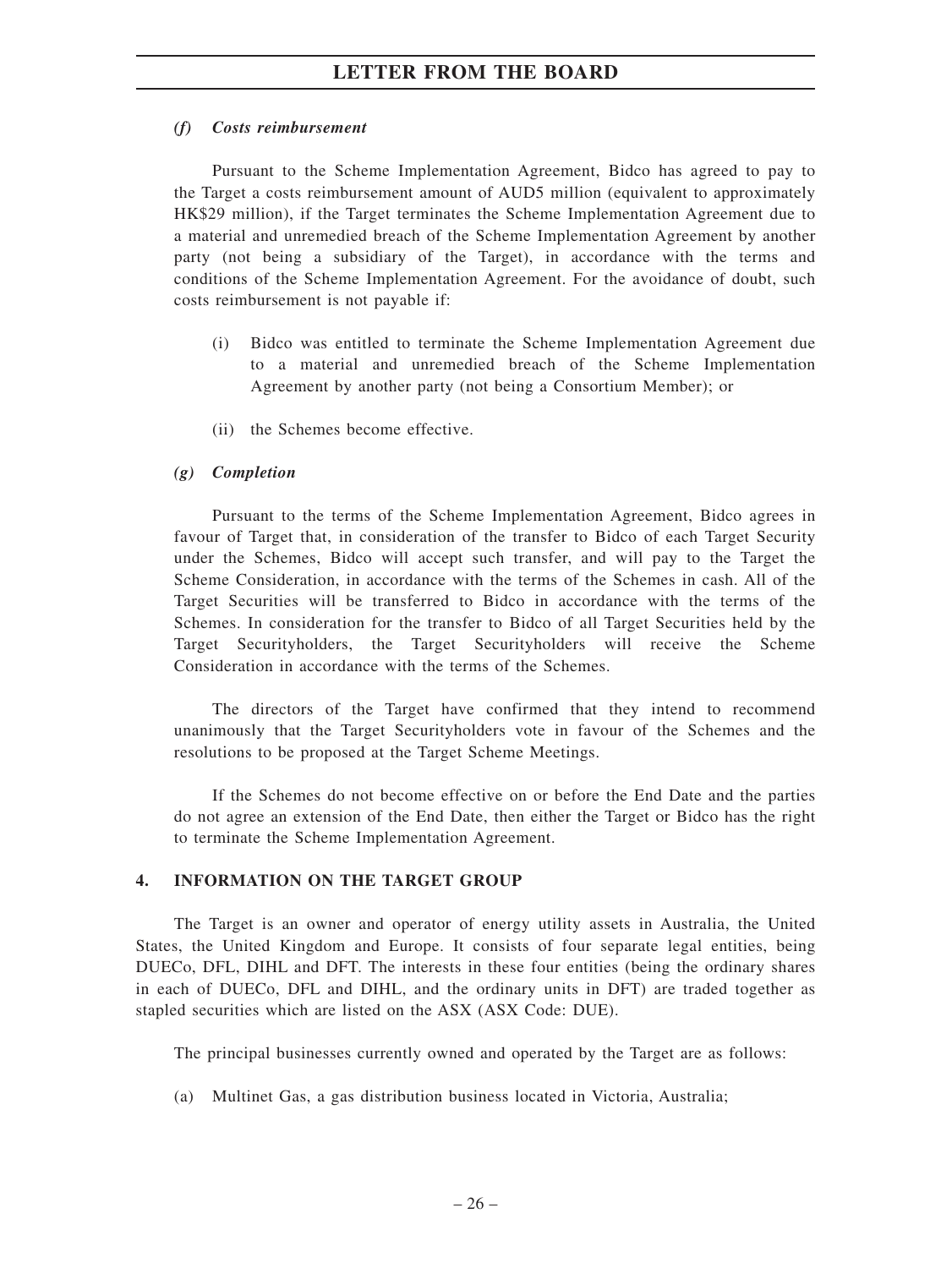## *(f) Costs reimbursement*

Pursuant to the Scheme Implementation Agreement, Bidco has agreed to pay to the Target a costs reimbursement amount of AUD5 million (equivalent to approximately HK\$29 million), if the Target terminates the Scheme Implementation Agreement due to a material and unremedied breach of the Scheme Implementation Agreement by another party (not being a subsidiary of the Target), in accordance with the terms and conditions of the Scheme Implementation Agreement. For the avoidance of doubt, such costs reimbursement is not payable if:

- (i) Bidco was entitled to terminate the Scheme Implementation Agreement due to a material and unremedied breach of the Scheme Implementation Agreement by another party (not being a Consortium Member); or
- (ii) the Schemes become effective.

## *(g) Completion*

Pursuant to the terms of the Scheme Implementation Agreement, Bidco agrees in favour of Target that, in consideration of the transfer to Bidco of each Target Security under the Schemes, Bidco will accept such transfer, and will pay to the Target the Scheme Consideration, in accordance with the terms of the Schemes in cash. All of the Target Securities will be transferred to Bidco in accordance with the terms of the Schemes. In consideration for the transfer to Bidco of all Target Securities held by the Target Securityholders, the Target Securityholders will receive the Scheme Consideration in accordance with the terms of the Schemes.

The directors of the Target have confirmed that they intend to recommend unanimously that the Target Securityholders vote in favour of the Schemes and the resolutions to be proposed at the Target Scheme Meetings.

If the Schemes do not become effective on or before the End Date and the parties do not agree an extension of the End Date, then either the Target or Bidco has the right to terminate the Scheme Implementation Agreement.

## **4. INFORMATION ON THE TARGET GROUP**

The Target is an owner and operator of energy utility assets in Australia, the United States, the United Kingdom and Europe. It consists of four separate legal entities, being DUECo, DFL, DIHL and DFT. The interests in these four entities (being the ordinary shares in each of DUECo, DFL and DIHL, and the ordinary units in DFT) are traded together as stapled securities which are listed on the ASX (ASX Code: DUE).

The principal businesses currently owned and operated by the Target are as follows:

(a) Multinet Gas, a gas distribution business located in Victoria, Australia;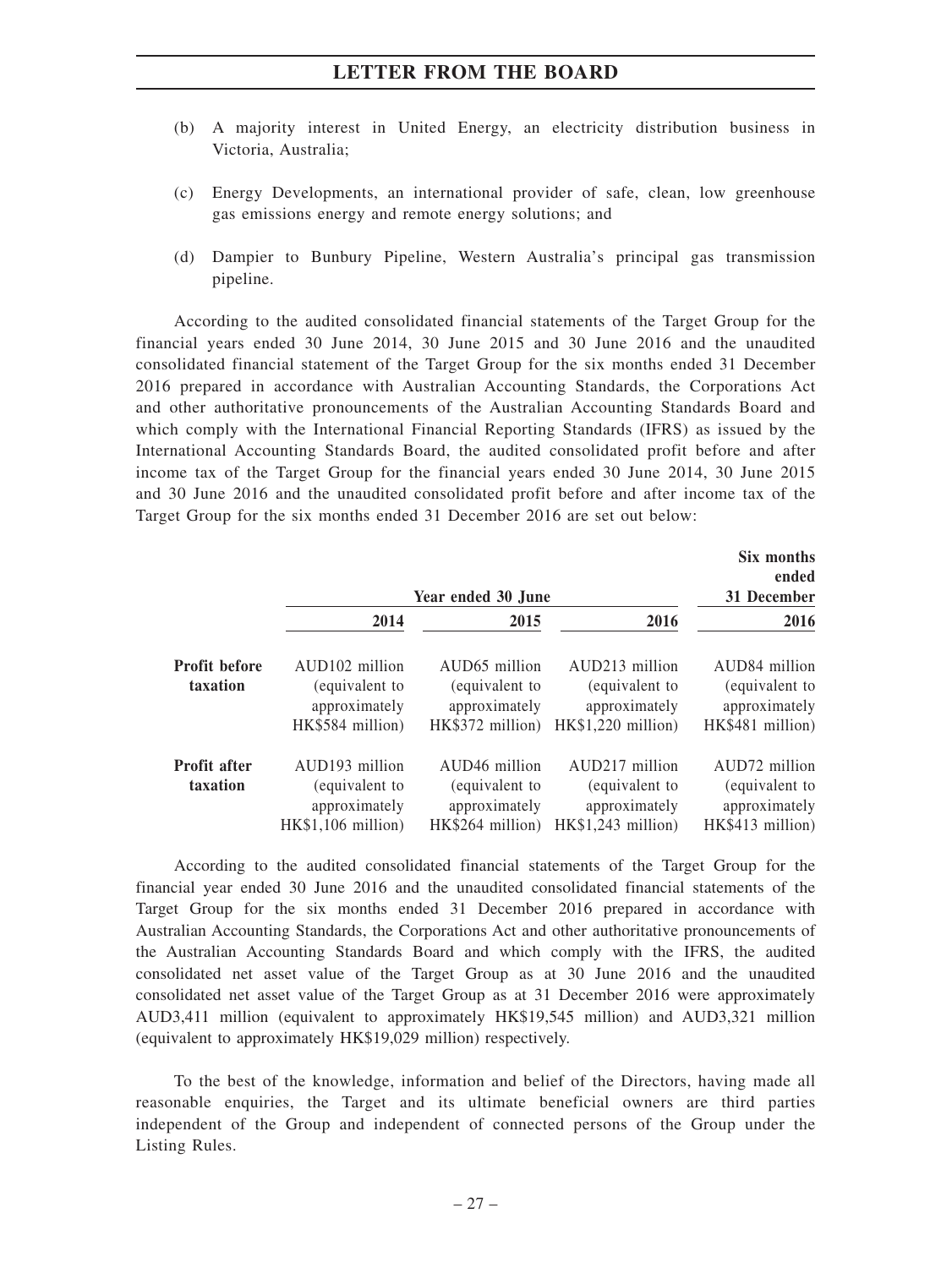- (b) A majority interest in United Energy, an electricity distribution business in Victoria, Australia;
- (c) Energy Developments, an international provider of safe, clean, low greenhouse gas emissions energy and remote energy solutions; and
- (d) Dampier to Bunbury Pipeline, Western Australia's principal gas transmission pipeline.

According to the audited consolidated financial statements of the Target Group for the financial years ended 30 June 2014, 30 June 2015 and 30 June 2016 and the unaudited consolidated financial statement of the Target Group for the six months ended 31 December 2016 prepared in accordance with Australian Accounting Standards, the Corporations Act and other authoritative pronouncements of the Australian Accounting Standards Board and which comply with the International Financial Reporting Standards (IFRS) as issued by the International Accounting Standards Board, the audited consolidated profit before and after income tax of the Target Group for the financial years ended 30 June 2014, 30 June 2015 and 30 June 2016 and the unaudited consolidated profit before and after income tax of the Target Group for the six months ended 31 December 2016 are set out below:

|                                  | Year ended 30 June                                                                  |                                                                                  | Six months<br>ended<br>31 December                                       |                                                                                  |
|----------------------------------|-------------------------------------------------------------------------------------|----------------------------------------------------------------------------------|--------------------------------------------------------------------------|----------------------------------------------------------------------------------|
|                                  | 2014                                                                                | 2015                                                                             | 2016                                                                     | 2016                                                                             |
| <b>Profit before</b><br>taxation | AUD <sub>102</sub> million<br>(equivalent to<br>approximately<br>HK\$584 million)   | AUD <sub>65</sub> million<br>(equivalent to<br>approximately<br>HK\$372 million) | AUD213 million<br>(equivalent to<br>approximately<br>HK\$1,220 million)  | AUD <sub>84</sub> million<br>(equivalent to<br>approximately<br>HK\$481 million) |
| <b>Profit after</b><br>taxation  | AUD <sub>193</sub> million<br>(equivalent to<br>approximately<br>HK\$1.106 million) | AUD <sub>46</sub> million<br>(equivalent to<br>approximately<br>HK\$264 million) | AUD217 million<br>(equivalent to<br>approximately<br>$HK$1.243$ million) | AUD72 million<br>(equivalent to<br>approximately<br>$HK$413$ million)            |

According to the audited consolidated financial statements of the Target Group for the financial year ended 30 June 2016 and the unaudited consolidated financial statements of the Target Group for the six months ended 31 December 2016 prepared in accordance with Australian Accounting Standards, the Corporations Act and other authoritative pronouncements of the Australian Accounting Standards Board and which comply with the IFRS, the audited consolidated net asset value of the Target Group as at 30 June 2016 and the unaudited consolidated net asset value of the Target Group as at 31 December 2016 were approximately AUD3,411 million (equivalent to approximately HK\$19,545 million) and AUD3,321 million (equivalent to approximately HK\$19,029 million) respectively.

To the best of the knowledge, information and belief of the Directors, having made all reasonable enquiries, the Target and its ultimate beneficial owners are third parties independent of the Group and independent of connected persons of the Group under the Listing Rules.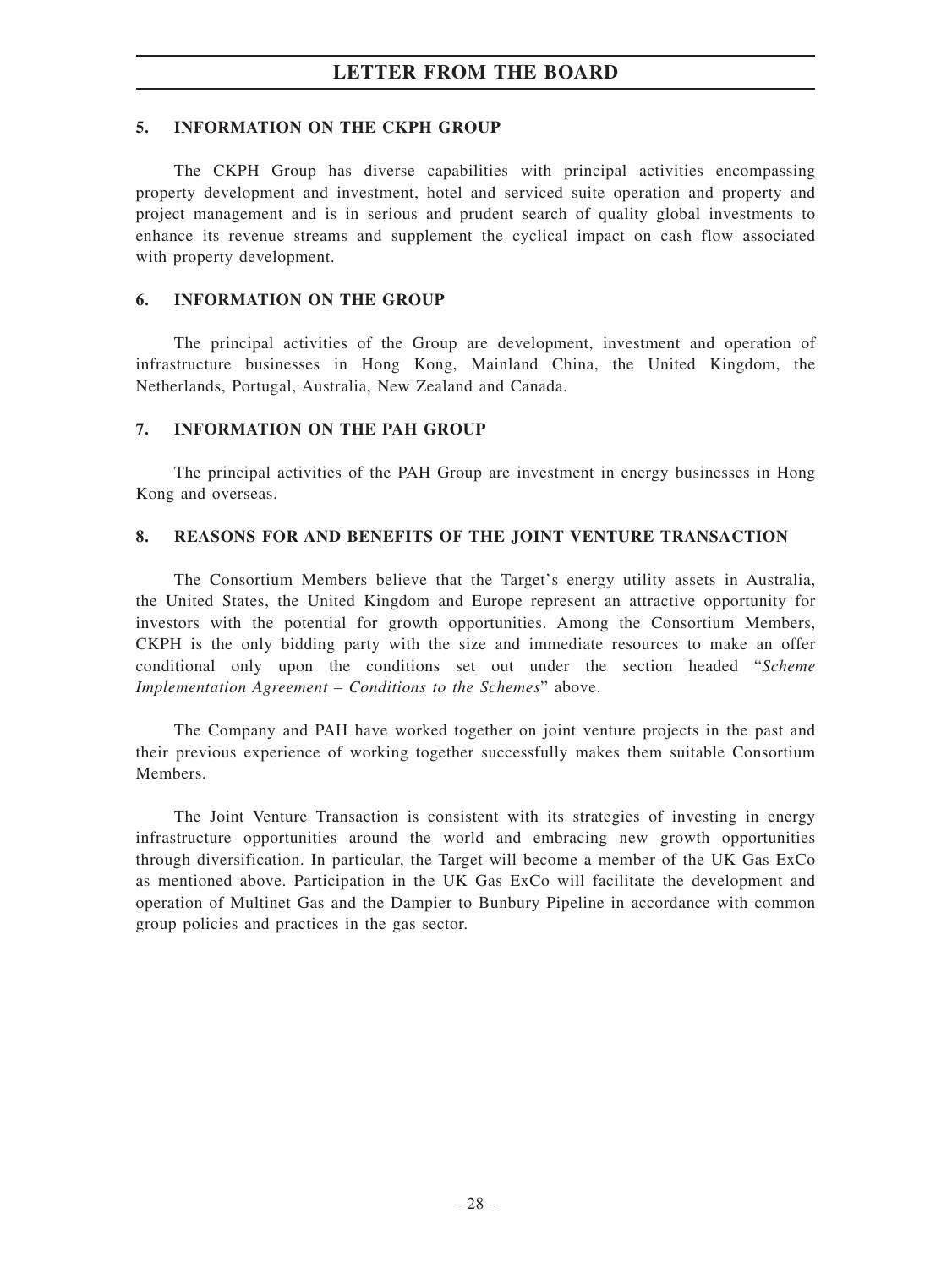### **5. INFORMATION ON THE CKPH GROUP**

The CKPH Group has diverse capabilities with principal activities encompassing property development and investment, hotel and serviced suite operation and property and project management and is in serious and prudent search of quality global investments to enhance its revenue streams and supplement the cyclical impact on cash flow associated with property development.

#### **6. INFORMATION ON THE GROUP**

The principal activities of the Group are development, investment and operation of infrastructure businesses in Hong Kong, Mainland China, the United Kingdom, the Netherlands, Portugal, Australia, New Zealand and Canada.

#### **7. INFORMATION ON THE PAH GROUP**

The principal activities of the PAH Group are investment in energy businesses in Hong Kong and overseas.

#### **8. REASONS FOR AND BENEFITS OF THE JOINT VENTURE TRANSACTION**

The Consortium Members believe that the Target's energy utility assets in Australia, the United States, the United Kingdom and Europe represent an attractive opportunity for investors with the potential for growth opportunities. Among the Consortium Members, CKPH is the only bidding party with the size and immediate resources to make an offer conditional only upon the conditions set out under the section headed "*Scheme Implementation Agreement – Conditions to the Schemes*" above.

The Company and PAH have worked together on joint venture projects in the past and their previous experience of working together successfully makes them suitable Consortium Members.

The Joint Venture Transaction is consistent with its strategies of investing in energy infrastructure opportunities around the world and embracing new growth opportunities through diversification. In particular, the Target will become a member of the UK Gas ExCo as mentioned above. Participation in the UK Gas ExCo will facilitate the development and operation of Multinet Gas and the Dampier to Bunbury Pipeline in accordance with common group policies and practices in the gas sector.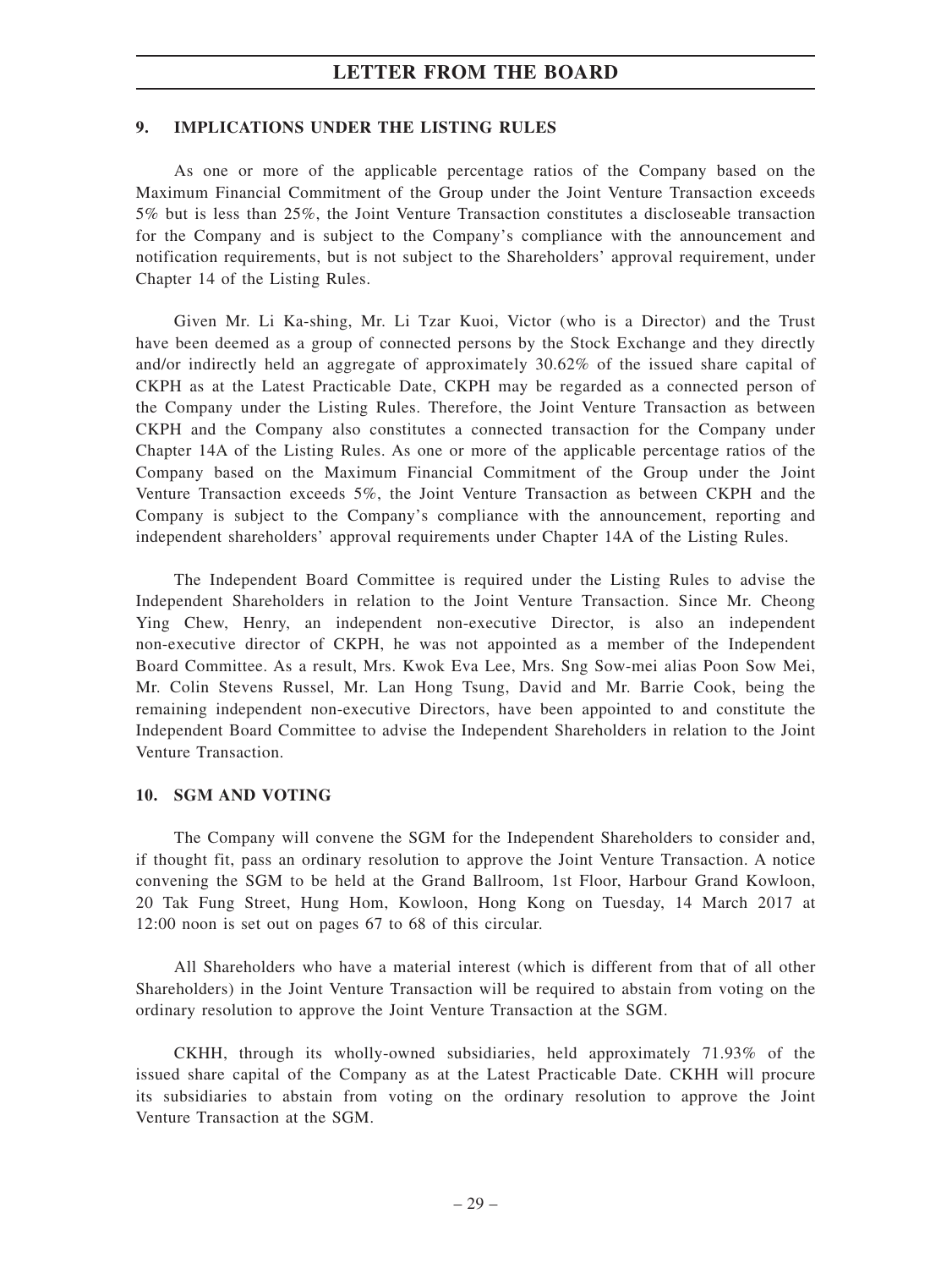## **9. IMPLICATIONS UNDER THE LISTING RULES**

As one or more of the applicable percentage ratios of the Company based on the Maximum Financial Commitment of the Group under the Joint Venture Transaction exceeds 5% but is less than 25%, the Joint Venture Transaction constitutes a discloseable transaction for the Company and is subject to the Company's compliance with the announcement and notification requirements, but is not subject to the Shareholders' approval requirement, under Chapter 14 of the Listing Rules.

Given Mr. Li Ka-shing, Mr. Li Tzar Kuoi, Victor (who is a Director) and the Trust have been deemed as a group of connected persons by the Stock Exchange and they directly and/or indirectly held an aggregate of approximately 30.62% of the issued share capital of CKPH as at the Latest Practicable Date, CKPH may be regarded as a connected person of the Company under the Listing Rules. Therefore, the Joint Venture Transaction as between CKPH and the Company also constitutes a connected transaction for the Company under Chapter 14A of the Listing Rules. As one or more of the applicable percentage ratios of the Company based on the Maximum Financial Commitment of the Group under the Joint Venture Transaction exceeds 5%, the Joint Venture Transaction as between CKPH and the Company is subject to the Company's compliance with the announcement, reporting and independent shareholders' approval requirements under Chapter 14A of the Listing Rules.

The Independent Board Committee is required under the Listing Rules to advise the Independent Shareholders in relation to the Joint Venture Transaction. Since Mr. Cheong Ying Chew, Henry, an independent non-executive Director, is also an independent non-executive director of CKPH, he was not appointed as a member of the Independent Board Committee. As a result, Mrs. Kwok Eva Lee, Mrs. Sng Sow-mei alias Poon Sow Mei, Mr. Colin Stevens Russel, Mr. Lan Hong Tsung, David and Mr. Barrie Cook, being the remaining independent non-executive Directors, have been appointed to and constitute the Independent Board Committee to advise the Independent Shareholders in relation to the Joint Venture Transaction.

#### **10. SGM AND VOTING**

The Company will convene the SGM for the Independent Shareholders to consider and, if thought fit, pass an ordinary resolution to approve the Joint Venture Transaction. A notice convening the SGM to be held at the Grand Ballroom, 1st Floor, Harbour Grand Kowloon, 20 Tak Fung Street, Hung Hom, Kowloon, Hong Kong on Tuesday, 14 March 2017 at 12:00 noon is set out on pages 67 to 68 of this circular.

All Shareholders who have a material interest (which is different from that of all other Shareholders) in the Joint Venture Transaction will be required to abstain from voting on the ordinary resolution to approve the Joint Venture Transaction at the SGM.

CKHH, through its wholly-owned subsidiaries, held approximately 71.93% of the issued share capital of the Company as at the Latest Practicable Date. CKHH will procure its subsidiaries to abstain from voting on the ordinary resolution to approve the Joint Venture Transaction at the SGM.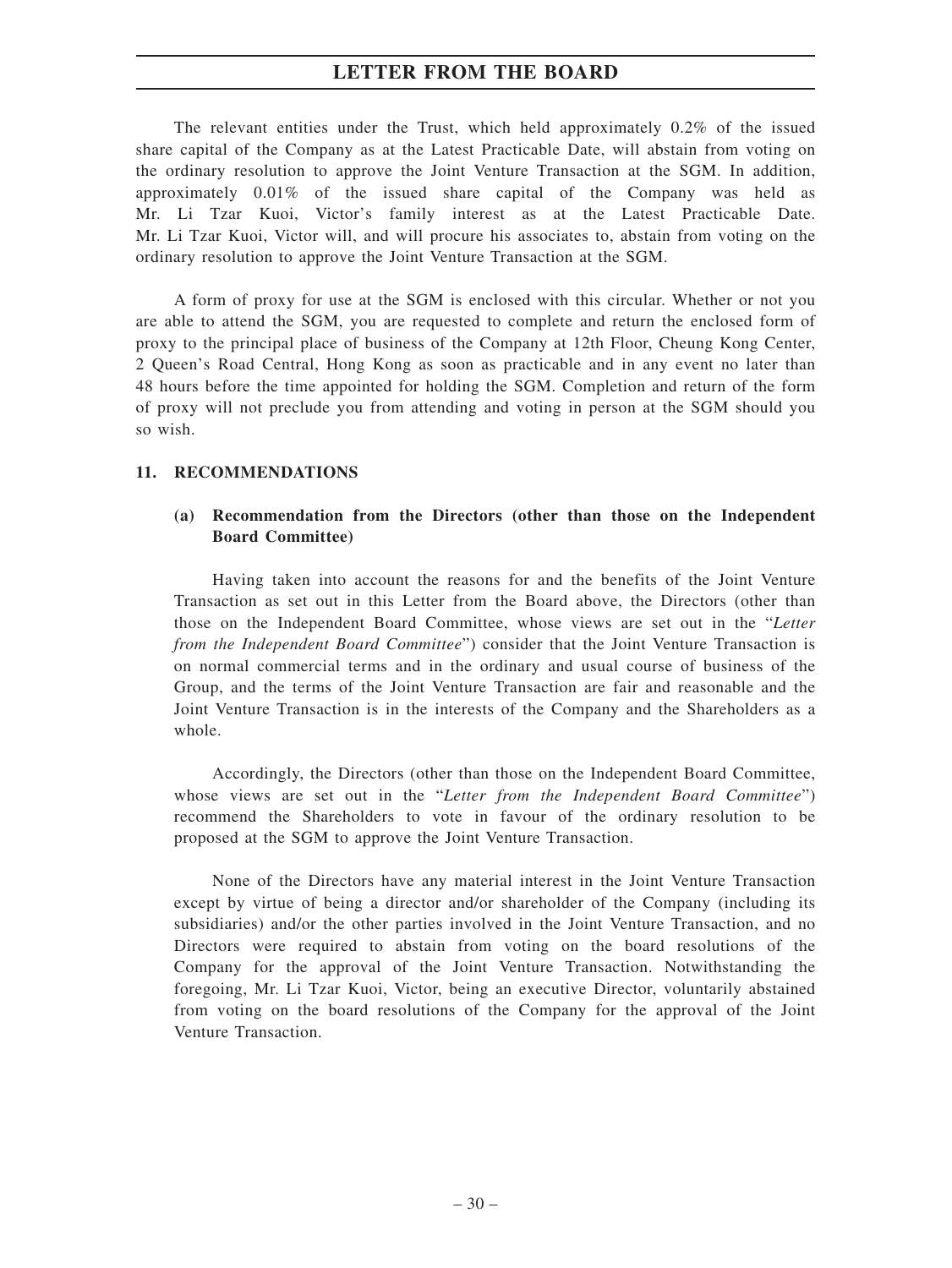The relevant entities under the Trust, which held approximately 0.2% of the issued share capital of the Company as at the Latest Practicable Date, will abstain from voting on the ordinary resolution to approve the Joint Venture Transaction at the SGM. In addition, approximately 0.01% of the issued share capital of the Company was held as Mr. Li Tzar Kuoi, Victor's family interest as at the Latest Practicable Date. Mr. Li Tzar Kuoi, Victor will, and will procure his associates to, abstain from voting on the ordinary resolution to approve the Joint Venture Transaction at the SGM.

A form of proxy for use at the SGM is enclosed with this circular. Whether or not you are able to attend the SGM, you are requested to complete and return the enclosed form of proxy to the principal place of business of the Company at 12th Floor, Cheung Kong Center, 2 Queen's Road Central, Hong Kong as soon as practicable and in any event no later than 48 hours before the time appointed for holding the SGM. Completion and return of the form of proxy will not preclude you from attending and voting in person at the SGM should you so wish.

### **11. RECOMMENDATIONS**

# **(a) Recommendation from the Directors (other than those on the Independent Board Committee)**

Having taken into account the reasons for and the benefits of the Joint Venture Transaction as set out in this Letter from the Board above, the Directors (other than those on the Independent Board Committee, whose views are set out in the "*Letter from the Independent Board Committee*") consider that the Joint Venture Transaction is on normal commercial terms and in the ordinary and usual course of business of the Group, and the terms of the Joint Venture Transaction are fair and reasonable and the Joint Venture Transaction is in the interests of the Company and the Shareholders as a whole.

Accordingly, the Directors (other than those on the Independent Board Committee, whose views are set out in the "*Letter from the Independent Board Committee*") recommend the Shareholders to vote in favour of the ordinary resolution to be proposed at the SGM to approve the Joint Venture Transaction.

None of the Directors have any material interest in the Joint Venture Transaction except by virtue of being a director and/or shareholder of the Company (including its subsidiaries) and/or the other parties involved in the Joint Venture Transaction, and no Directors were required to abstain from voting on the board resolutions of the Company for the approval of the Joint Venture Transaction. Notwithstanding the foregoing, Mr. Li Tzar Kuoi, Victor, being an executive Director, voluntarily abstained from voting on the board resolutions of the Company for the approval of the Joint Venture Transaction.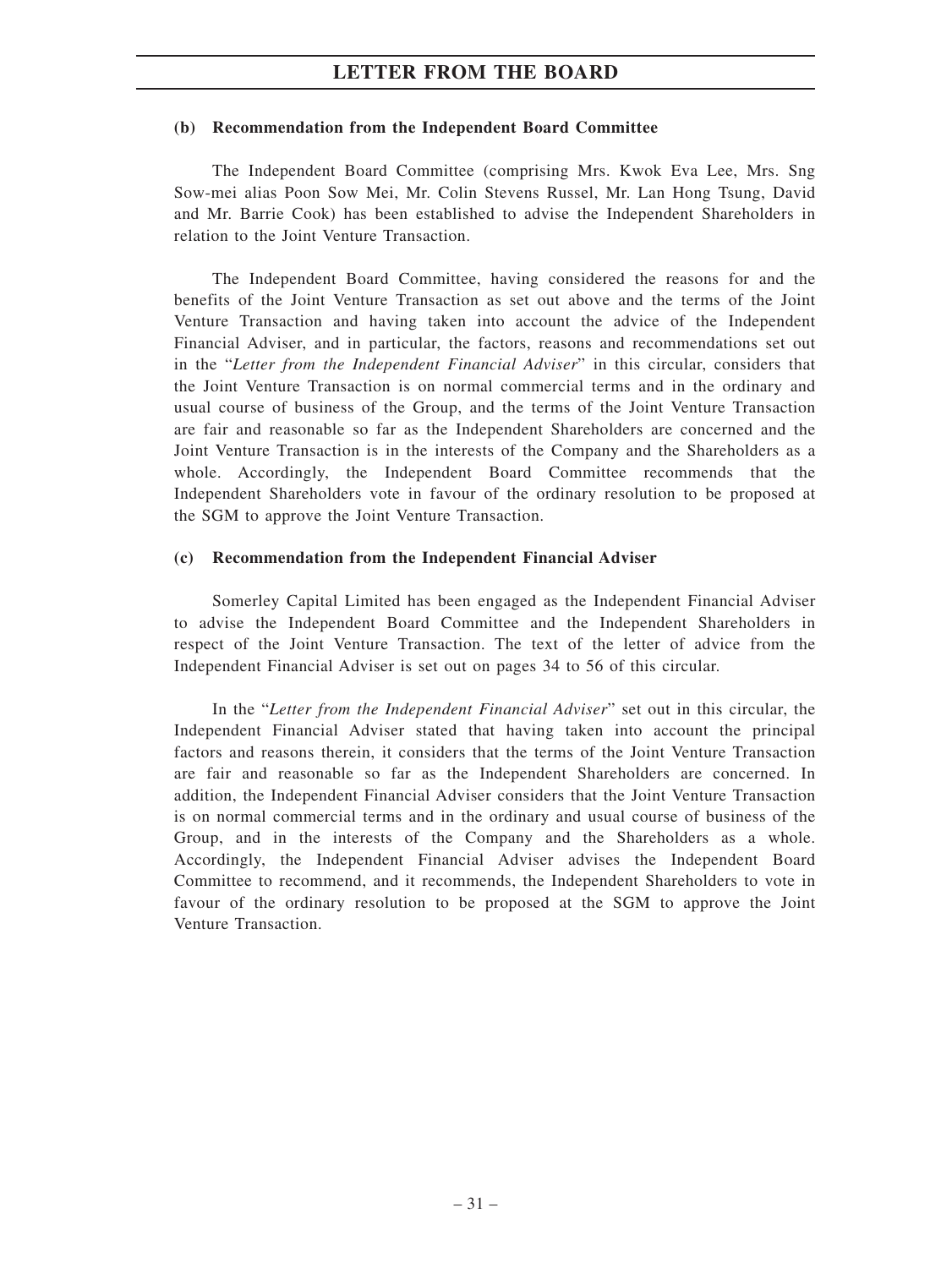#### **(b) Recommendation from the Independent Board Committee**

The Independent Board Committee (comprising Mrs. Kwok Eva Lee, Mrs. Sng Sow-mei alias Poon Sow Mei, Mr. Colin Stevens Russel, Mr. Lan Hong Tsung, David and Mr. Barrie Cook) has been established to advise the Independent Shareholders in relation to the Joint Venture Transaction.

The Independent Board Committee, having considered the reasons for and the benefits of the Joint Venture Transaction as set out above and the terms of the Joint Venture Transaction and having taken into account the advice of the Independent Financial Adviser, and in particular, the factors, reasons and recommendations set out in the "*Letter from the Independent Financial Adviser*" in this circular, considers that the Joint Venture Transaction is on normal commercial terms and in the ordinary and usual course of business of the Group, and the terms of the Joint Venture Transaction are fair and reasonable so far as the Independent Shareholders are concerned and the Joint Venture Transaction is in the interests of the Company and the Shareholders as a whole. Accordingly, the Independent Board Committee recommends that the Independent Shareholders vote in favour of the ordinary resolution to be proposed at the SGM to approve the Joint Venture Transaction.

#### **(c) Recommendation from the Independent Financial Adviser**

Somerley Capital Limited has been engaged as the Independent Financial Adviser to advise the Independent Board Committee and the Independent Shareholders in respect of the Joint Venture Transaction. The text of the letter of advice from the Independent Financial Adviser is set out on pages 34 to 56 of this circular.

In the "*Letter from the Independent Financial Adviser*" set out in this circular, the Independent Financial Adviser stated that having taken into account the principal factors and reasons therein, it considers that the terms of the Joint Venture Transaction are fair and reasonable so far as the Independent Shareholders are concerned. In addition, the Independent Financial Adviser considers that the Joint Venture Transaction is on normal commercial terms and in the ordinary and usual course of business of the Group, and in the interests of the Company and the Shareholders as a whole. Accordingly, the Independent Financial Adviser advises the Independent Board Committee to recommend, and it recommends, the Independent Shareholders to vote in favour of the ordinary resolution to be proposed at the SGM to approve the Joint Venture Transaction.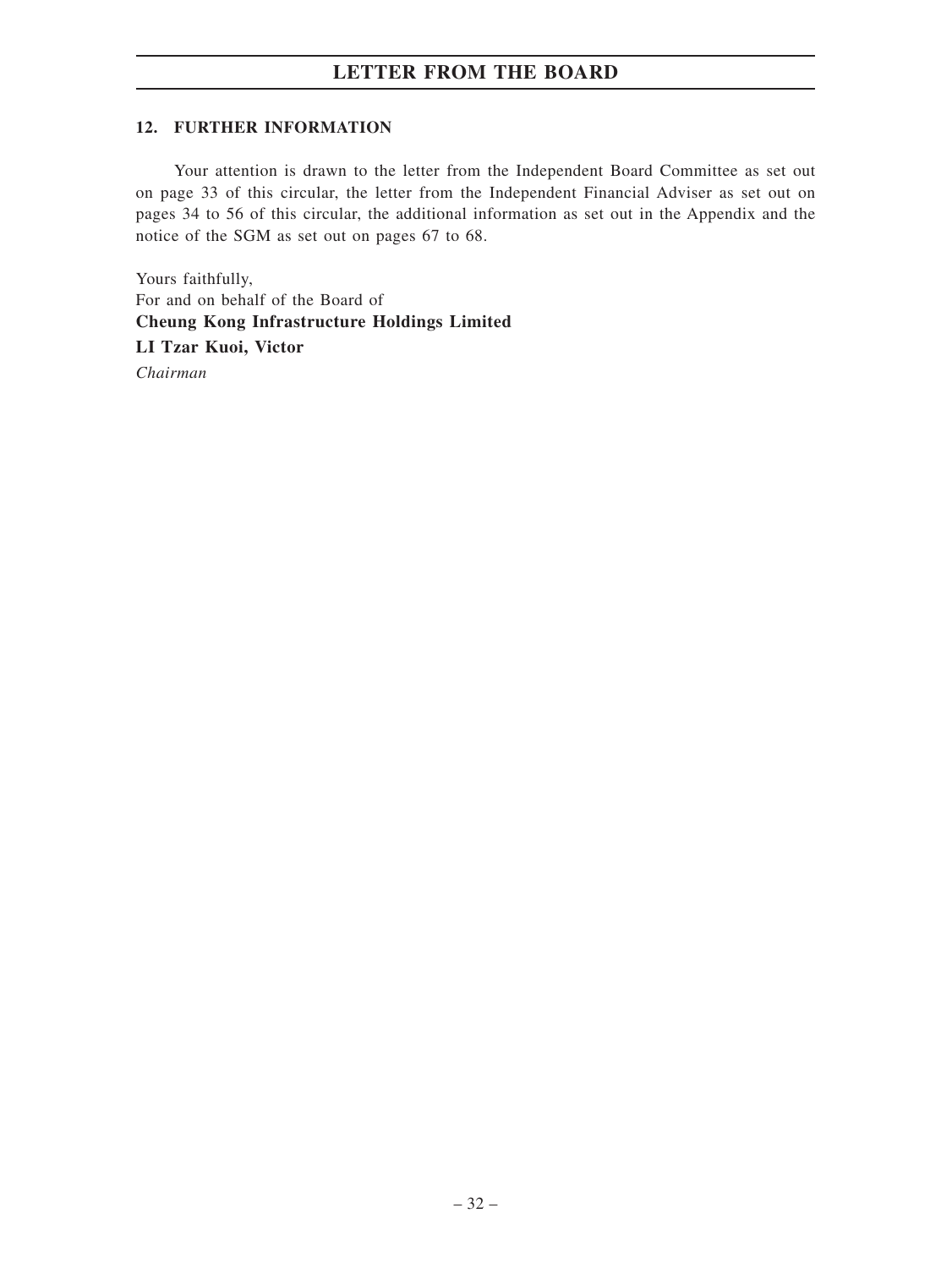# **12. FURTHER INFORMATION**

Your attention is drawn to the letter from the Independent Board Committee as set out on page 33 of this circular, the letter from the Independent Financial Adviser as set out on pages 34 to 56 of this circular, the additional information as set out in the Appendix and the notice of the SGM as set out on pages 67 to 68.

Yours faithfully, For and on behalf of the Board of **Cheung Kong Infrastructure Holdings Limited LI Tzar Kuoi, Victor** *Chairman*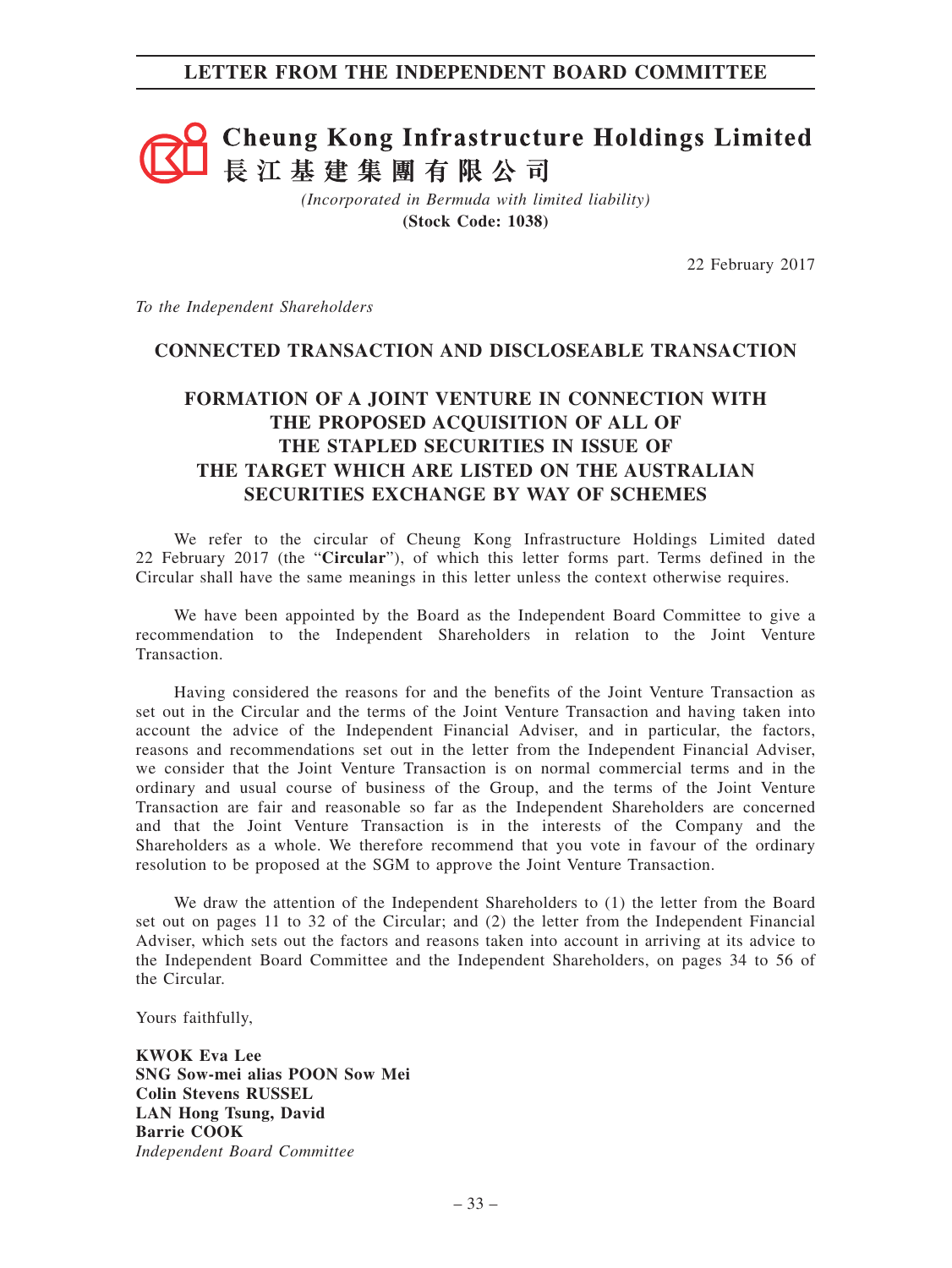# **Cheung Kong Infrastructure Holdings Limited** 長江基建集團有限公司

*(Incorporated in Bermuda with limited liability)* **(Stock Code: 1038)**

22 February 2017

*To the Independent Shareholders*

# **CONNECTED TRANSACTION AND DISCLOSEABLE TRANSACTION**

# **FORMATION OF A JOINT VENTURE IN CONNECTION WITH THE PROPOSED ACQUISITION OF ALL OF THE STAPLED SECURITIES IN ISSUE OF THE TARGET WHICH ARE LISTED ON THE AUSTRALIAN SECURITIES EXCHANGE BY WAY OF SCHEMES**

We refer to the circular of Cheung Kong Infrastructure Holdings Limited dated 22 February 2017 (the "**Circular**"), of which this letter forms part. Terms defined in the Circular shall have the same meanings in this letter unless the context otherwise requires.

We have been appointed by the Board as the Independent Board Committee to give a recommendation to the Independent Shareholders in relation to the Joint Venture Transaction.

Having considered the reasons for and the benefits of the Joint Venture Transaction as set out in the Circular and the terms of the Joint Venture Transaction and having taken into account the advice of the Independent Financial Adviser, and in particular, the factors, reasons and recommendations set out in the letter from the Independent Financial Adviser, we consider that the Joint Venture Transaction is on normal commercial terms and in the ordinary and usual course of business of the Group, and the terms of the Joint Venture Transaction are fair and reasonable so far as the Independent Shareholders are concerned and that the Joint Venture Transaction is in the interests of the Company and the Shareholders as a whole. We therefore recommend that you vote in favour of the ordinary resolution to be proposed at the SGM to approve the Joint Venture Transaction.

We draw the attention of the Independent Shareholders to (1) the letter from the Board set out on pages 11 to 32 of the Circular; and (2) the letter from the Independent Financial Adviser, which sets out the factors and reasons taken into account in arriving at its advice to the Independent Board Committee and the Independent Shareholders, on pages 34 to 56 of the Circular.

Yours faithfully,

**KWOK Eva Lee SNG Sow-mei alias POON Sow Mei Colin Stevens RUSSEL LAN Hong Tsung, David Barrie COOK** *Independent Board Committee*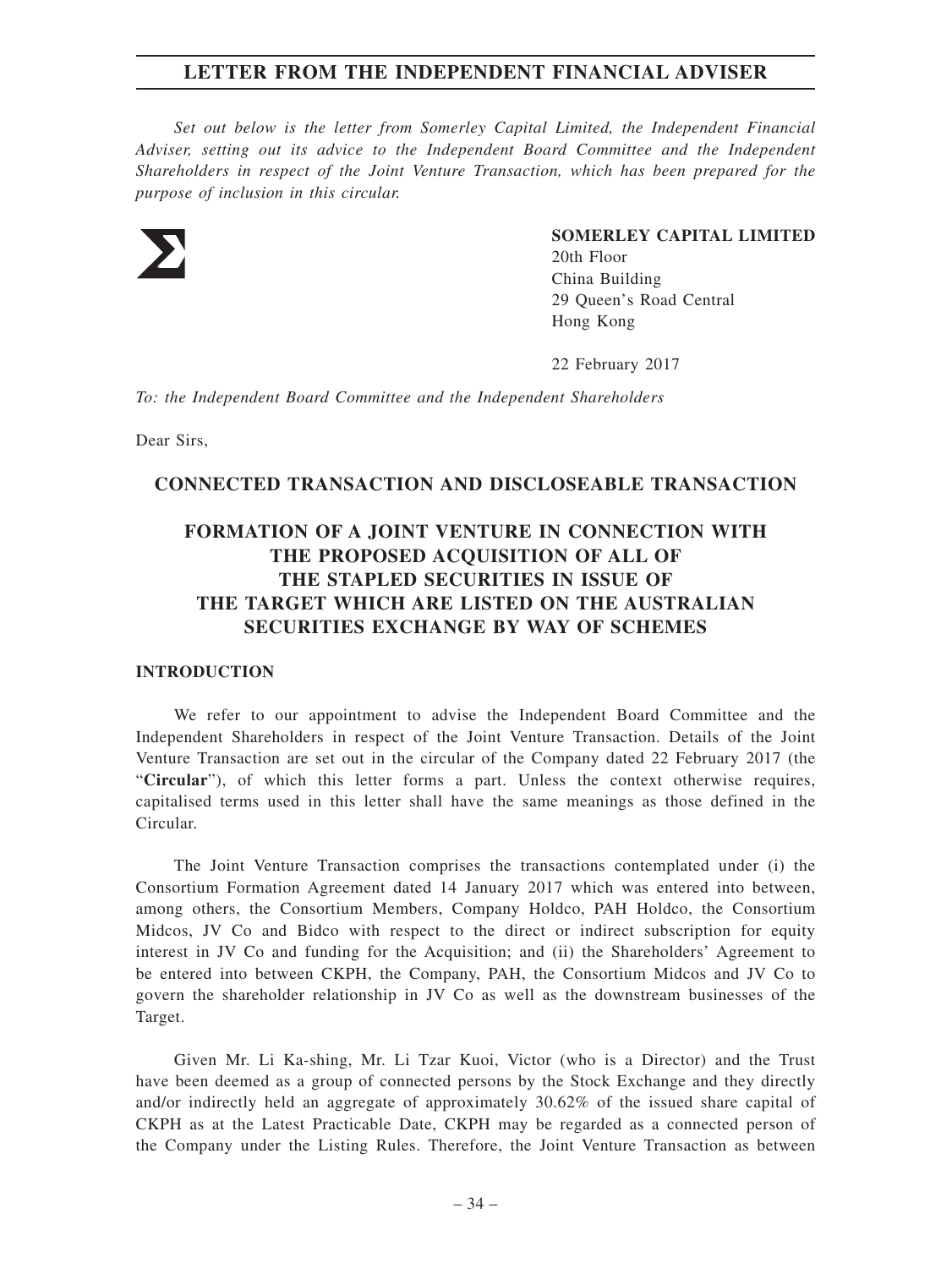*Set out below is the letter from Somerley Capital Limited, the Independent Financial Adviser, setting out its advice to the Independent Board Committee and the Independent Shareholders in respect of the Joint Venture Transaction, which has been prepared for the purpose of inclusion in this circular.*



**SOMERLEY CAPITAL LIMITED**

20th Floor China Building 29 Queen's Road Central Hong Kong

22 February 2017

*To: the Independent Board Committee and the Independent Shareholders*

Dear Sirs,

## **CONNECTED TRANSACTION AND DISCLOSEABLE TRANSACTION**

# **FORMATION OF A JOINT VENTURE IN CONNECTION WITH THE PROPOSED ACQUISITION OF ALL OF THE STAPLED SECURITIES IN ISSUE OF THE TARGET WHICH ARE LISTED ON THE AUSTRALIAN SECURITIES EXCHANGE BY WAY OF SCHEMES**

#### **INTRODUCTION**

We refer to our appointment to advise the Independent Board Committee and the Independent Shareholders in respect of the Joint Venture Transaction. Details of the Joint Venture Transaction are set out in the circular of the Company dated 22 February 2017 (the "**Circular**"), of which this letter forms a part. Unless the context otherwise requires, capitalised terms used in this letter shall have the same meanings as those defined in the Circular.

The Joint Venture Transaction comprises the transactions contemplated under (i) the Consortium Formation Agreement dated 14 January 2017 which was entered into between, among others, the Consortium Members, Company Holdco, PAH Holdco, the Consortium Midcos, JV Co and Bidco with respect to the direct or indirect subscription for equity interest in JV Co and funding for the Acquisition; and (ii) the Shareholders' Agreement to be entered into between CKPH, the Company, PAH, the Consortium Midcos and JV Co to govern the shareholder relationship in JV Co as well as the downstream businesses of the Target.

Given Mr. Li Ka-shing, Mr. Li Tzar Kuoi, Victor (who is a Director) and the Trust have been deemed as a group of connected persons by the Stock Exchange and they directly and/or indirectly held an aggregate of approximately 30.62% of the issued share capital of CKPH as at the Latest Practicable Date, CKPH may be regarded as a connected person of the Company under the Listing Rules. Therefore, the Joint Venture Transaction as between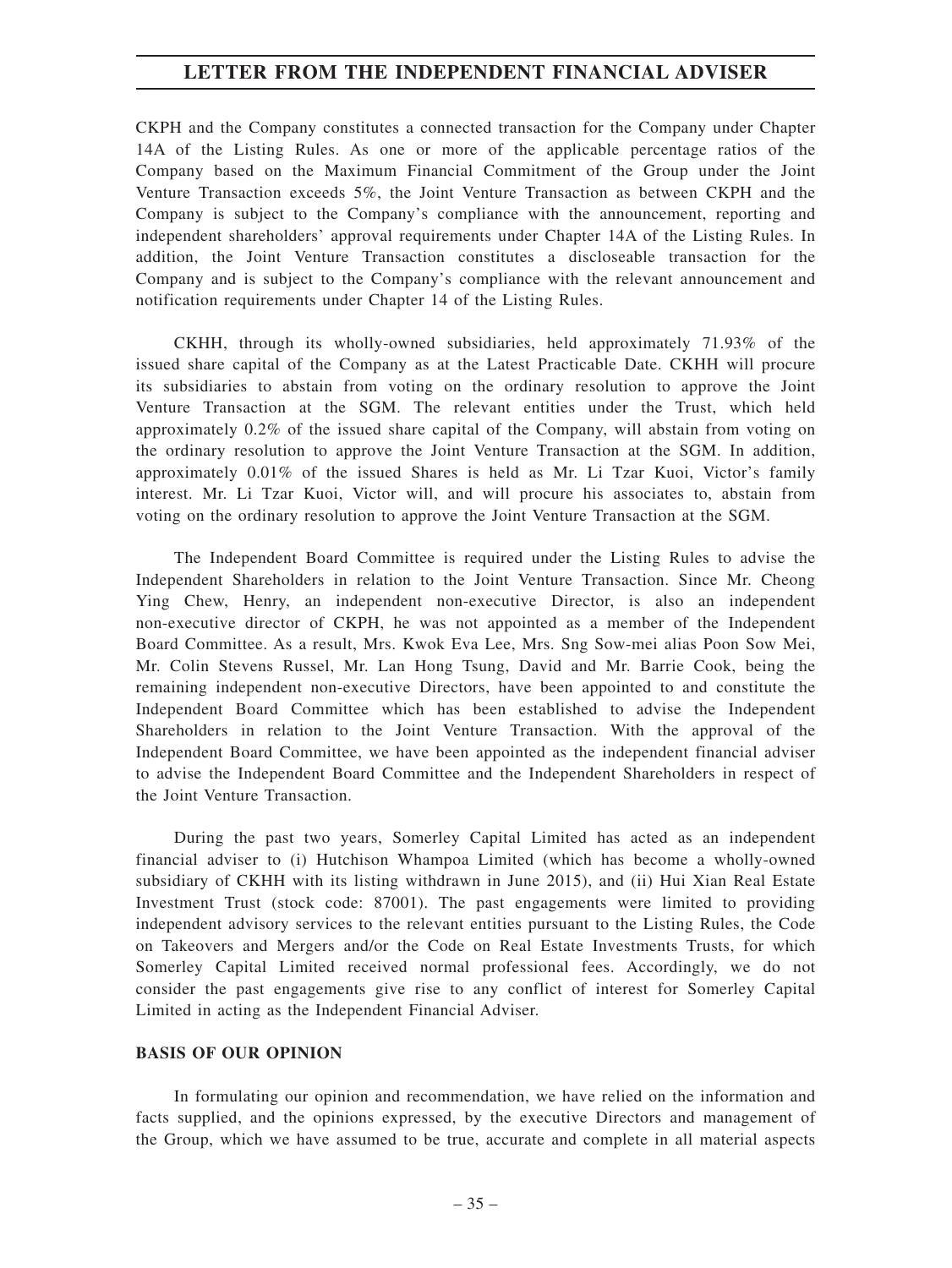CKPH and the Company constitutes a connected transaction for the Company under Chapter 14A of the Listing Rules. As one or more of the applicable percentage ratios of the Company based on the Maximum Financial Commitment of the Group under the Joint Venture Transaction exceeds 5%, the Joint Venture Transaction as between CKPH and the Company is subject to the Company's compliance with the announcement, reporting and independent shareholders' approval requirements under Chapter 14A of the Listing Rules. In addition, the Joint Venture Transaction constitutes a discloseable transaction for the Company and is subject to the Company's compliance with the relevant announcement and notification requirements under Chapter 14 of the Listing Rules.

CKHH, through its wholly-owned subsidiaries, held approximately 71.93% of the issued share capital of the Company as at the Latest Practicable Date. CKHH will procure its subsidiaries to abstain from voting on the ordinary resolution to approve the Joint Venture Transaction at the SGM. The relevant entities under the Trust, which held approximately 0.2% of the issued share capital of the Company, will abstain from voting on the ordinary resolution to approve the Joint Venture Transaction at the SGM. In addition, approximately 0.01% of the issued Shares is held as Mr. Li Tzar Kuoi, Victor's family interest. Mr. Li Tzar Kuoi, Victor will, and will procure his associates to, abstain from voting on the ordinary resolution to approve the Joint Venture Transaction at the SGM.

The Independent Board Committee is required under the Listing Rules to advise the Independent Shareholders in relation to the Joint Venture Transaction. Since Mr. Cheong Ying Chew, Henry, an independent non-executive Director, is also an independent non-executive director of CKPH, he was not appointed as a member of the Independent Board Committee. As a result, Mrs. Kwok Eva Lee, Mrs. Sng Sow-mei alias Poon Sow Mei, Mr. Colin Stevens Russel, Mr. Lan Hong Tsung, David and Mr. Barrie Cook, being the remaining independent non-executive Directors, have been appointed to and constitute the Independent Board Committee which has been established to advise the Independent Shareholders in relation to the Joint Venture Transaction. With the approval of the Independent Board Committee, we have been appointed as the independent financial adviser to advise the Independent Board Committee and the Independent Shareholders in respect of the Joint Venture Transaction.

During the past two years, Somerley Capital Limited has acted as an independent financial adviser to (i) Hutchison Whampoa Limited (which has become a wholly-owned subsidiary of CKHH with its listing withdrawn in June 2015), and (ii) Hui Xian Real Estate Investment Trust (stock code: 87001). The past engagements were limited to providing independent advisory services to the relevant entities pursuant to the Listing Rules, the Code on Takeovers and Mergers and/or the Code on Real Estate Investments Trusts, for which Somerley Capital Limited received normal professional fees. Accordingly, we do not consider the past engagements give rise to any conflict of interest for Somerley Capital Limited in acting as the Independent Financial Adviser.

#### **BASIS OF OUR OPINION**

In formulating our opinion and recommendation, we have relied on the information and facts supplied, and the opinions expressed, by the executive Directors and management of the Group, which we have assumed to be true, accurate and complete in all material aspects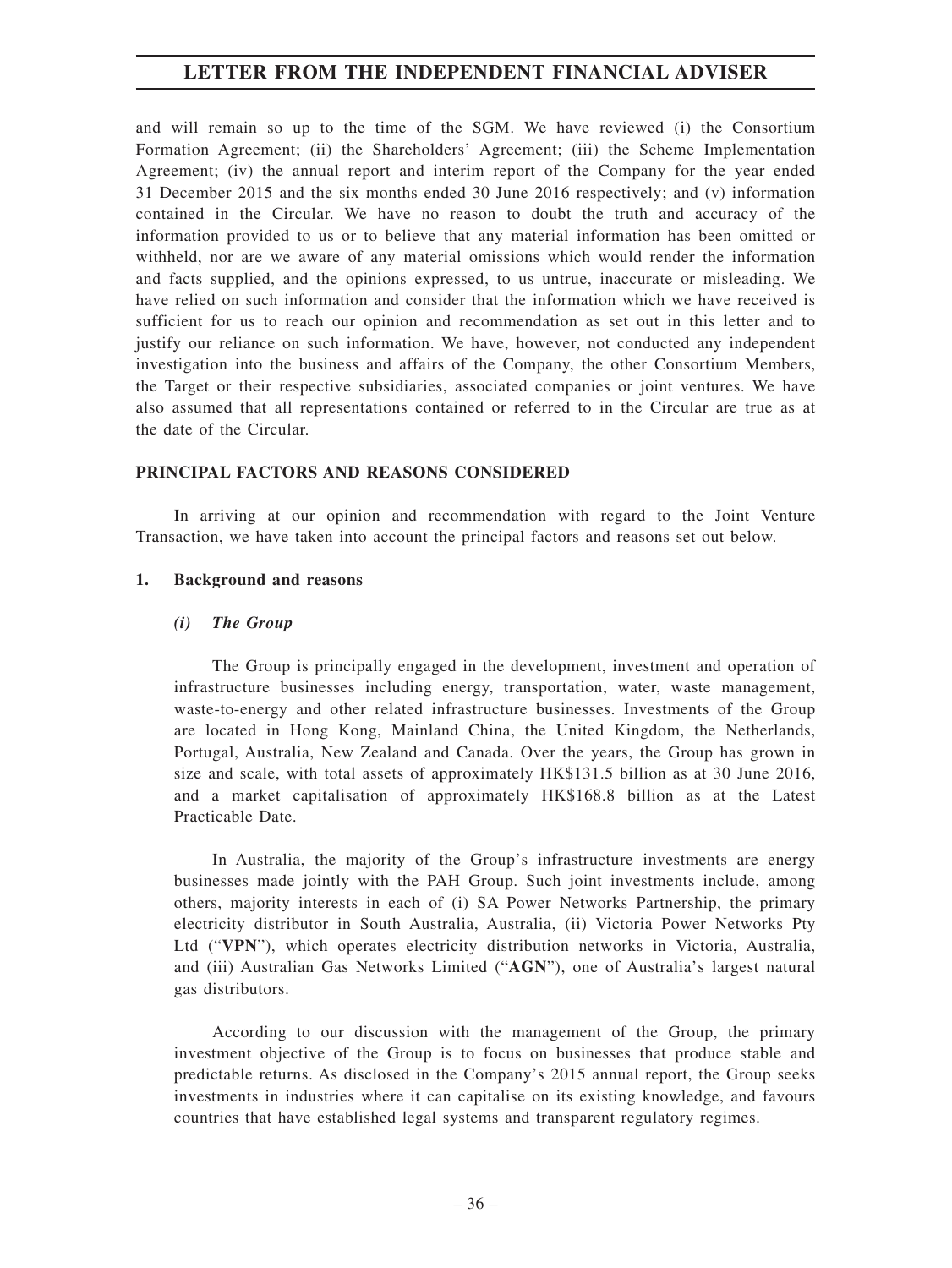and will remain so up to the time of the SGM. We have reviewed (i) the Consortium Formation Agreement; (ii) the Shareholders' Agreement; (iii) the Scheme Implementation Agreement; (iv) the annual report and interim report of the Company for the year ended 31 December 2015 and the six months ended 30 June 2016 respectively; and (v) information contained in the Circular. We have no reason to doubt the truth and accuracy of the information provided to us or to believe that any material information has been omitted or withheld, nor are we aware of any material omissions which would render the information and facts supplied, and the opinions expressed, to us untrue, inaccurate or misleading. We have relied on such information and consider that the information which we have received is sufficient for us to reach our opinion and recommendation as set out in this letter and to justify our reliance on such information. We have, however, not conducted any independent investigation into the business and affairs of the Company, the other Consortium Members, the Target or their respective subsidiaries, associated companies or joint ventures. We have also assumed that all representations contained or referred to in the Circular are true as at the date of the Circular.

#### **PRINCIPAL FACTORS AND REASONS CONSIDERED**

In arriving at our opinion and recommendation with regard to the Joint Venture Transaction, we have taken into account the principal factors and reasons set out below.

#### **1. Background and reasons**

#### *(i) The Group*

The Group is principally engaged in the development, investment and operation of infrastructure businesses including energy, transportation, water, waste management, waste-to-energy and other related infrastructure businesses. Investments of the Group are located in Hong Kong, Mainland China, the United Kingdom, the Netherlands, Portugal, Australia, New Zealand and Canada. Over the years, the Group has grown in size and scale, with total assets of approximately HK\$131.5 billion as at 30 June 2016, and a market capitalisation of approximately HK\$168.8 billion as at the Latest Practicable Date.

In Australia, the majority of the Group's infrastructure investments are energy businesses made jointly with the PAH Group. Such joint investments include, among others, majority interests in each of (i) SA Power Networks Partnership, the primary electricity distributor in South Australia, Australia, (ii) Victoria Power Networks Pty Ltd ("**VPN**"), which operates electricity distribution networks in Victoria, Australia, and (iii) Australian Gas Networks Limited ("**AGN**"), one of Australia's largest natural gas distributors.

According to our discussion with the management of the Group, the primary investment objective of the Group is to focus on businesses that produce stable and predictable returns. As disclosed in the Company's 2015 annual report, the Group seeks investments in industries where it can capitalise on its existing knowledge, and favours countries that have established legal systems and transparent regulatory regimes.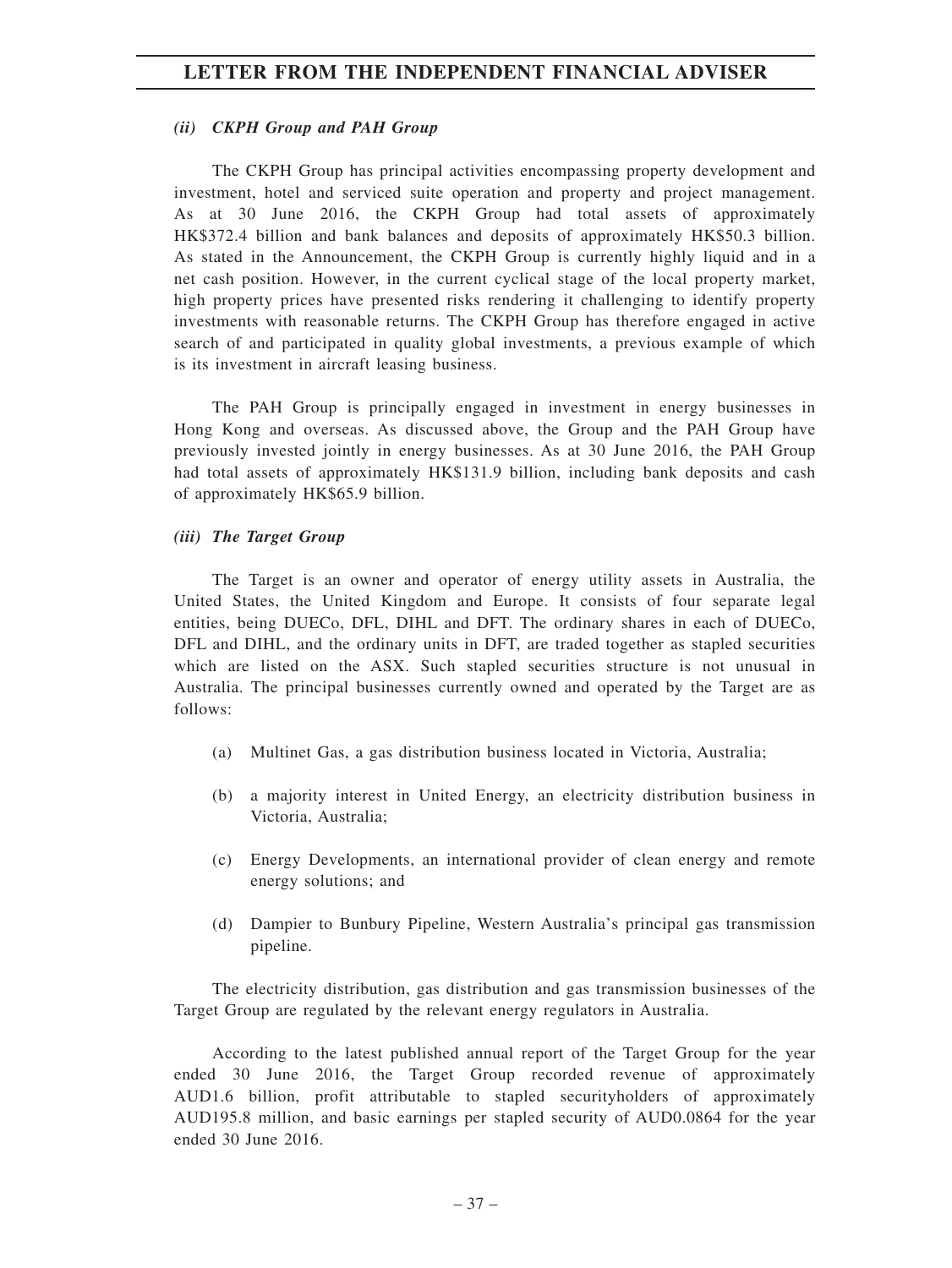### *(ii) CKPH Group and PAH Group*

The CKPH Group has principal activities encompassing property development and investment, hotel and serviced suite operation and property and project management. As at 30 June 2016, the CKPH Group had total assets of approximately HK\$372.4 billion and bank balances and deposits of approximately HK\$50.3 billion. As stated in the Announcement, the CKPH Group is currently highly liquid and in a net cash position. However, in the current cyclical stage of the local property market, high property prices have presented risks rendering it challenging to identify property investments with reasonable returns. The CKPH Group has therefore engaged in active search of and participated in quality global investments, a previous example of which is its investment in aircraft leasing business.

The PAH Group is principally engaged in investment in energy businesses in Hong Kong and overseas. As discussed above, the Group and the PAH Group have previously invested jointly in energy businesses. As at 30 June 2016, the PAH Group had total assets of approximately HK\$131.9 billion, including bank deposits and cash of approximately HK\$65.9 billion.

#### *(iii) The Target Group*

The Target is an owner and operator of energy utility assets in Australia, the United States, the United Kingdom and Europe. It consists of four separate legal entities, being DUECo, DFL, DIHL and DFT. The ordinary shares in each of DUECo, DFL and DIHL, and the ordinary units in DFT, are traded together as stapled securities which are listed on the ASX. Such stapled securities structure is not unusual in Australia. The principal businesses currently owned and operated by the Target are as follows:

- (a) Multinet Gas, a gas distribution business located in Victoria, Australia;
- (b) a majority interest in United Energy, an electricity distribution business in Victoria, Australia;
- (c) Energy Developments, an international provider of clean energy and remote energy solutions; and
- (d) Dampier to Bunbury Pipeline, Western Australia's principal gas transmission pipeline.

The electricity distribution, gas distribution and gas transmission businesses of the Target Group are regulated by the relevant energy regulators in Australia.

According to the latest published annual report of the Target Group for the year ended 30 June 2016, the Target Group recorded revenue of approximately AUD1.6 billion, profit attributable to stapled securityholders of approximately AUD195.8 million, and basic earnings per stapled security of AUD0.0864 for the year ended 30 June 2016.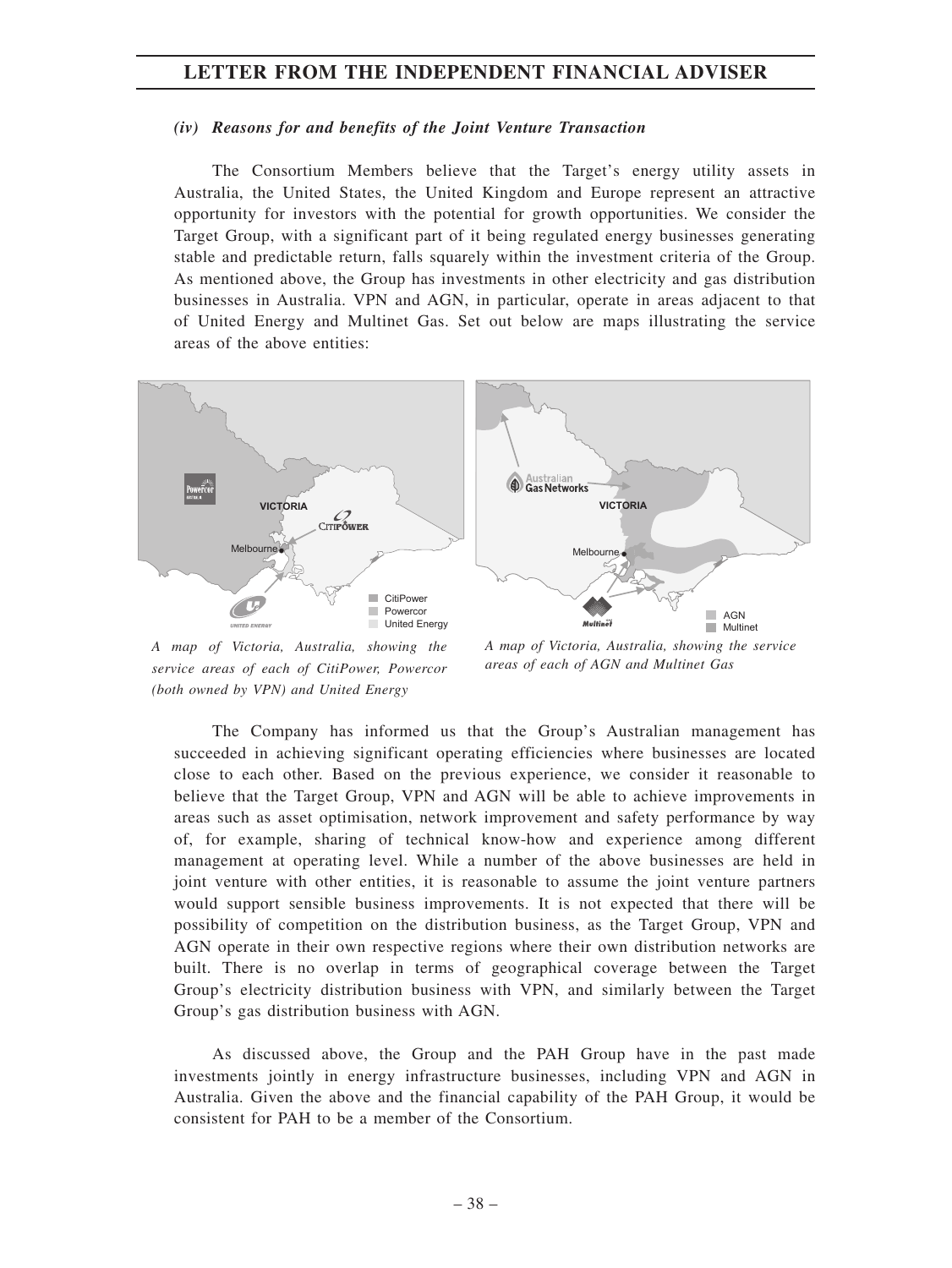#### *(iv) Reasons for and benefits of the Joint Venture Transaction*

The Consortium Members believe that the Target's energy utility assets in Australia, the United States, the United Kingdom and Europe represent an attractive opportunity for investors with the potential for growth opportunities. We consider the Target Group, with a significant part of it being regulated energy businesses generating stable and predictable return, falls squarely within the investment criteria of the Group. As mentioned above, the Group has investments in other electricity and gas distribution businesses in Australia. VPN and AGN, in particular, operate in areas adjacent to that of United Energy and Multinet Gas. Set out below are maps illustrating the service areas of the above entities:



*A map of Victoria, Australia, showing the service areas of each of CitiPower, Powercor (both owned by VPN) and United Energy*

*A map of Victoria, Australia, showing the service areas of each of AGN and Multinet Gas*

The Company has informed us that the Group's Australian management has succeeded in achieving significant operating efficiencies where businesses are located close to each other. Based on the previous experience, we consider it reasonable to believe that the Target Group, VPN and AGN will be able to achieve improvements in areas such as asset optimisation, network improvement and safety performance by way of, for example, sharing of technical know-how and experience among different management at operating level. While a number of the above businesses are held in joint venture with other entities, it is reasonable to assume the joint venture partners would support sensible business improvements. It is not expected that there will be possibility of competition on the distribution business, as the Target Group, VPN and AGN operate in their own respective regions where their own distribution networks are built. There is no overlap in terms of geographical coverage between the Target Group's electricity distribution business with VPN, and similarly between the Target Group's gas distribution business with AGN.

As discussed above, the Group and the PAH Group have in the past made investments jointly in energy infrastructure businesses, including VPN and AGN in Australia. Given the above and the financial capability of the PAH Group, it would be consistent for PAH to be a member of the Consortium.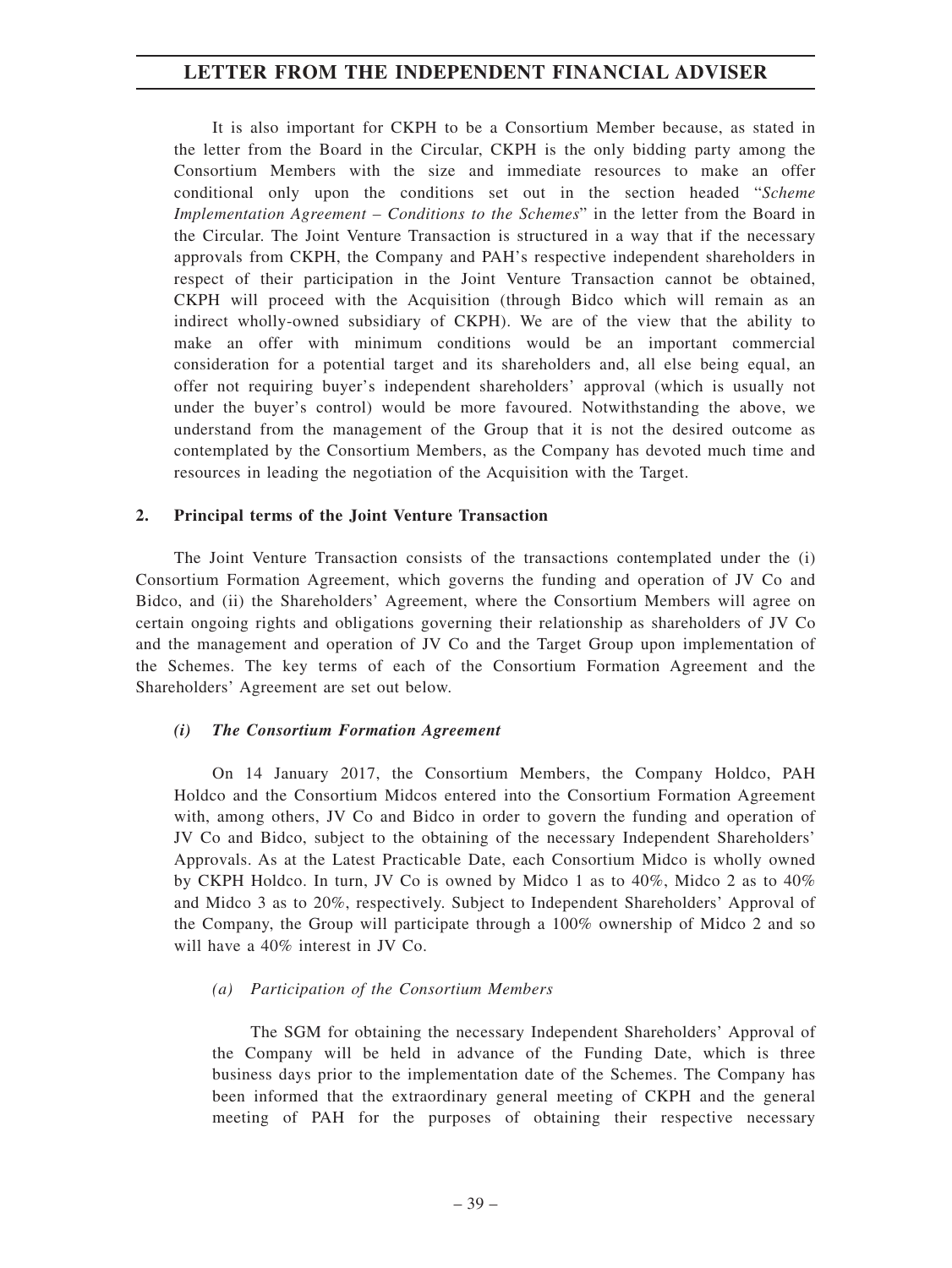It is also important for CKPH to be a Consortium Member because, as stated in the letter from the Board in the Circular, CKPH is the only bidding party among the Consortium Members with the size and immediate resources to make an offer conditional only upon the conditions set out in the section headed "*Scheme Implementation Agreement – Conditions to the Schemes*" in the letter from the Board in the Circular. The Joint Venture Transaction is structured in a way that if the necessary approvals from CKPH, the Company and PAH's respective independent shareholders in respect of their participation in the Joint Venture Transaction cannot be obtained, CKPH will proceed with the Acquisition (through Bidco which will remain as an indirect wholly-owned subsidiary of CKPH). We are of the view that the ability to make an offer with minimum conditions would be an important commercial consideration for a potential target and its shareholders and, all else being equal, an offer not requiring buyer's independent shareholders' approval (which is usually not under the buyer's control) would be more favoured. Notwithstanding the above, we understand from the management of the Group that it is not the desired outcome as contemplated by the Consortium Members, as the Company has devoted much time and resources in leading the negotiation of the Acquisition with the Target.

#### **2. Principal terms of the Joint Venture Transaction**

The Joint Venture Transaction consists of the transactions contemplated under the (i) Consortium Formation Agreement, which governs the funding and operation of JV Co and Bidco, and (ii) the Shareholders' Agreement, where the Consortium Members will agree on certain ongoing rights and obligations governing their relationship as shareholders of JV Co and the management and operation of JV Co and the Target Group upon implementation of the Schemes. The key terms of each of the Consortium Formation Agreement and the Shareholders' Agreement are set out below.

#### *(i) The Consortium Formation Agreement*

On 14 January 2017, the Consortium Members, the Company Holdco, PAH Holdco and the Consortium Midcos entered into the Consortium Formation Agreement with, among others, JV Co and Bidco in order to govern the funding and operation of JV Co and Bidco, subject to the obtaining of the necessary Independent Shareholders' Approvals. As at the Latest Practicable Date, each Consortium Midco is wholly owned by CKPH Holdco. In turn, JV Co is owned by Midco 1 as to 40%, Midco 2 as to 40% and Midco 3 as to 20%, respectively. Subject to Independent Shareholders' Approval of the Company, the Group will participate through a 100% ownership of Midco 2 and so will have a 40% interest in JV Co.

#### *(a) Participation of the Consortium Members*

The SGM for obtaining the necessary Independent Shareholders' Approval of the Company will be held in advance of the Funding Date, which is three business days prior to the implementation date of the Schemes. The Company has been informed that the extraordinary general meeting of CKPH and the general meeting of PAH for the purposes of obtaining their respective necessary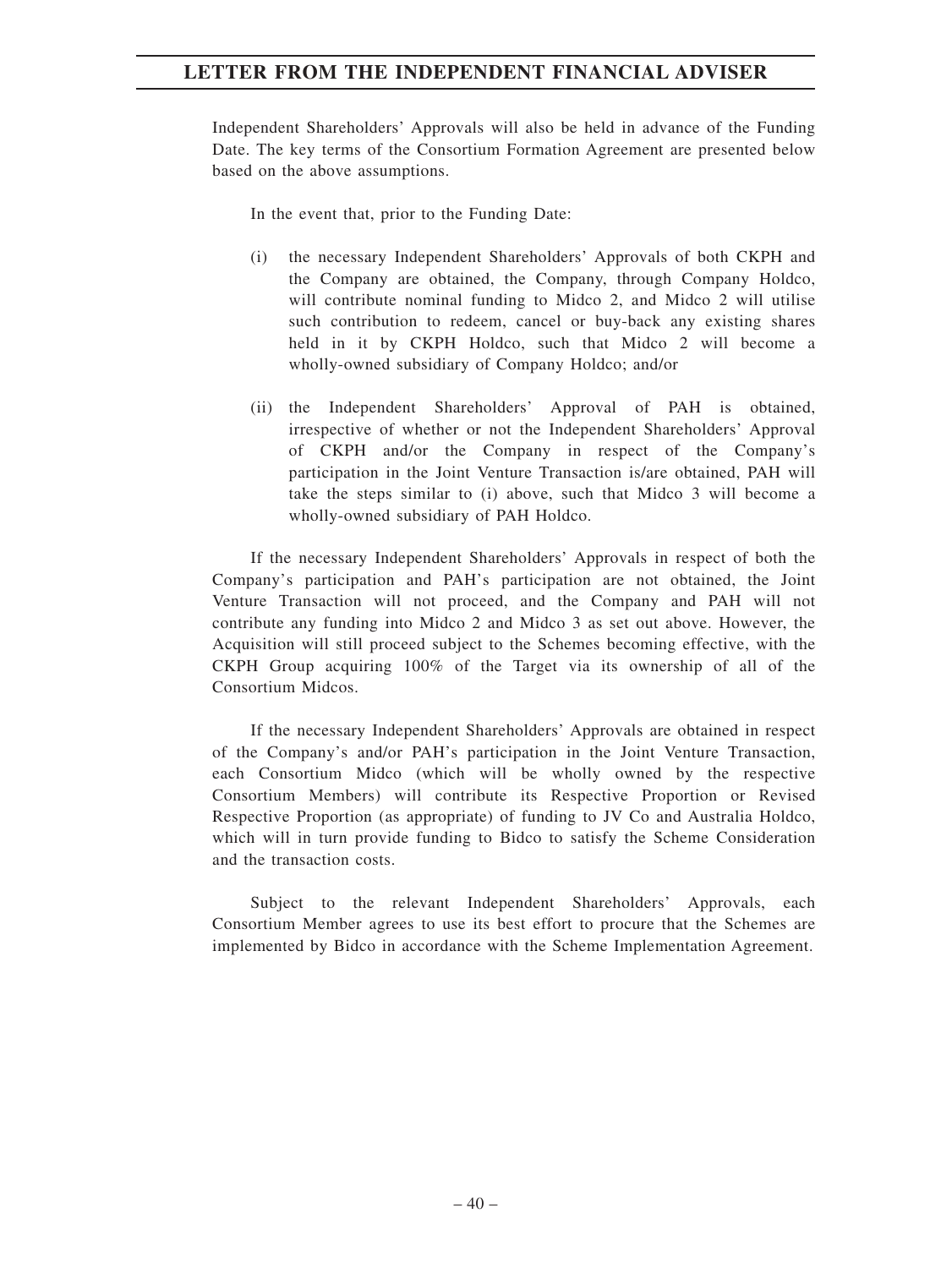Independent Shareholders' Approvals will also be held in advance of the Funding Date. The key terms of the Consortium Formation Agreement are presented below based on the above assumptions.

In the event that, prior to the Funding Date:

- (i) the necessary Independent Shareholders' Approvals of both CKPH and the Company are obtained, the Company, through Company Holdco, will contribute nominal funding to Midco 2, and Midco 2 will utilise such contribution to redeem, cancel or buy-back any existing shares held in it by CKPH Holdco, such that Midco 2 will become a wholly-owned subsidiary of Company Holdco; and/or
- (ii) the Independent Shareholders' Approval of PAH is obtained, irrespective of whether or not the Independent Shareholders' Approval of CKPH and/or the Company in respect of the Company's participation in the Joint Venture Transaction is/are obtained, PAH will take the steps similar to (i) above, such that Midco 3 will become a wholly-owned subsidiary of PAH Holdco.

If the necessary Independent Shareholders' Approvals in respect of both the Company's participation and PAH's participation are not obtained, the Joint Venture Transaction will not proceed, and the Company and PAH will not contribute any funding into Midco 2 and Midco 3 as set out above. However, the Acquisition will still proceed subject to the Schemes becoming effective, with the CKPH Group acquiring 100% of the Target via its ownership of all of the Consortium Midcos.

If the necessary Independent Shareholders' Approvals are obtained in respect of the Company's and/or PAH's participation in the Joint Venture Transaction, each Consortium Midco (which will be wholly owned by the respective Consortium Members) will contribute its Respective Proportion or Revised Respective Proportion (as appropriate) of funding to JV Co and Australia Holdco, which will in turn provide funding to Bidco to satisfy the Scheme Consideration and the transaction costs.

Subject to the relevant Independent Shareholders' Approvals, each Consortium Member agrees to use its best effort to procure that the Schemes are implemented by Bidco in accordance with the Scheme Implementation Agreement.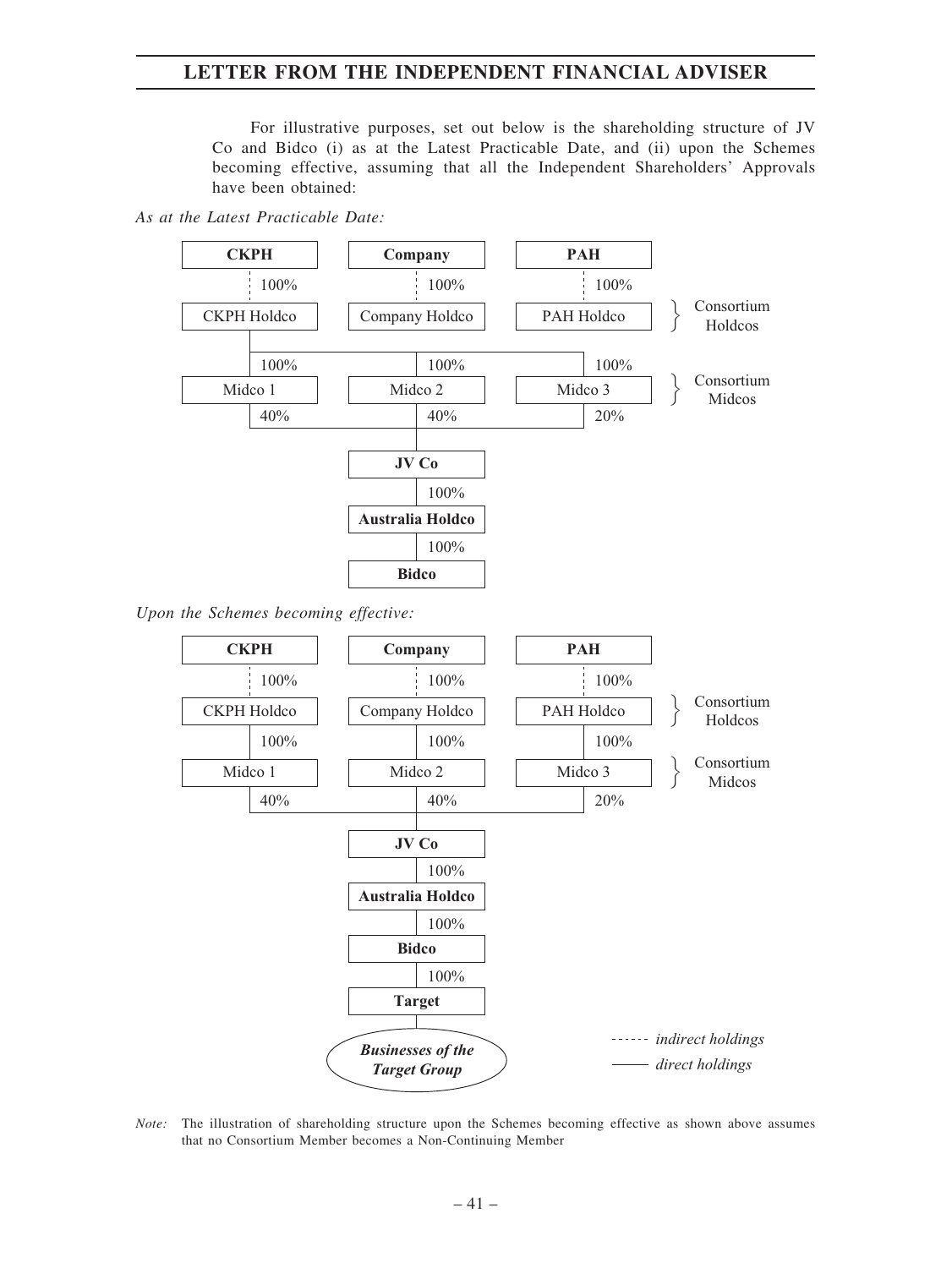For illustrative purposes, set out below is the shareholding structure of JV Co and Bidco (i) as at the Latest Practicable Date, and (ii) upon the Schemes becoming effective, assuming that all the Independent Shareholders' Approvals have been obtained:

#### *As at the Latest Practicable Date:*



*Upon the Schemes becoming effective:*



*Note:* The illustration of shareholding structure upon the Schemes becoming effective as shown above assumes that no Consortium Member becomes a Non-Continuing Member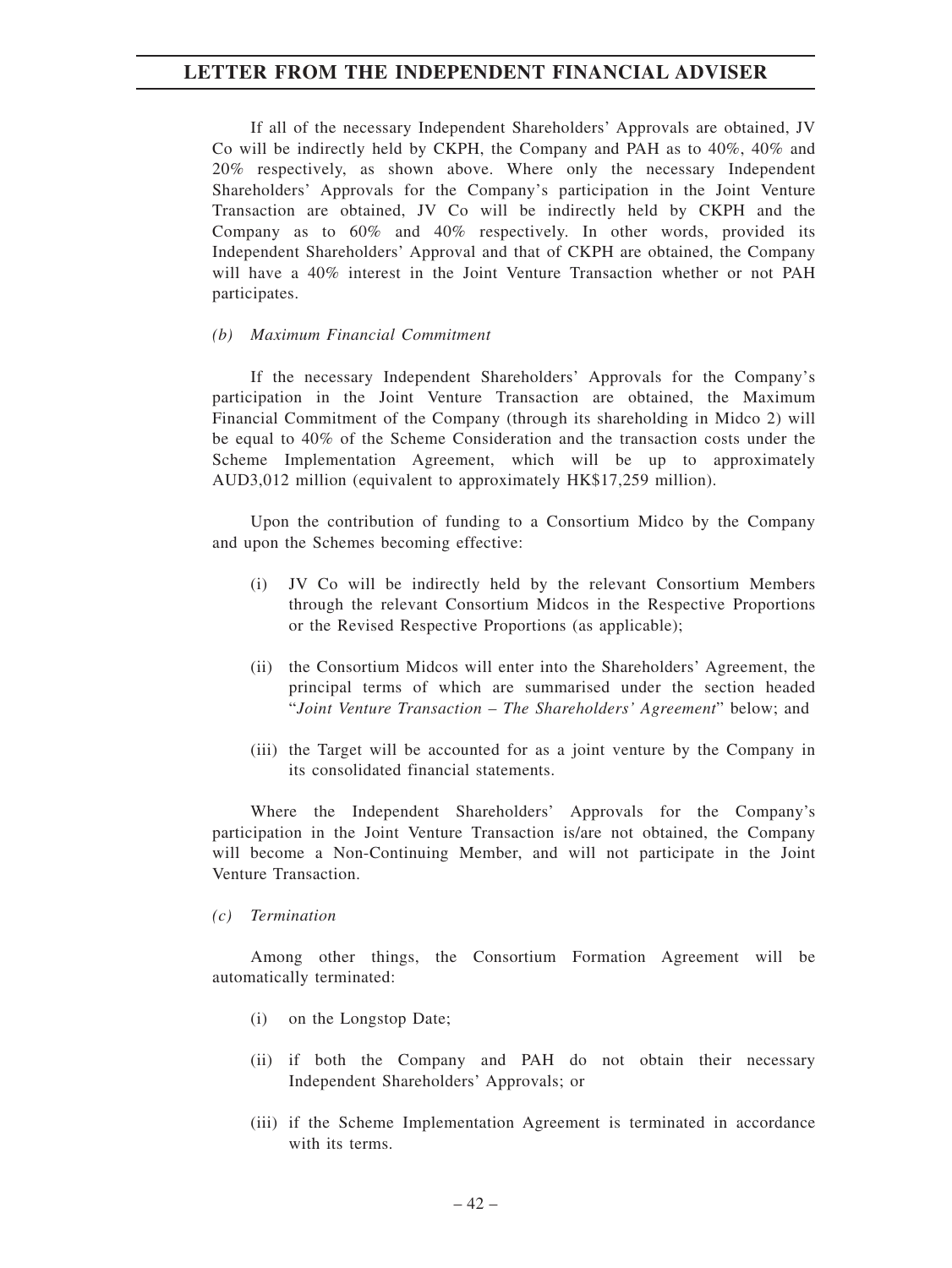If all of the necessary Independent Shareholders' Approvals are obtained, JV Co will be indirectly held by CKPH, the Company and PAH as to 40%, 40% and 20% respectively, as shown above. Where only the necessary Independent Shareholders' Approvals for the Company's participation in the Joint Venture Transaction are obtained, JV Co will be indirectly held by CKPH and the Company as to 60% and 40% respectively. In other words, provided its Independent Shareholders' Approval and that of CKPH are obtained, the Company will have a 40% interest in the Joint Venture Transaction whether or not PAH participates.

#### *(b) Maximum Financial Commitment*

If the necessary Independent Shareholders' Approvals for the Company's participation in the Joint Venture Transaction are obtained, the Maximum Financial Commitment of the Company (through its shareholding in Midco 2) will be equal to 40% of the Scheme Consideration and the transaction costs under the Scheme Implementation Agreement, which will be up to approximately AUD3,012 million (equivalent to approximately HK\$17,259 million).

Upon the contribution of funding to a Consortium Midco by the Company and upon the Schemes becoming effective:

- (i) JV Co will be indirectly held by the relevant Consortium Members through the relevant Consortium Midcos in the Respective Proportions or the Revised Respective Proportions (as applicable);
- (ii) the Consortium Midcos will enter into the Shareholders' Agreement, the principal terms of which are summarised under the section headed "*Joint Venture Transaction – The Shareholders' Agreement*" below; and
- (iii) the Target will be accounted for as a joint venture by the Company in its consolidated financial statements.

Where the Independent Shareholders' Approvals for the Company's participation in the Joint Venture Transaction is/are not obtained, the Company will become a Non-Continuing Member, and will not participate in the Joint Venture Transaction.

#### *(c) Termination*

Among other things, the Consortium Formation Agreement will be automatically terminated:

- (i) on the Longstop Date;
- (ii) if both the Company and PAH do not obtain their necessary Independent Shareholders' Approvals; or
- (iii) if the Scheme Implementation Agreement is terminated in accordance with its terms.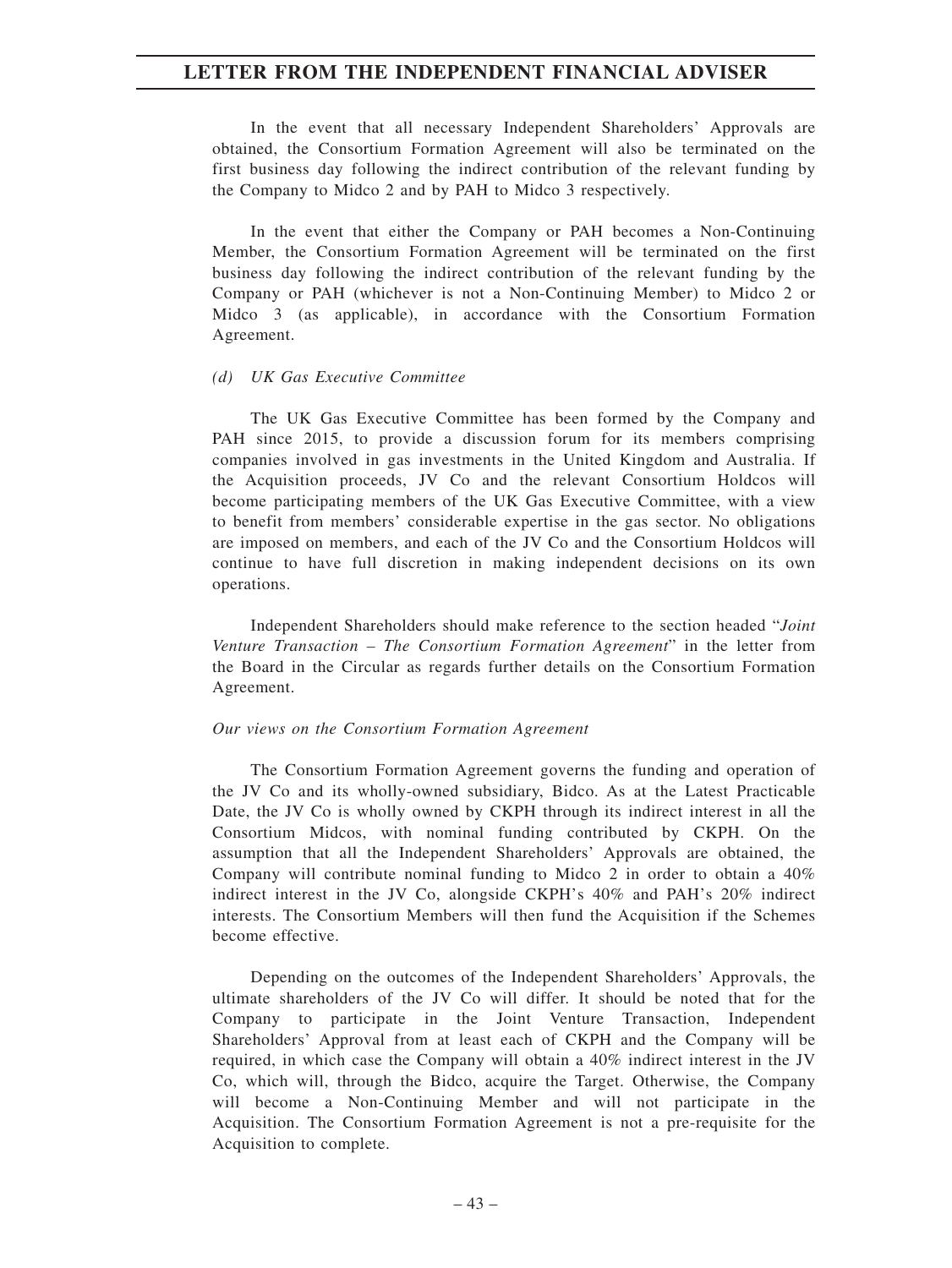In the event that all necessary Independent Shareholders' Approvals are obtained, the Consortium Formation Agreement will also be terminated on the first business day following the indirect contribution of the relevant funding by the Company to Midco 2 and by PAH to Midco 3 respectively.

In the event that either the Company or PAH becomes a Non-Continuing Member, the Consortium Formation Agreement will be terminated on the first business day following the indirect contribution of the relevant funding by the Company or PAH (whichever is not a Non-Continuing Member) to Midco 2 or Midco 3 (as applicable), in accordance with the Consortium Formation Agreement.

#### *(d) UK Gas Executive Committee*

The UK Gas Executive Committee has been formed by the Company and PAH since 2015, to provide a discussion forum for its members comprising companies involved in gas investments in the United Kingdom and Australia. If the Acquisition proceeds, JV Co and the relevant Consortium Holdcos will become participating members of the UK Gas Executive Committee, with a view to benefit from members' considerable expertise in the gas sector. No obligations are imposed on members, and each of the JV Co and the Consortium Holdcos will continue to have full discretion in making independent decisions on its own operations.

Independent Shareholders should make reference to the section headed "*Joint Venture Transaction – The Consortium Formation Agreement*" in the letter from the Board in the Circular as regards further details on the Consortium Formation Agreement.

#### *Our views on the Consortium Formation Agreement*

The Consortium Formation Agreement governs the funding and operation of the JV Co and its wholly-owned subsidiary, Bidco. As at the Latest Practicable Date, the JV Co is wholly owned by CKPH through its indirect interest in all the Consortium Midcos, with nominal funding contributed by CKPH. On the assumption that all the Independent Shareholders' Approvals are obtained, the Company will contribute nominal funding to Midco 2 in order to obtain a 40% indirect interest in the JV Co, alongside CKPH's 40% and PAH's 20% indirect interests. The Consortium Members will then fund the Acquisition if the Schemes become effective.

Depending on the outcomes of the Independent Shareholders' Approvals, the ultimate shareholders of the JV Co will differ. It should be noted that for the Company to participate in the Joint Venture Transaction, Independent Shareholders' Approval from at least each of CKPH and the Company will be required, in which case the Company will obtain a 40% indirect interest in the JV Co, which will, through the Bidco, acquire the Target. Otherwise, the Company will become a Non-Continuing Member and will not participate in the Acquisition. The Consortium Formation Agreement is not a pre-requisite for the Acquisition to complete.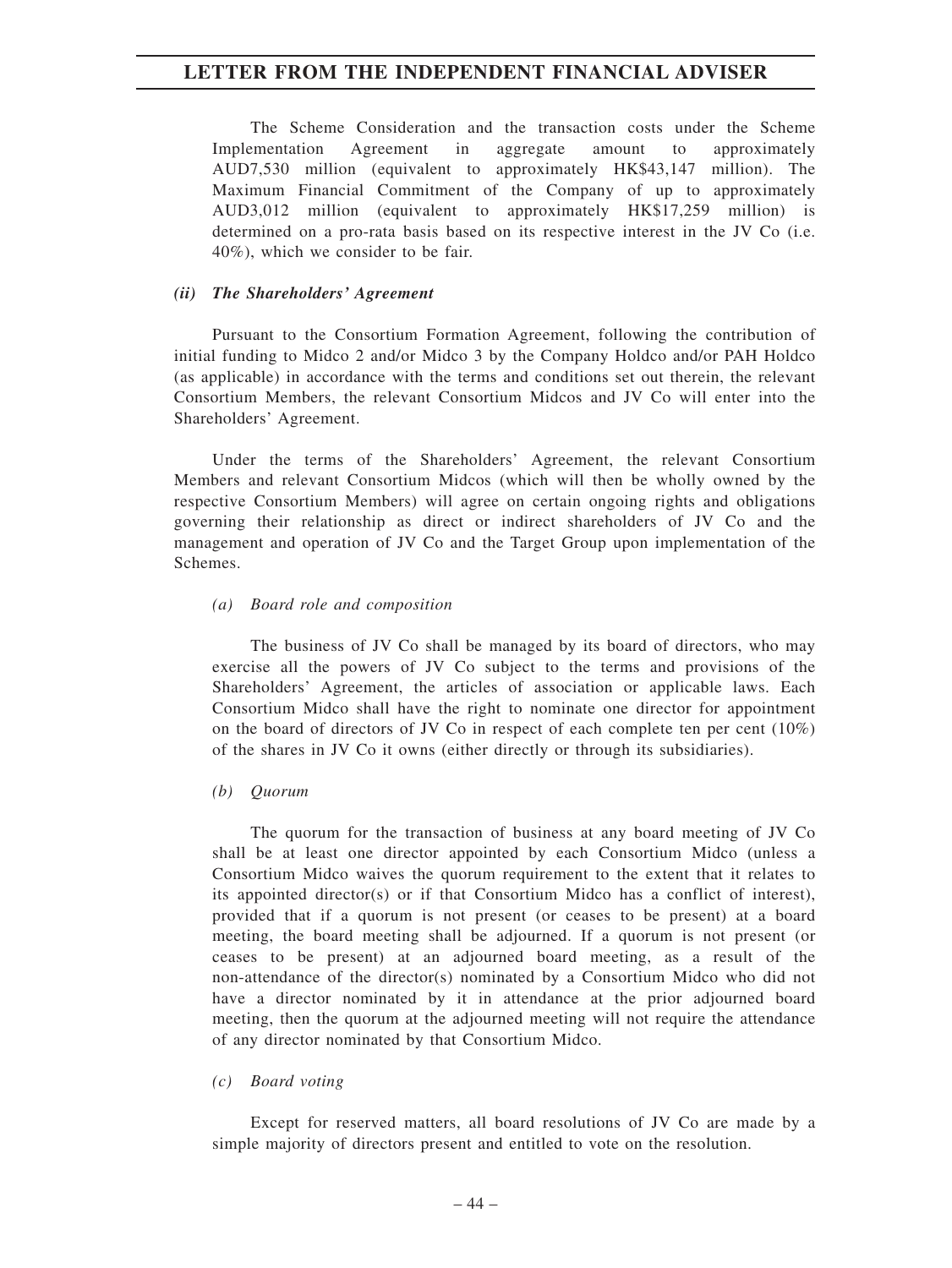The Scheme Consideration and the transaction costs under the Scheme Implementation Agreement in aggregate amount to approximately AUD7,530 million (equivalent to approximately HK\$43,147 million). The Maximum Financial Commitment of the Company of up to approximately AUD3,012 million (equivalent to approximately HK\$17,259 million) is determined on a pro-rata basis based on its respective interest in the JV Co (i.e. 40%), which we consider to be fair.

#### *(ii) The Shareholders' Agreement*

Pursuant to the Consortium Formation Agreement, following the contribution of initial funding to Midco 2 and/or Midco 3 by the Company Holdco and/or PAH Holdco (as applicable) in accordance with the terms and conditions set out therein, the relevant Consortium Members, the relevant Consortium Midcos and JV Co will enter into the Shareholders' Agreement.

Under the terms of the Shareholders' Agreement, the relevant Consortium Members and relevant Consortium Midcos (which will then be wholly owned by the respective Consortium Members) will agree on certain ongoing rights and obligations governing their relationship as direct or indirect shareholders of JV Co and the management and operation of JV Co and the Target Group upon implementation of the Schemes.

#### *(a) Board role and composition*

The business of JV Co shall be managed by its board of directors, who may exercise all the powers of JV Co subject to the terms and provisions of the Shareholders' Agreement, the articles of association or applicable laws. Each Consortium Midco shall have the right to nominate one director for appointment on the board of directors of JV Co in respect of each complete ten per cent  $(10\%)$ of the shares in JV Co it owns (either directly or through its subsidiaries).

#### *(b) Quorum*

The quorum for the transaction of business at any board meeting of JV Co shall be at least one director appointed by each Consortium Midco (unless a Consortium Midco waives the quorum requirement to the extent that it relates to its appointed director(s) or if that Consortium Midco has a conflict of interest), provided that if a quorum is not present (or ceases to be present) at a board meeting, the board meeting shall be adjourned. If a quorum is not present (or ceases to be present) at an adjourned board meeting, as a result of the non-attendance of the director(s) nominated by a Consortium Midco who did not have a director nominated by it in attendance at the prior adjourned board meeting, then the quorum at the adjourned meeting will not require the attendance of any director nominated by that Consortium Midco.

#### *(c) Board voting*

Except for reserved matters, all board resolutions of JV Co are made by a simple majority of directors present and entitled to vote on the resolution.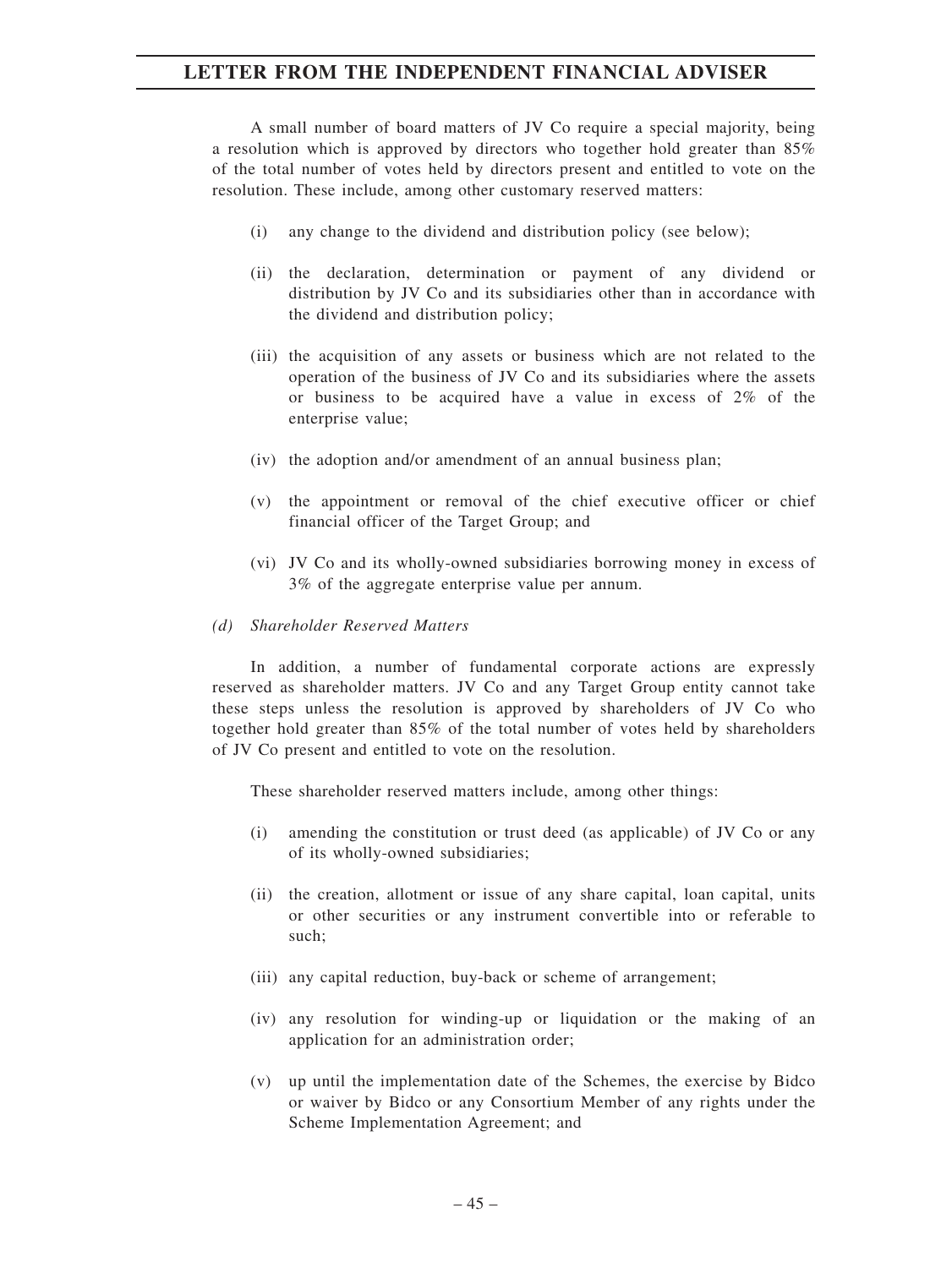A small number of board matters of JV Co require a special majority, being a resolution which is approved by directors who together hold greater than 85% of the total number of votes held by directors present and entitled to vote on the resolution. These include, among other customary reserved matters:

- (i) any change to the dividend and distribution policy (see below);
- (ii) the declaration, determination or payment of any dividend or distribution by JV Co and its subsidiaries other than in accordance with the dividend and distribution policy;
- (iii) the acquisition of any assets or business which are not related to the operation of the business of JV Co and its subsidiaries where the assets or business to be acquired have a value in excess of 2% of the enterprise value;
- (iv) the adoption and/or amendment of an annual business plan;
- (v) the appointment or removal of the chief executive officer or chief financial officer of the Target Group; and
- (vi) JV Co and its wholly-owned subsidiaries borrowing money in excess of 3% of the aggregate enterprise value per annum.

#### *(d) Shareholder Reserved Matters*

In addition, a number of fundamental corporate actions are expressly reserved as shareholder matters. JV Co and any Target Group entity cannot take these steps unless the resolution is approved by shareholders of JV Co who together hold greater than 85% of the total number of votes held by shareholders of JV Co present and entitled to vote on the resolution.

These shareholder reserved matters include, among other things:

- (i) amending the constitution or trust deed (as applicable) of JV Co or any of its wholly-owned subsidiaries;
- (ii) the creation, allotment or issue of any share capital, loan capital, units or other securities or any instrument convertible into or referable to such;
- (iii) any capital reduction, buy-back or scheme of arrangement;
- (iv) any resolution for winding-up or liquidation or the making of an application for an administration order;
- (v) up until the implementation date of the Schemes, the exercise by Bidco or waiver by Bidco or any Consortium Member of any rights under the Scheme Implementation Agreement; and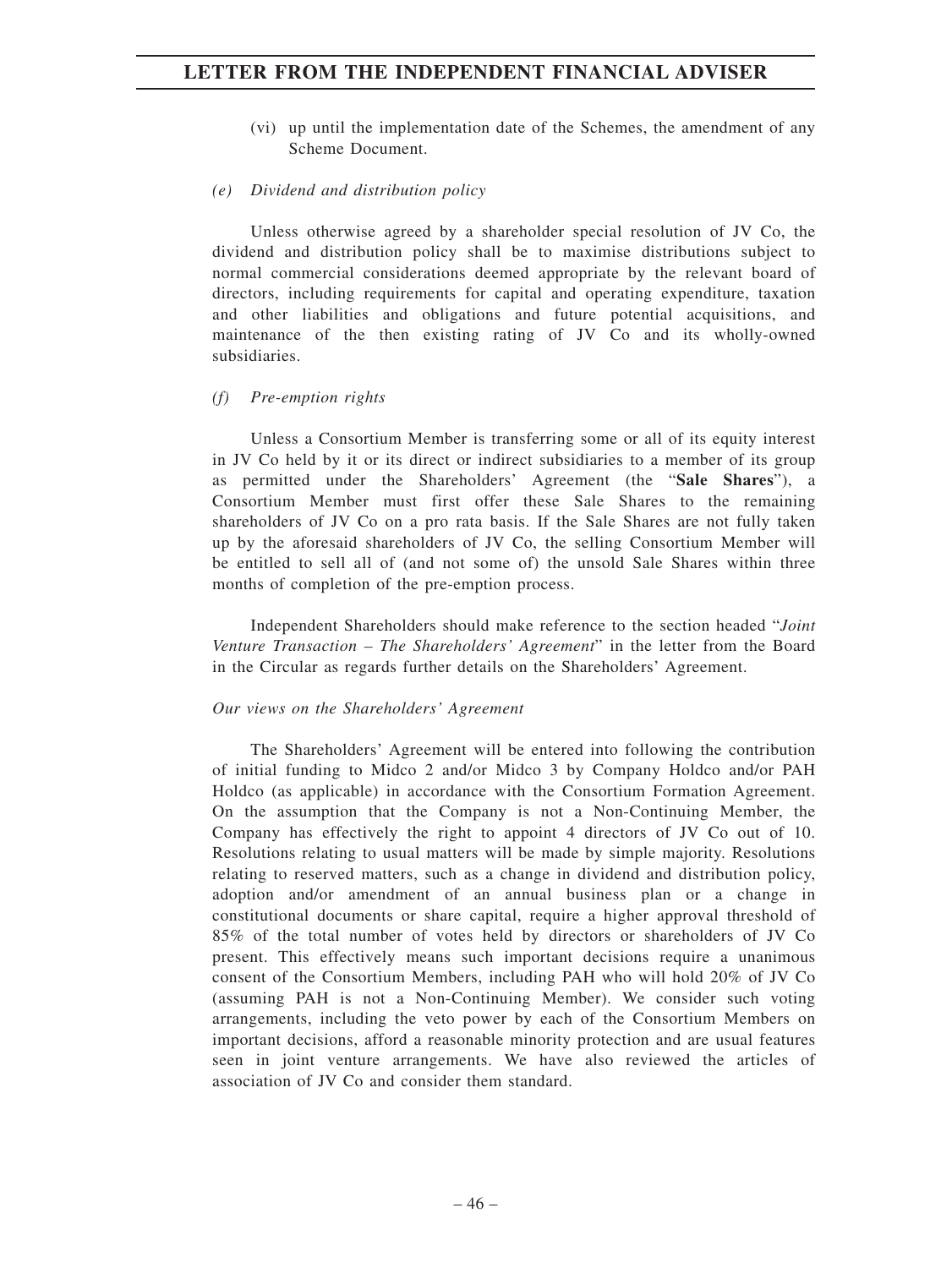- (vi) up until the implementation date of the Schemes, the amendment of any Scheme Document.
- *(e) Dividend and distribution policy*

Unless otherwise agreed by a shareholder special resolution of JV Co, the dividend and distribution policy shall be to maximise distributions subject to normal commercial considerations deemed appropriate by the relevant board of directors, including requirements for capital and operating expenditure, taxation and other liabilities and obligations and future potential acquisitions, and maintenance of the then existing rating of JV Co and its wholly-owned subsidiaries.

### *(f) Pre-emption rights*

Unless a Consortium Member is transferring some or all of its equity interest in JV Co held by it or its direct or indirect subsidiaries to a member of its group as permitted under the Shareholders' Agreement (the "**Sale Shares**"), a Consortium Member must first offer these Sale Shares to the remaining shareholders of JV Co on a pro rata basis. If the Sale Shares are not fully taken up by the aforesaid shareholders of JV Co, the selling Consortium Member will be entitled to sell all of (and not some of) the unsold Sale Shares within three months of completion of the pre-emption process.

Independent Shareholders should make reference to the section headed "*Joint Venture Transaction – The Shareholders' Agreement*" in the letter from the Board in the Circular as regards further details on the Shareholders' Agreement.

#### *Our views on the Shareholders' Agreement*

The Shareholders' Agreement will be entered into following the contribution of initial funding to Midco 2 and/or Midco 3 by Company Holdco and/or PAH Holdco (as applicable) in accordance with the Consortium Formation Agreement. On the assumption that the Company is not a Non-Continuing Member, the Company has effectively the right to appoint 4 directors of JV Co out of 10. Resolutions relating to usual matters will be made by simple majority. Resolutions relating to reserved matters, such as a change in dividend and distribution policy, adoption and/or amendment of an annual business plan or a change in constitutional documents or share capital, require a higher approval threshold of 85% of the total number of votes held by directors or shareholders of JV Co present. This effectively means such important decisions require a unanimous consent of the Consortium Members, including PAH who will hold 20% of JV Co (assuming PAH is not a Non-Continuing Member). We consider such voting arrangements, including the veto power by each of the Consortium Members on important decisions, afford a reasonable minority protection and are usual features seen in joint venture arrangements. We have also reviewed the articles of association of JV Co and consider them standard.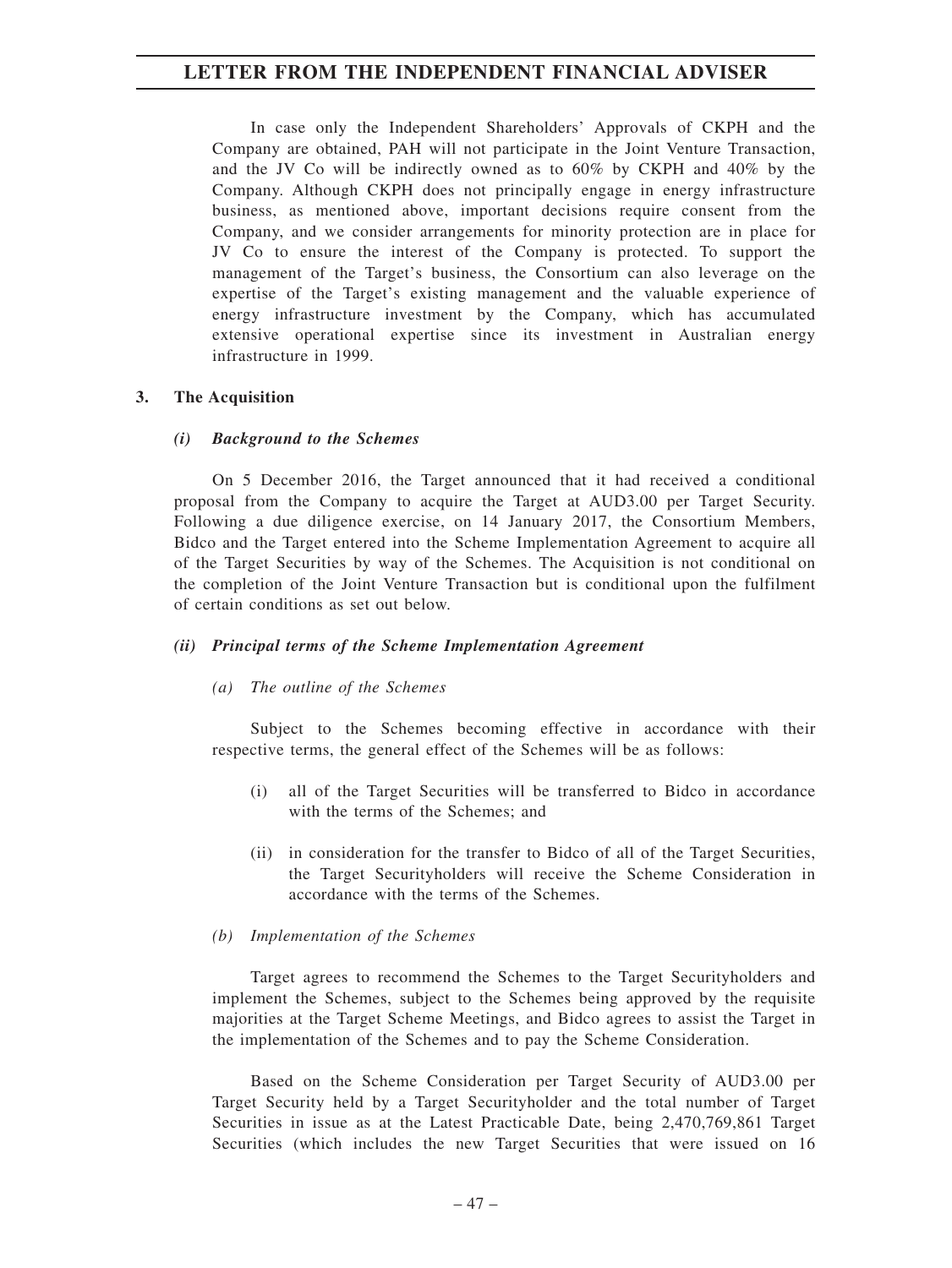In case only the Independent Shareholders' Approvals of CKPH and the Company are obtained, PAH will not participate in the Joint Venture Transaction, and the JV Co will be indirectly owned as to 60% by CKPH and 40% by the Company. Although CKPH does not principally engage in energy infrastructure business, as mentioned above, important decisions require consent from the Company, and we consider arrangements for minority protection are in place for JV Co to ensure the interest of the Company is protected. To support the management of the Target's business, the Consortium can also leverage on the expertise of the Target's existing management and the valuable experience of energy infrastructure investment by the Company, which has accumulated extensive operational expertise since its investment in Australian energy infrastructure in 1999.

#### **3. The Acquisition**

#### *(i) Background to the Schemes*

On 5 December 2016, the Target announced that it had received a conditional proposal from the Company to acquire the Target at AUD3.00 per Target Security. Following a due diligence exercise, on 14 January 2017, the Consortium Members, Bidco and the Target entered into the Scheme Implementation Agreement to acquire all of the Target Securities by way of the Schemes. The Acquisition is not conditional on the completion of the Joint Venture Transaction but is conditional upon the fulfilment of certain conditions as set out below.

#### *(ii) Principal terms of the Scheme Implementation Agreement*

#### *(a) The outline of the Schemes*

Subject to the Schemes becoming effective in accordance with their respective terms, the general effect of the Schemes will be as follows:

- (i) all of the Target Securities will be transferred to Bidco in accordance with the terms of the Schemes; and
- (ii) in consideration for the transfer to Bidco of all of the Target Securities, the Target Securityholders will receive the Scheme Consideration in accordance with the terms of the Schemes.

#### *(b) Implementation of the Schemes*

Target agrees to recommend the Schemes to the Target Securityholders and implement the Schemes, subject to the Schemes being approved by the requisite majorities at the Target Scheme Meetings, and Bidco agrees to assist the Target in the implementation of the Schemes and to pay the Scheme Consideration.

Based on the Scheme Consideration per Target Security of AUD3.00 per Target Security held by a Target Securityholder and the total number of Target Securities in issue as at the Latest Practicable Date, being 2,470,769,861 Target Securities (which includes the new Target Securities that were issued on 16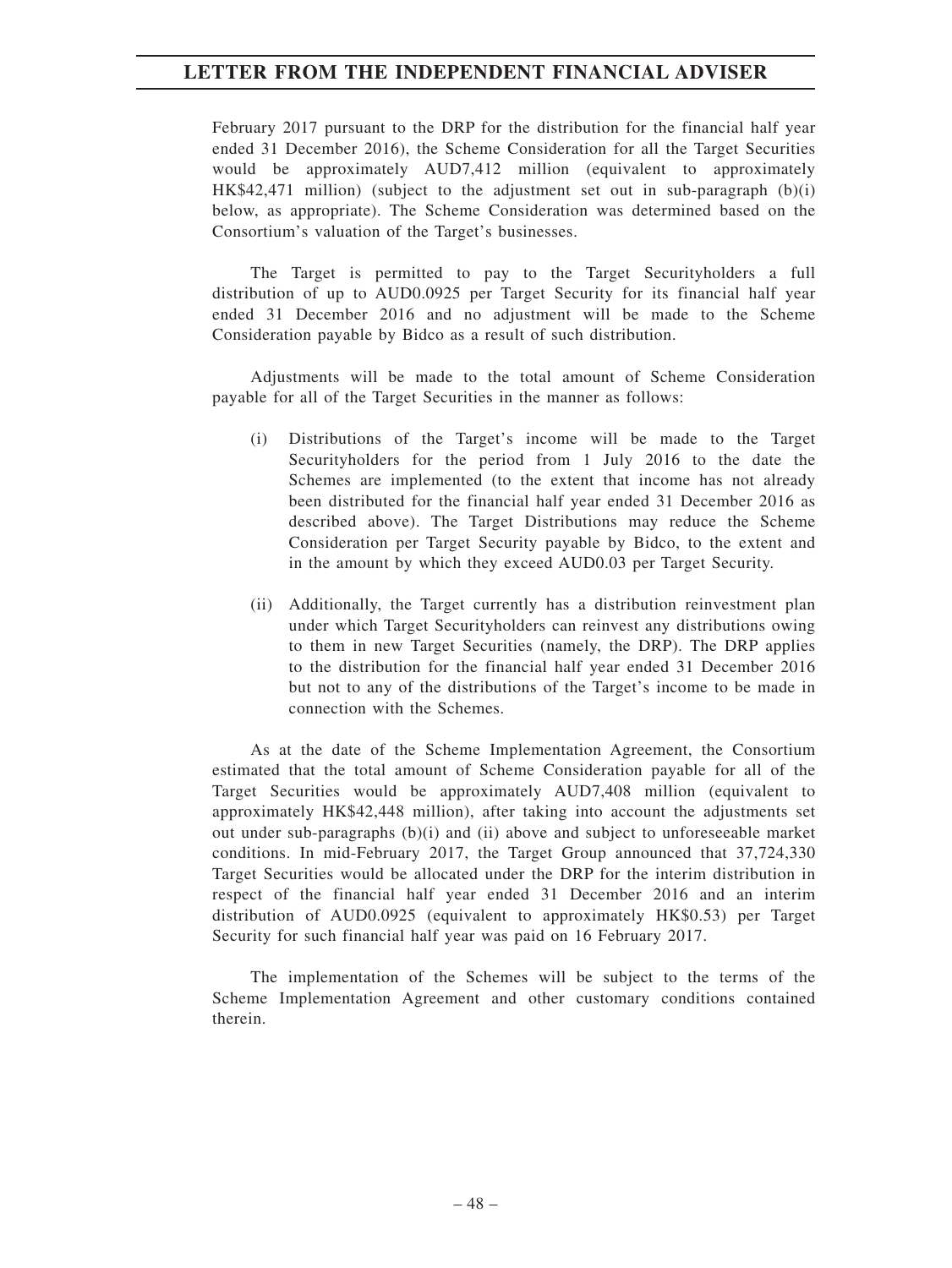February 2017 pursuant to the DRP for the distribution for the financial half year ended 31 December 2016), the Scheme Consideration for all the Target Securities would be approximately AUD7,412 million (equivalent to approximately HK\$42,471 million) (subject to the adjustment set out in sub-paragraph (b)(i) below, as appropriate). The Scheme Consideration was determined based on the Consortium's valuation of the Target's businesses.

The Target is permitted to pay to the Target Securityholders a full distribution of up to AUD0.0925 per Target Security for its financial half year ended 31 December 2016 and no adjustment will be made to the Scheme Consideration payable by Bidco as a result of such distribution.

Adjustments will be made to the total amount of Scheme Consideration payable for all of the Target Securities in the manner as follows:

- (i) Distributions of the Target's income will be made to the Target Securityholders for the period from 1 July 2016 to the date the Schemes are implemented (to the extent that income has not already been distributed for the financial half year ended 31 December 2016 as described above). The Target Distributions may reduce the Scheme Consideration per Target Security payable by Bidco, to the extent and in the amount by which they exceed AUD0.03 per Target Security.
- (ii) Additionally, the Target currently has a distribution reinvestment plan under which Target Securityholders can reinvest any distributions owing to them in new Target Securities (namely, the DRP). The DRP applies to the distribution for the financial half year ended 31 December 2016 but not to any of the distributions of the Target's income to be made in connection with the Schemes.

As at the date of the Scheme Implementation Agreement, the Consortium estimated that the total amount of Scheme Consideration payable for all of the Target Securities would be approximately AUD7,408 million (equivalent to approximately HK\$42,448 million), after taking into account the adjustments set out under sub-paragraphs (b)(i) and (ii) above and subject to unforeseeable market conditions. In mid-February 2017, the Target Group announced that 37,724,330 Target Securities would be allocated under the DRP for the interim distribution in respect of the financial half year ended 31 December 2016 and an interim distribution of AUD0.0925 (equivalent to approximately HK\$0.53) per Target Security for such financial half year was paid on 16 February 2017.

The implementation of the Schemes will be subject to the terms of the Scheme Implementation Agreement and other customary conditions contained therein.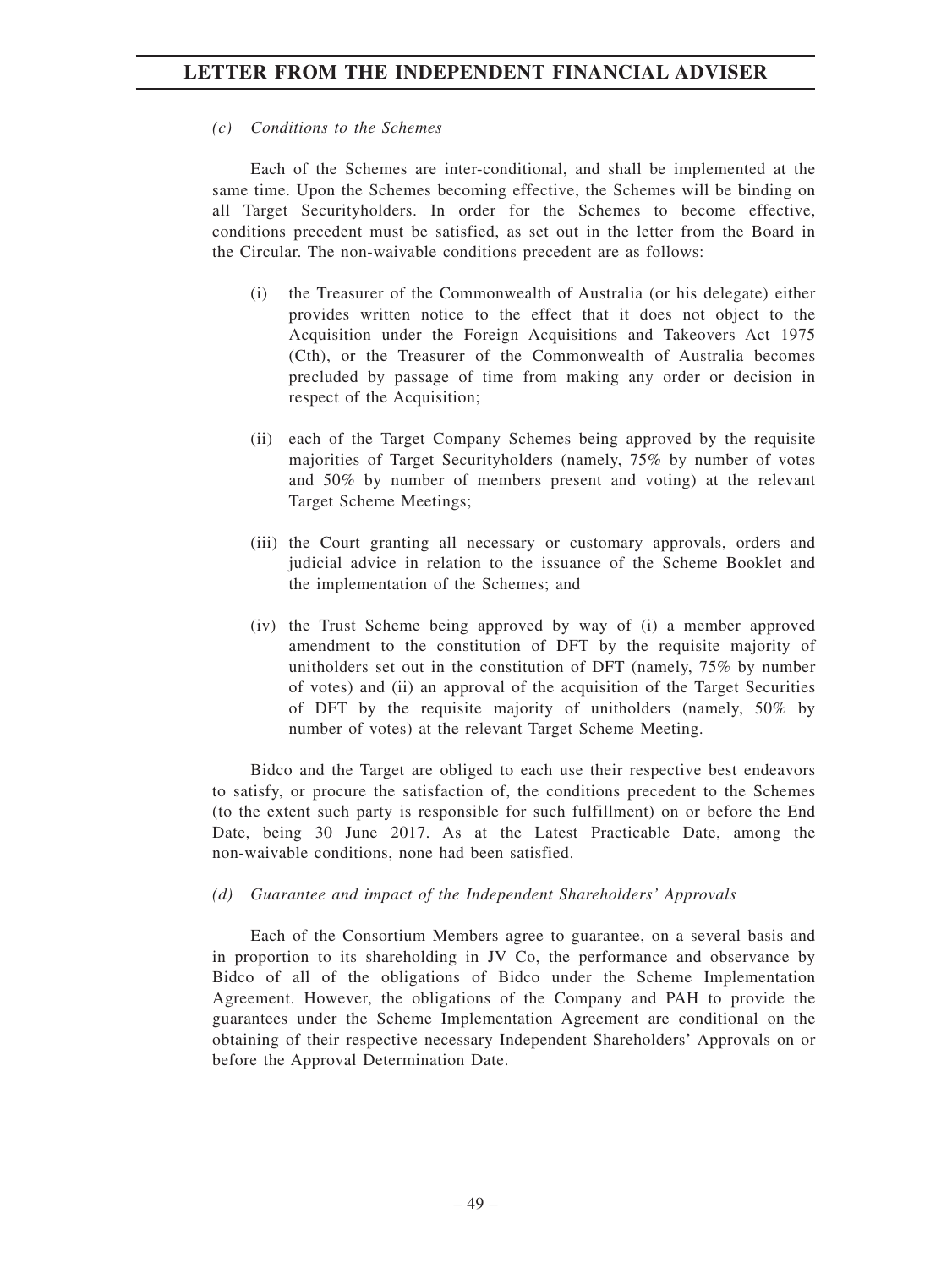## *(c) Conditions to the Schemes*

Each of the Schemes are inter-conditional, and shall be implemented at the same time. Upon the Schemes becoming effective, the Schemes will be binding on all Target Securityholders. In order for the Schemes to become effective, conditions precedent must be satisfied, as set out in the letter from the Board in the Circular. The non-waivable conditions precedent are as follows:

- (i) the Treasurer of the Commonwealth of Australia (or his delegate) either provides written notice to the effect that it does not object to the Acquisition under the Foreign Acquisitions and Takeovers Act 1975 (Cth), or the Treasurer of the Commonwealth of Australia becomes precluded by passage of time from making any order or decision in respect of the Acquisition;
- (ii) each of the Target Company Schemes being approved by the requisite majorities of Target Securityholders (namely, 75% by number of votes and 50% by number of members present and voting) at the relevant Target Scheme Meetings;
- (iii) the Court granting all necessary or customary approvals, orders and judicial advice in relation to the issuance of the Scheme Booklet and the implementation of the Schemes; and
- (iv) the Trust Scheme being approved by way of (i) a member approved amendment to the constitution of DFT by the requisite majority of unitholders set out in the constitution of DFT (namely, 75% by number of votes) and (ii) an approval of the acquisition of the Target Securities of DFT by the requisite majority of unitholders (namely, 50% by number of votes) at the relevant Target Scheme Meeting.

Bidco and the Target are obliged to each use their respective best endeavors to satisfy, or procure the satisfaction of, the conditions precedent to the Schemes (to the extent such party is responsible for such fulfillment) on or before the End Date, being 30 June 2017. As at the Latest Practicable Date, among the non-waivable conditions, none had been satisfied.

#### *(d) Guarantee and impact of the Independent Shareholders' Approvals*

Each of the Consortium Members agree to guarantee, on a several basis and in proportion to its shareholding in JV Co, the performance and observance by Bidco of all of the obligations of Bidco under the Scheme Implementation Agreement. However, the obligations of the Company and PAH to provide the guarantees under the Scheme Implementation Agreement are conditional on the obtaining of their respective necessary Independent Shareholders' Approvals on or before the Approval Determination Date.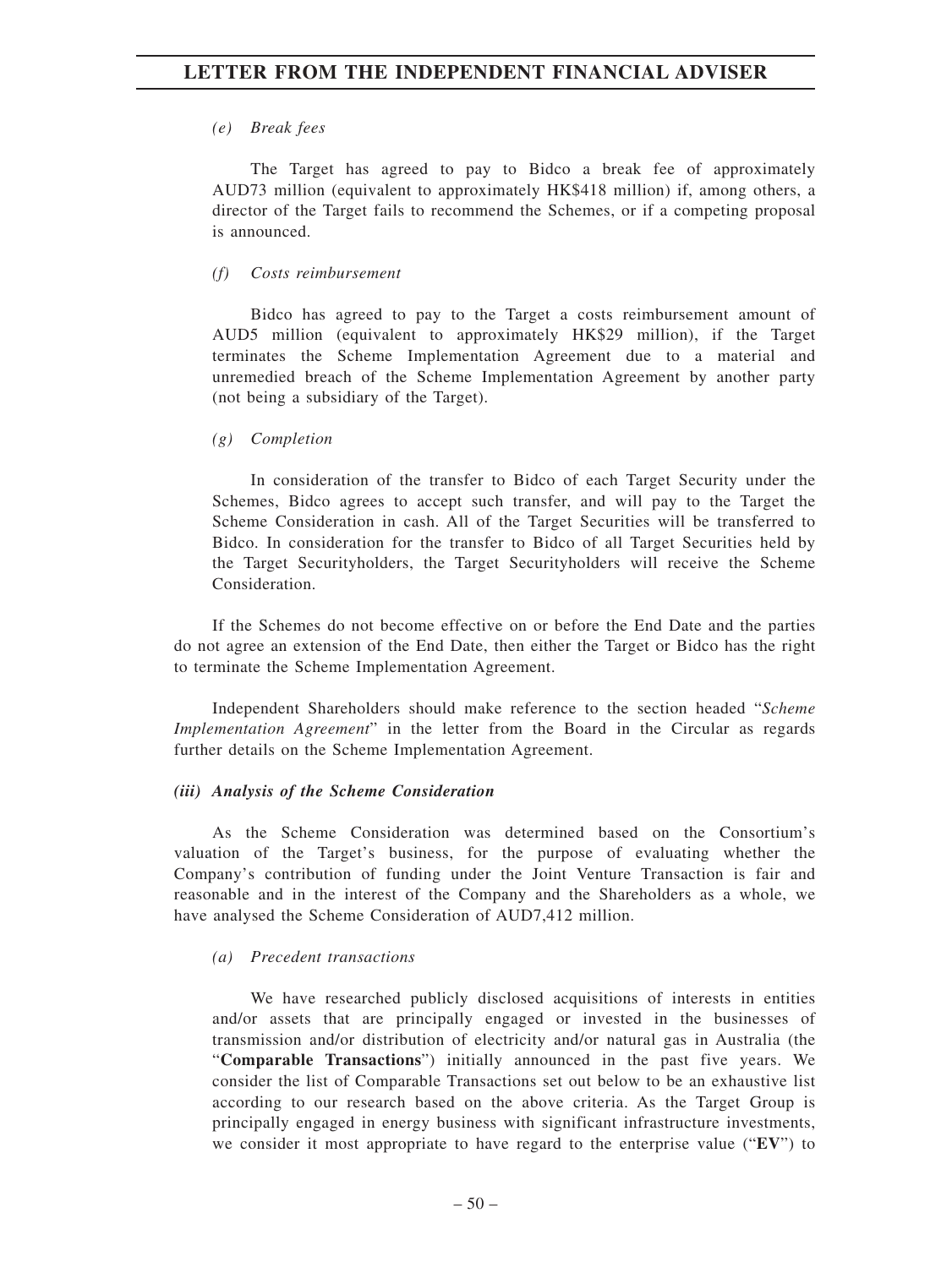## *(e) Break fees*

The Target has agreed to pay to Bidco a break fee of approximately AUD73 million (equivalent to approximately HK\$418 million) if, among others, a director of the Target fails to recommend the Schemes, or if a competing proposal is announced.

## *(f) Costs reimbursement*

Bidco has agreed to pay to the Target a costs reimbursement amount of AUD5 million (equivalent to approximately HK\$29 million), if the Target terminates the Scheme Implementation Agreement due to a material and unremedied breach of the Scheme Implementation Agreement by another party (not being a subsidiary of the Target).

### *(g) Completion*

In consideration of the transfer to Bidco of each Target Security under the Schemes, Bidco agrees to accept such transfer, and will pay to the Target the Scheme Consideration in cash. All of the Target Securities will be transferred to Bidco. In consideration for the transfer to Bidco of all Target Securities held by the Target Securityholders, the Target Securityholders will receive the Scheme Consideration.

If the Schemes do not become effective on or before the End Date and the parties do not agree an extension of the End Date, then either the Target or Bidco has the right to terminate the Scheme Implementation Agreement.

Independent Shareholders should make reference to the section headed "*Scheme Implementation Agreement*" in the letter from the Board in the Circular as regards further details on the Scheme Implementation Agreement.

#### *(iii) Analysis of the Scheme Consideration*

As the Scheme Consideration was determined based on the Consortium's valuation of the Target's business, for the purpose of evaluating whether the Company's contribution of funding under the Joint Venture Transaction is fair and reasonable and in the interest of the Company and the Shareholders as a whole, we have analysed the Scheme Consideration of AUD7,412 million.

## *(a) Precedent transactions*

We have researched publicly disclosed acquisitions of interests in entities and/or assets that are principally engaged or invested in the businesses of transmission and/or distribution of electricity and/or natural gas in Australia (the "**Comparable Transactions**") initially announced in the past five years. We consider the list of Comparable Transactions set out below to be an exhaustive list according to our research based on the above criteria. As the Target Group is principally engaged in energy business with significant infrastructure investments, we consider it most appropriate to have regard to the enterprise value ("**EV**") to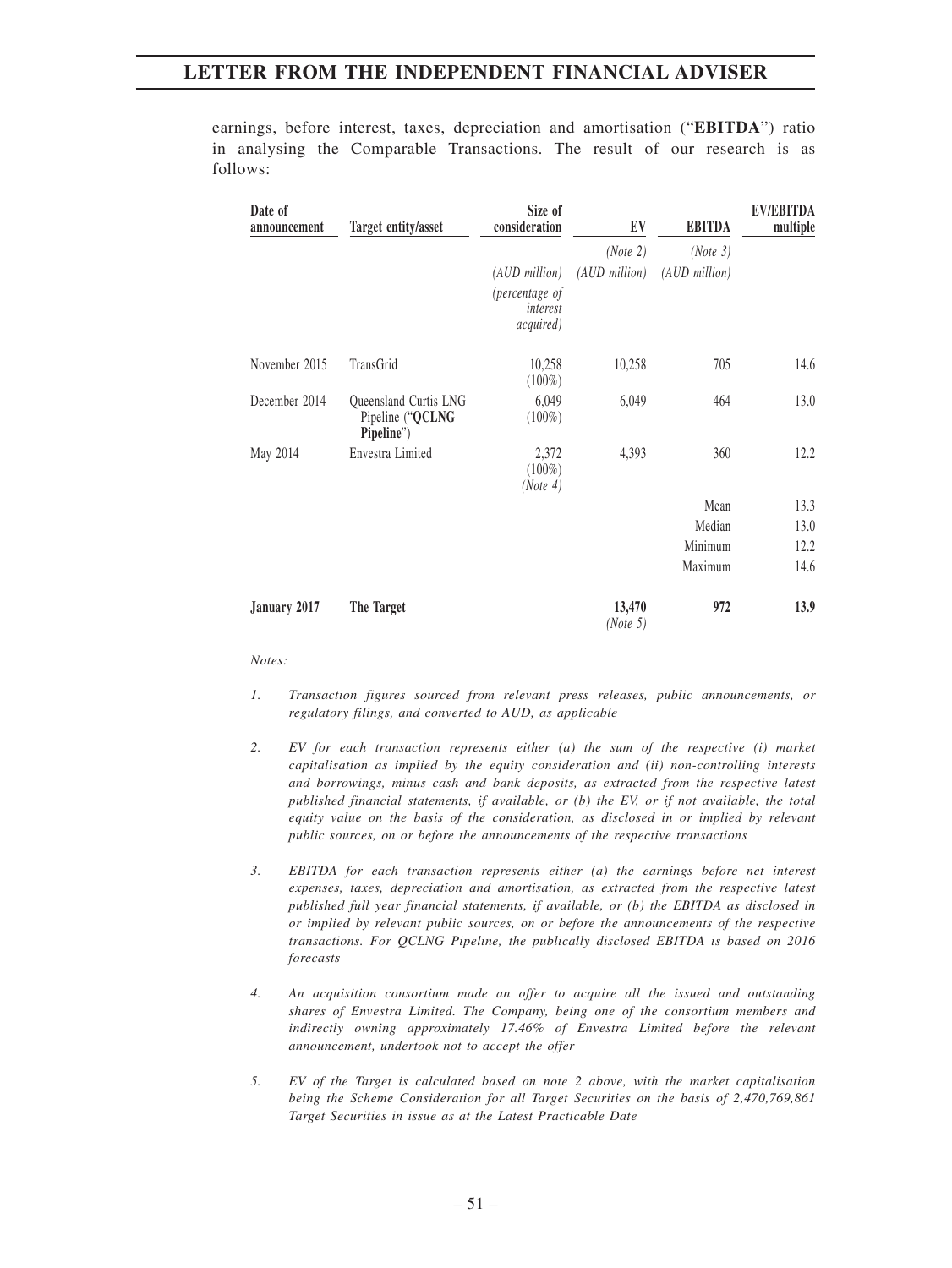earnings, before interest, taxes, depreciation and amortisation ("**EBITDA**") ratio in analysing the Comparable Transactions. The result of our research is as follows:

| Date of<br>announcement | Target entity/asset                                     | Size of<br>consideration                | EV                 | <b>EBITDA</b> | <b>EV/EBITDA</b><br>multiple |
|-------------------------|---------------------------------------------------------|-----------------------------------------|--------------------|---------------|------------------------------|
|                         |                                                         |                                         | (Note 2)           | (Note 3)      |                              |
|                         |                                                         | (AUD million)                           | (AUD million)      | (AUD million) |                              |
|                         |                                                         | (percentage of<br>interest<br>acquired) |                    |               |                              |
| November 2015           | TransGrid                                               | 10,258<br>$(100\%)$                     | 10,258             | 705           | 14.6                         |
| December 2014           | Queensland Curtis LNG<br>Pipeline ("QCLNG<br>Pipeline") | 6,049<br>$(100\%)$                      | 6,049              | 464           | 13.0                         |
| May 2014                | Envestra Limited                                        | 2,372<br>$(100\%)$<br>(Note 4)          | 4,393              | 360           | 12.2                         |
|                         |                                                         |                                         |                    | Mean          | 13.3                         |
|                         |                                                         |                                         |                    | Median        | 13.0                         |
|                         |                                                         |                                         |                    | Minimum       | 12.2                         |
|                         |                                                         |                                         |                    | Maximum       | 14.6                         |
| January 2017            | The Target                                              |                                         | 13,470<br>(Note 5) | 972           | 13.9                         |

#### *Notes:*

- *1. Transaction figures sourced from relevant press releases, public announcements, or regulatory filings, and converted to AUD, as applicable*
- *2. EV for each transaction represents either (a) the sum of the respective (i) market capitalisation as implied by the equity consideration and (ii) non-controlling interests and borrowings, minus cash and bank deposits, as extracted from the respective latest published financial statements, if available, or (b) the EV, or if not available, the total equity value on the basis of the consideration, as disclosed in or implied by relevant public sources, on or before the announcements of the respective transactions*
- *3. EBITDA for each transaction represents either (a) the earnings before net interest expenses, taxes, depreciation and amortisation, as extracted from the respective latest published full year financial statements, if available, or (b) the EBITDA as disclosed in or implied by relevant public sources, on or before the announcements of the respective transactions. For QCLNG Pipeline, the publically disclosed EBITDA is based on 2016 forecasts*
- *4. An acquisition consortium made an offer to acquire all the issued and outstanding shares of Envestra Limited. The Company, being one of the consortium members and indirectly owning approximately 17.46% of Envestra Limited before the relevant announcement, undertook not to accept the offer*
- *5. EV of the Target is calculated based on note 2 above, with the market capitalisation being the Scheme Consideration for all Target Securities on the basis of 2,470,769,861 Target Securities in issue as at the Latest Practicable Date*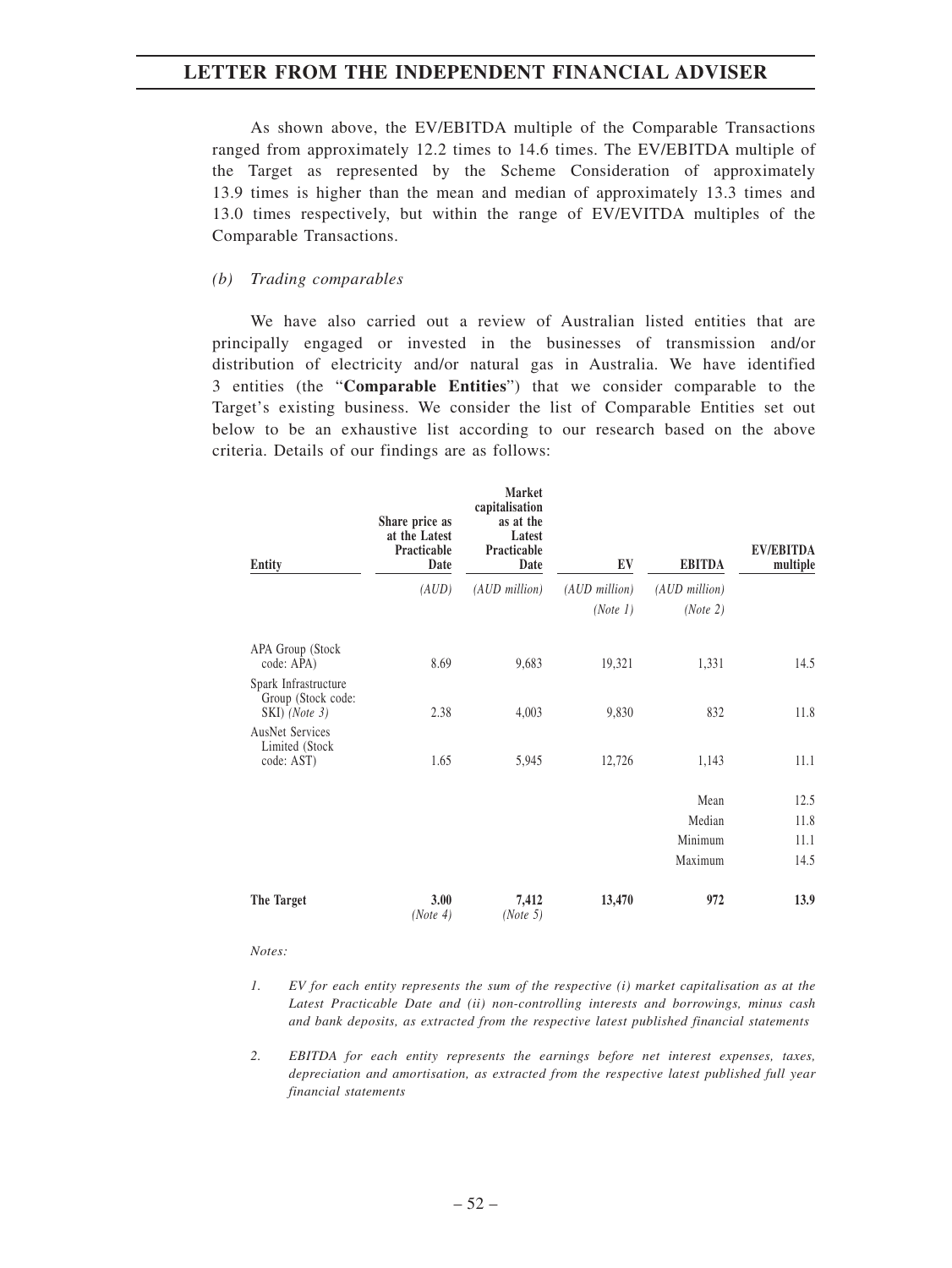As shown above, the EV/EBITDA multiple of the Comparable Transactions ranged from approximately 12.2 times to 14.6 times. The EV/EBITDA multiple of the Target as represented by the Scheme Consideration of approximately 13.9 times is higher than the mean and median of approximately 13.3 times and 13.0 times respectively, but within the range of EV/EVITDA multiples of the Comparable Transactions.

#### *(b) Trading comparables*

We have also carried out a review of Australian listed entities that are principally engaged or invested in the businesses of transmission and/or distribution of electricity and/or natural gas in Australia. We have identified 3 entities (the "**Comparable Entities**") that we consider comparable to the Target's existing business. We consider the list of Comparable Entities set out below to be an exhaustive list according to our research based on the above criteria. Details of our findings are as follows:

| Entity                                                      | Share price as<br>at the Latest<br>Practicable<br>Date | Market<br>capitalisation<br>as at the<br>Latest<br>Practicable<br>Date | EV              | <b>EBITDA</b> | <b>EV/EBITDA</b><br>multiple |
|-------------------------------------------------------------|--------------------------------------------------------|------------------------------------------------------------------------|-----------------|---------------|------------------------------|
|                                                             | (AUD)                                                  | (AUD million)                                                          | $(AUD$ million) | (AUD million) |                              |
|                                                             |                                                        |                                                                        | (Note 1)        | (Note 2)      |                              |
| APA Group (Stock<br>code: APA)                              | 8.69                                                   | 9,683                                                                  | 19,321          | 1,331         | 14.5                         |
| Spark Infrastructure<br>Group (Stock code:<br>SKI) (Note 3) | 2.38                                                   | 4,003                                                                  | 9,830           | 832           | 11.8                         |
| <b>AusNet Services</b><br>Limited (Stock<br>code: AST)      | 1.65                                                   | 5,945                                                                  | 12,726          | 1,143         | 11.1                         |
|                                                             |                                                        |                                                                        |                 | Mean          | 12.5                         |
|                                                             |                                                        |                                                                        |                 | Median        | 11.8                         |
|                                                             |                                                        |                                                                        |                 | Minimum       | 11.1                         |
|                                                             |                                                        |                                                                        |                 | Maximum       | 14.5                         |
| The Target                                                  | 3.00<br>(Note 4)                                       | 7,412<br>(Note 5)                                                      | 13,470          | 972           | 13.9                         |

#### *Notes:*

- *1. EV for each entity represents the sum of the respective (i) market capitalisation as at the Latest Practicable Date and (ii) non-controlling interests and borrowings, minus cash and bank deposits, as extracted from the respective latest published financial statements*
- *2. EBITDA for each entity represents the earnings before net interest expenses, taxes, depreciation and amortisation, as extracted from the respective latest published full year financial statements*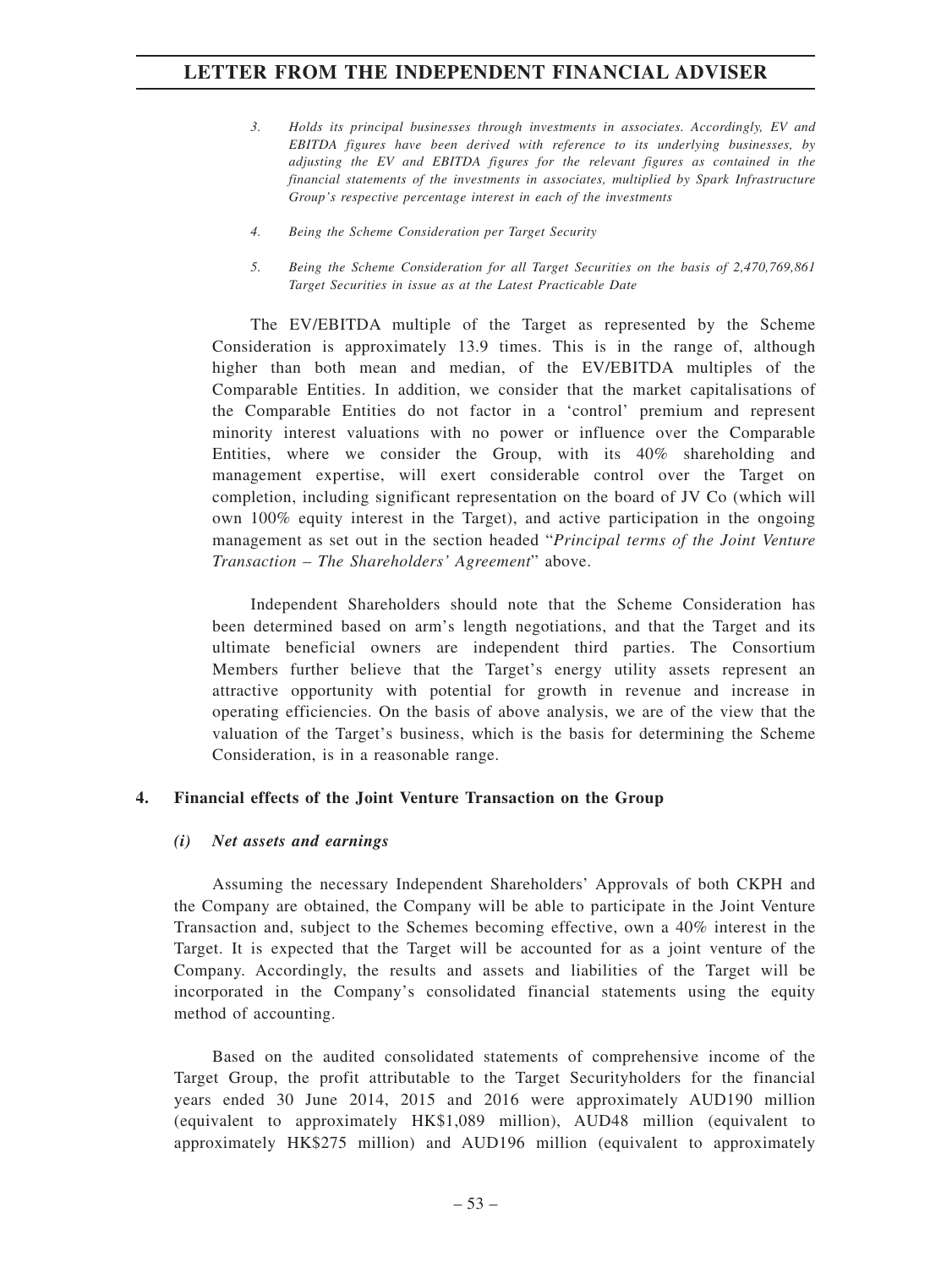- *3. Holds its principal businesses through investments in associates. Accordingly, EV and EBITDA figures have been derived with reference to its underlying businesses, by adjusting the EV and EBITDA figures for the relevant figures as contained in the financial statements of the investments in associates, multiplied by Spark Infrastructure Group's respective percentage interest in each of the investments*
- *4. Being the Scheme Consideration per Target Security*
- *5. Being the Scheme Consideration for all Target Securities on the basis of 2,470,769,861 Target Securities in issue as at the Latest Practicable Date*

The EV/EBITDA multiple of the Target as represented by the Scheme Consideration is approximately 13.9 times. This is in the range of, although higher than both mean and median, of the EV/EBITDA multiples of the Comparable Entities. In addition, we consider that the market capitalisations of the Comparable Entities do not factor in a 'control' premium and represent minority interest valuations with no power or influence over the Comparable Entities, where we consider the Group, with its 40% shareholding and management expertise, will exert considerable control over the Target on completion, including significant representation on the board of JV Co (which will own 100% equity interest in the Target), and active participation in the ongoing management as set out in the section headed "*Principal terms of the Joint Venture Transaction – The Shareholders' Agreement*" above.

Independent Shareholders should note that the Scheme Consideration has been determined based on arm's length negotiations, and that the Target and its ultimate beneficial owners are independent third parties. The Consortium Members further believe that the Target's energy utility assets represent an attractive opportunity with potential for growth in revenue and increase in operating efficiencies. On the basis of above analysis, we are of the view that the valuation of the Target's business, which is the basis for determining the Scheme Consideration, is in a reasonable range.

## **4. Financial effects of the Joint Venture Transaction on the Group**

#### *(i) Net assets and earnings*

Assuming the necessary Independent Shareholders' Approvals of both CKPH and the Company are obtained, the Company will be able to participate in the Joint Venture Transaction and, subject to the Schemes becoming effective, own a 40% interest in the Target. It is expected that the Target will be accounted for as a joint venture of the Company. Accordingly, the results and assets and liabilities of the Target will be incorporated in the Company's consolidated financial statements using the equity method of accounting.

Based on the audited consolidated statements of comprehensive income of the Target Group, the profit attributable to the Target Securityholders for the financial years ended 30 June 2014, 2015 and 2016 were approximately AUD190 million (equivalent to approximately HK\$1,089 million), AUD48 million (equivalent to approximately HK\$275 million) and AUD196 million (equivalent to approximately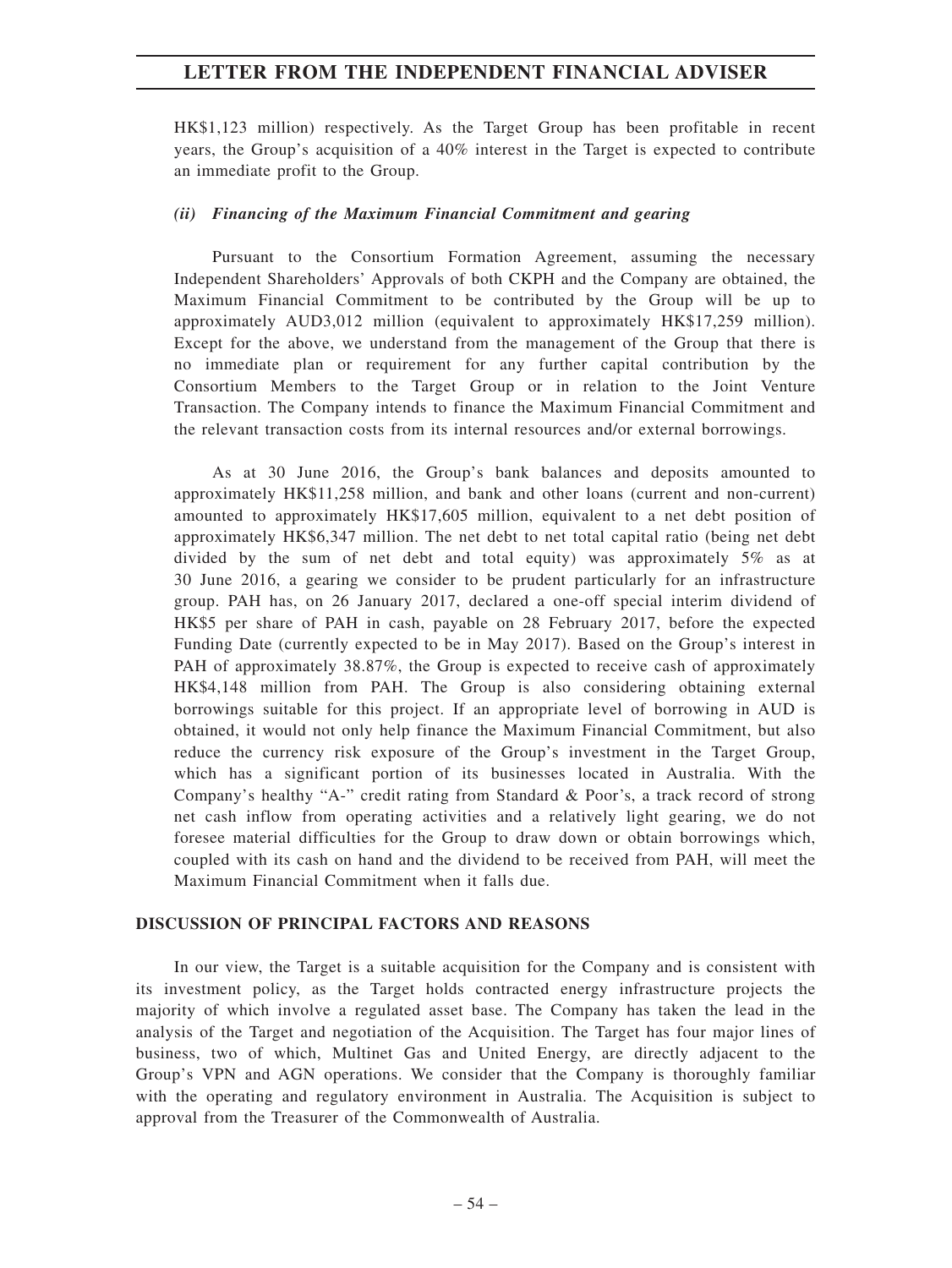HK\$1,123 million) respectively. As the Target Group has been profitable in recent years, the Group's acquisition of a 40% interest in the Target is expected to contribute an immediate profit to the Group.

#### *(ii) Financing of the Maximum Financial Commitment and gearing*

Pursuant to the Consortium Formation Agreement, assuming the necessary Independent Shareholders' Approvals of both CKPH and the Company are obtained, the Maximum Financial Commitment to be contributed by the Group will be up to approximately AUD3,012 million (equivalent to approximately HK\$17,259 million). Except for the above, we understand from the management of the Group that there is no immediate plan or requirement for any further capital contribution by the Consortium Members to the Target Group or in relation to the Joint Venture Transaction. The Company intends to finance the Maximum Financial Commitment and the relevant transaction costs from its internal resources and/or external borrowings.

As at 30 June 2016, the Group's bank balances and deposits amounted to approximately HK\$11,258 million, and bank and other loans (current and non-current) amounted to approximately HK\$17,605 million, equivalent to a net debt position of approximately HK\$6,347 million. The net debt to net total capital ratio (being net debt divided by the sum of net debt and total equity) was approximately 5% as at 30 June 2016, a gearing we consider to be prudent particularly for an infrastructure group. PAH has, on 26 January 2017, declared a one-off special interim dividend of HK\$5 per share of PAH in cash, payable on 28 February 2017, before the expected Funding Date (currently expected to be in May 2017). Based on the Group's interest in PAH of approximately 38.87%, the Group is expected to receive cash of approximately HK\$4,148 million from PAH. The Group is also considering obtaining external borrowings suitable for this project. If an appropriate level of borrowing in AUD is obtained, it would not only help finance the Maximum Financial Commitment, but also reduce the currency risk exposure of the Group's investment in the Target Group, which has a significant portion of its businesses located in Australia. With the Company's healthy "A-" credit rating from Standard & Poor's, a track record of strong net cash inflow from operating activities and a relatively light gearing, we do not foresee material difficulties for the Group to draw down or obtain borrowings which, coupled with its cash on hand and the dividend to be received from PAH, will meet the Maximum Financial Commitment when it falls due.

#### **DISCUSSION OF PRINCIPAL FACTORS AND REASONS**

In our view, the Target is a suitable acquisition for the Company and is consistent with its investment policy, as the Target holds contracted energy infrastructure projects the majority of which involve a regulated asset base. The Company has taken the lead in the analysis of the Target and negotiation of the Acquisition. The Target has four major lines of business, two of which, Multinet Gas and United Energy, are directly adjacent to the Group's VPN and AGN operations. We consider that the Company is thoroughly familiar with the operating and regulatory environment in Australia. The Acquisition is subject to approval from the Treasurer of the Commonwealth of Australia.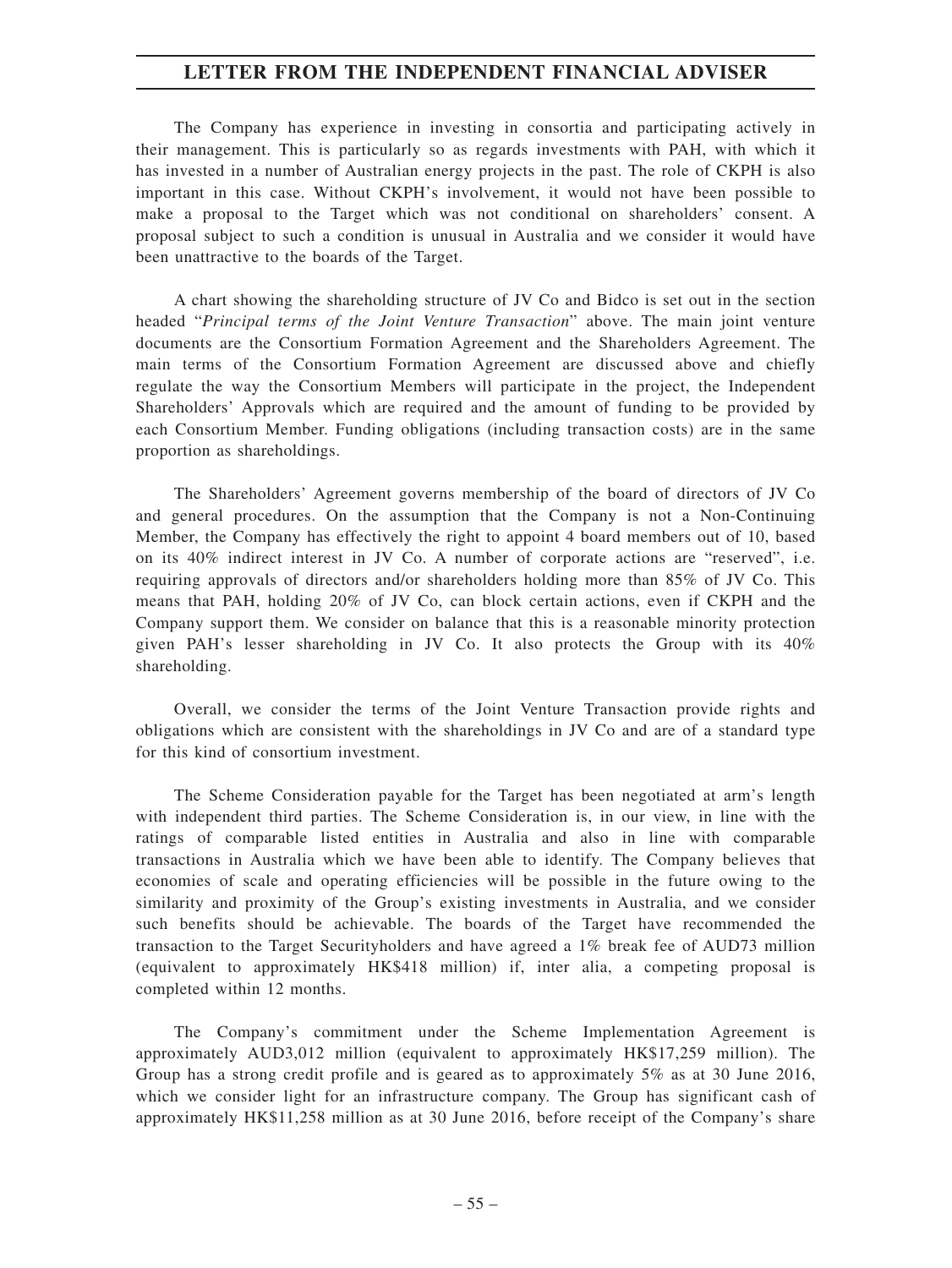The Company has experience in investing in consortia and participating actively in their management. This is particularly so as regards investments with PAH, with which it has invested in a number of Australian energy projects in the past. The role of CKPH is also important in this case. Without CKPH's involvement, it would not have been possible to make a proposal to the Target which was not conditional on shareholders' consent. A proposal subject to such a condition is unusual in Australia and we consider it would have been unattractive to the boards of the Target.

A chart showing the shareholding structure of JV Co and Bidco is set out in the section headed "*Principal terms of the Joint Venture Transaction*" above. The main joint venture documents are the Consortium Formation Agreement and the Shareholders Agreement. The main terms of the Consortium Formation Agreement are discussed above and chiefly regulate the way the Consortium Members will participate in the project, the Independent Shareholders' Approvals which are required and the amount of funding to be provided by each Consortium Member. Funding obligations (including transaction costs) are in the same proportion as shareholdings.

The Shareholders' Agreement governs membership of the board of directors of JV Co and general procedures. On the assumption that the Company is not a Non-Continuing Member, the Company has effectively the right to appoint 4 board members out of 10, based on its 40% indirect interest in JV Co. A number of corporate actions are "reserved", i.e. requiring approvals of directors and/or shareholders holding more than 85% of JV Co. This means that PAH, holding 20% of JV Co, can block certain actions, even if CKPH and the Company support them. We consider on balance that this is a reasonable minority protection given PAH's lesser shareholding in JV Co. It also protects the Group with its 40% shareholding.

Overall, we consider the terms of the Joint Venture Transaction provide rights and obligations which are consistent with the shareholdings in JV Co and are of a standard type for this kind of consortium investment.

The Scheme Consideration payable for the Target has been negotiated at arm's length with independent third parties. The Scheme Consideration is, in our view, in line with the ratings of comparable listed entities in Australia and also in line with comparable transactions in Australia which we have been able to identify. The Company believes that economies of scale and operating efficiencies will be possible in the future owing to the similarity and proximity of the Group's existing investments in Australia, and we consider such benefits should be achievable. The boards of the Target have recommended the transaction to the Target Securityholders and have agreed a 1% break fee of AUD73 million (equivalent to approximately HK\$418 million) if, inter alia, a competing proposal is completed within 12 months.

The Company's commitment under the Scheme Implementation Agreement is approximately AUD3,012 million (equivalent to approximately HK\$17,259 million). The Group has a strong credit profile and is geared as to approximately 5% as at 30 June 2016, which we consider light for an infrastructure company. The Group has significant cash of approximately HK\$11,258 million as at 30 June 2016, before receipt of the Company's share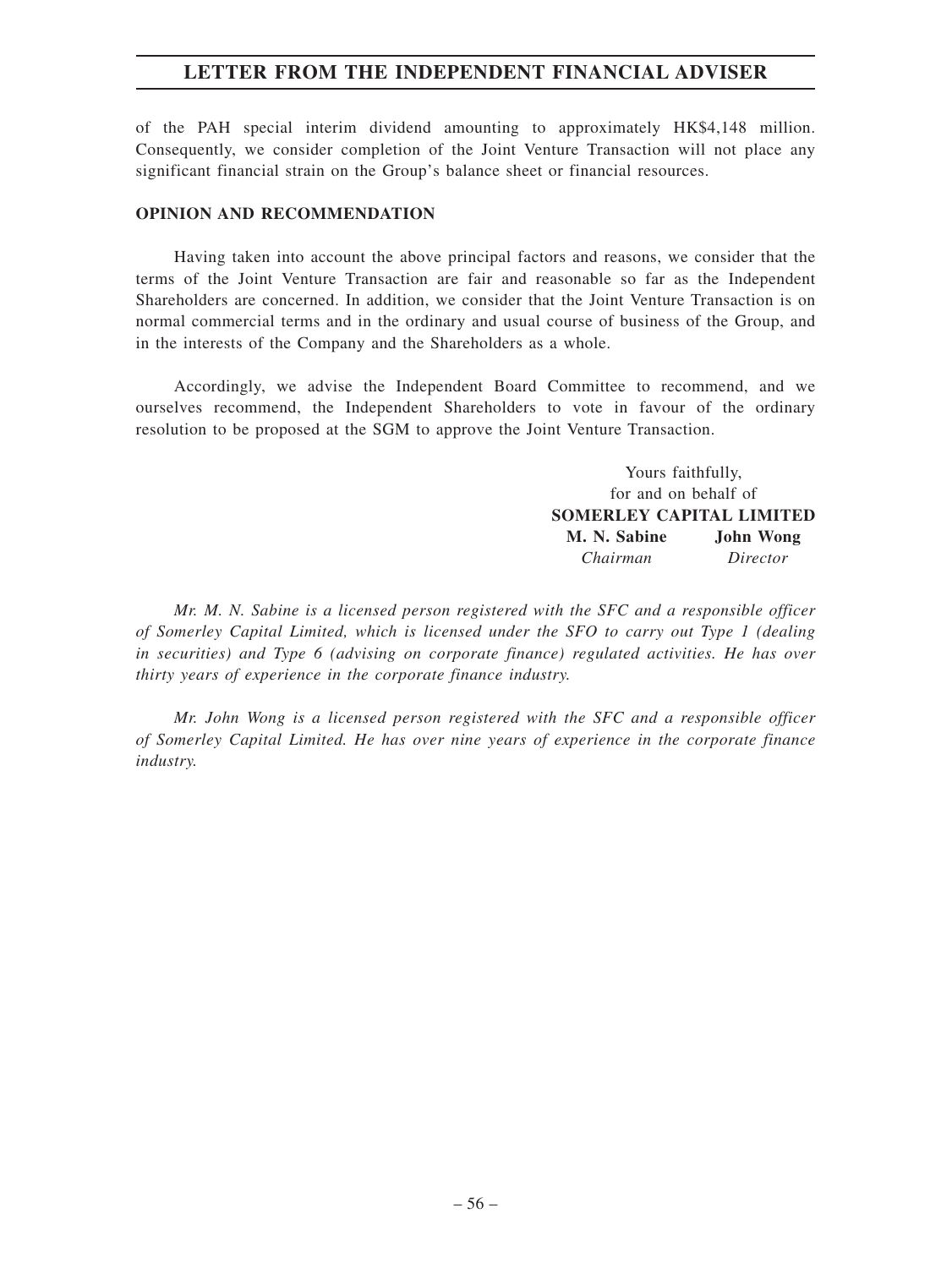of the PAH special interim dividend amounting to approximately HK\$4,148 million. Consequently, we consider completion of the Joint Venture Transaction will not place any significant financial strain on the Group's balance sheet or financial resources.

#### **OPINION AND RECOMMENDATION**

Having taken into account the above principal factors and reasons, we consider that the terms of the Joint Venture Transaction are fair and reasonable so far as the Independent Shareholders are concerned. In addition, we consider that the Joint Venture Transaction is on normal commercial terms and in the ordinary and usual course of business of the Group, and in the interests of the Company and the Shareholders as a whole.

Accordingly, we advise the Independent Board Committee to recommend, and we ourselves recommend, the Independent Shareholders to vote in favour of the ordinary resolution to be proposed at the SGM to approve the Joint Venture Transaction.

> Yours faithfully, for and on behalf of **SOMERLEY CAPITAL LIMITED M. N. Sabine John Wong** *Chairman Director*

*Mr. M. N. Sabine is a licensed person registered with the SFC and a responsible officer of Somerley Capital Limited, which is licensed under the SFO to carry out Type 1 (dealing in securities) and Type 6 (advising on corporate finance) regulated activities. He has over thirty years of experience in the corporate finance industry.*

*Mr. John Wong is a licensed person registered with the SFC and a responsible officer of Somerley Capital Limited. He has over nine years of experience in the corporate finance industry.*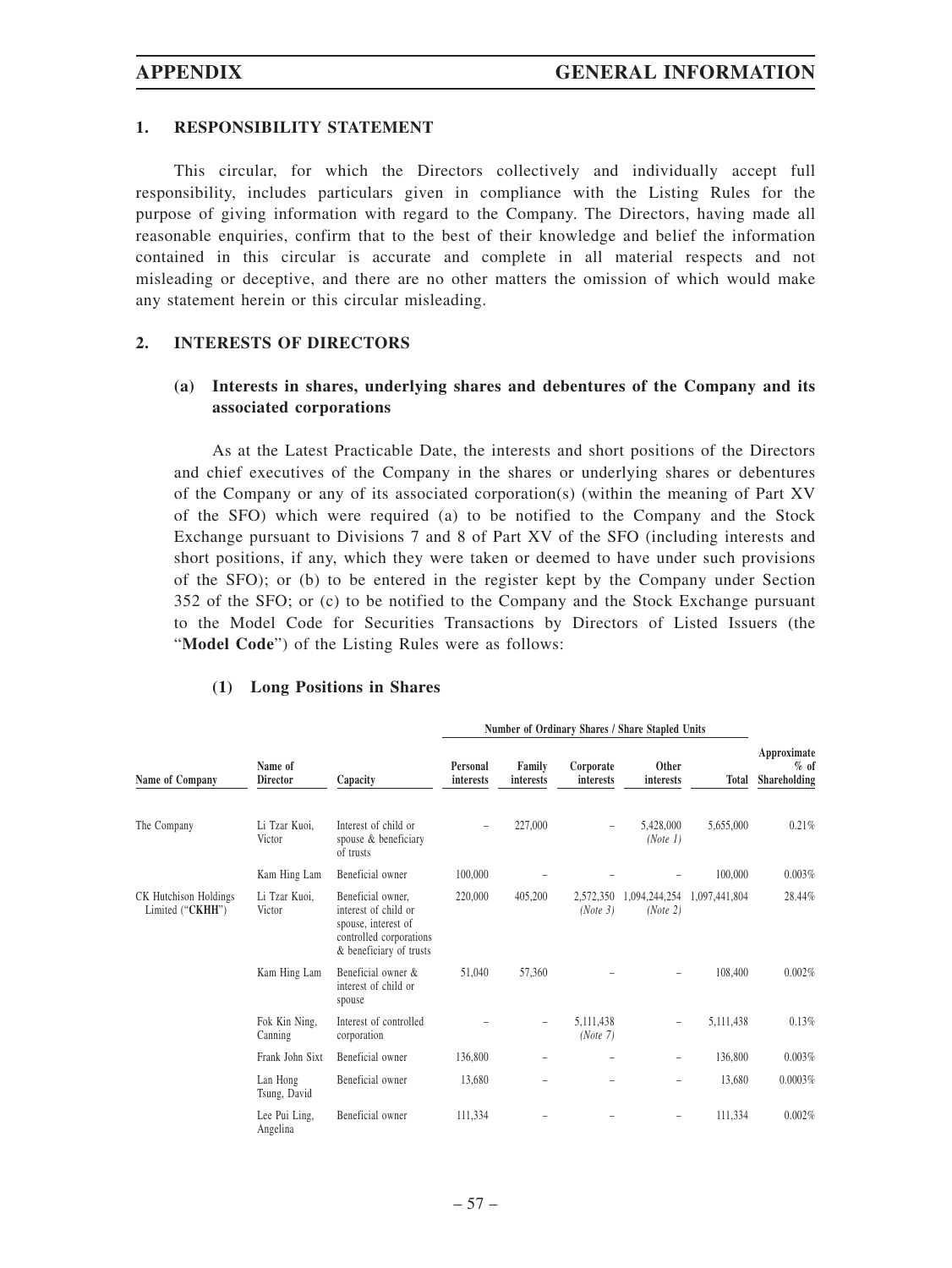#### **1. RESPONSIBILITY STATEMENT**

This circular, for which the Directors collectively and individually accept full responsibility, includes particulars given in compliance with the Listing Rules for the purpose of giving information with regard to the Company. The Directors, having made all reasonable enquiries, confirm that to the best of their knowledge and belief the information contained in this circular is accurate and complete in all material respects and not misleading or deceptive, and there are no other matters the omission of which would make any statement herein or this circular misleading.

#### **2. INTERESTS OF DIRECTORS**

## **(a) Interests in shares, underlying shares and debentures of the Company and its associated corporations**

As at the Latest Practicable Date, the interests and short positions of the Directors and chief executives of the Company in the shares or underlying shares or debentures of the Company or any of its associated corporation(s) (within the meaning of Part XV of the SFO) which were required (a) to be notified to the Company and the Stock Exchange pursuant to Divisions 7 and 8 of Part XV of the SFO (including interests and short positions, if any, which they were taken or deemed to have under such provisions of the SFO); or (b) to be entered in the register kept by the Company under Section 352 of the SFO; or (c) to be notified to the Company and the Stock Exchange pursuant to the Model Code for Securities Transactions by Directors of Listed Issuers (the "**Model Code**") of the Listing Rules were as follows:

|                                           |                            |                                                                                                                        | Number of Ordinary Shares / Share Stapled Units |                     |                        |                           |               |                                       |
|-------------------------------------------|----------------------------|------------------------------------------------------------------------------------------------------------------------|-------------------------------------------------|---------------------|------------------------|---------------------------|---------------|---------------------------------------|
| Name of Company                           | Name of<br><b>Director</b> | Capacity                                                                                                               | Personal<br>interests                           | Family<br>interests | Corporate<br>interests | Other<br>interests        | <b>Total</b>  | Approximate<br>$%$ of<br>Shareholding |
| The Company                               | Li Tzar Kuoi,<br>Victor    | Interest of child or<br>spouse & beneficiary<br>of trusts                                                              |                                                 | 227,000             |                        | 5,428,000<br>(Note 1)     | 5,655,000     | 0.21%                                 |
|                                           | Kam Hing Lam               | Beneficial owner                                                                                                       | 100,000                                         |                     |                        |                           | 100,000       | 0.003%                                |
| CK Hutchison Holdings<br>Limited ("CKHH") | Li Tzar Kuoi,<br>Victor    | Beneficial owner,<br>interest of child or<br>spouse, interest of<br>controlled corporations<br>& beneficiary of trusts | 220,000                                         | 405,200             | 2,572,350<br>(Note 3)  | 1,094,244,254<br>(Note 2) | 1,097,441,804 | 28.44%                                |
|                                           | Kam Hing Lam               | Beneficial owner &<br>interest of child or<br>spouse                                                                   | 51,040                                          | 57,360              |                        |                           | 108,400       | 0.002%                                |
|                                           | Fok Kin Ning,<br>Canning   | Interest of controlled<br>corporation                                                                                  |                                                 |                     | 5,111,438<br>(Note 7)  | $\overline{\phantom{0}}$  | 5,111,438     | 0.13%                                 |
|                                           | Frank John Sixt            | Beneficial owner                                                                                                       | 136,800                                         |                     |                        | $\overline{\phantom{0}}$  | 136,800       | 0.003%                                |
|                                           | Lan Hong<br>Tsung, David   | Beneficial owner                                                                                                       | 13,680                                          |                     |                        | $\overline{\phantom{0}}$  | 13,680        | 0.0003%                               |
|                                           | Lee Pui Ling,<br>Angelina  | Beneficial owner                                                                                                       | 111,334                                         |                     |                        | $\overline{\phantom{0}}$  | 111,334       | 0.002%                                |

#### **(1) Long Positions in Shares**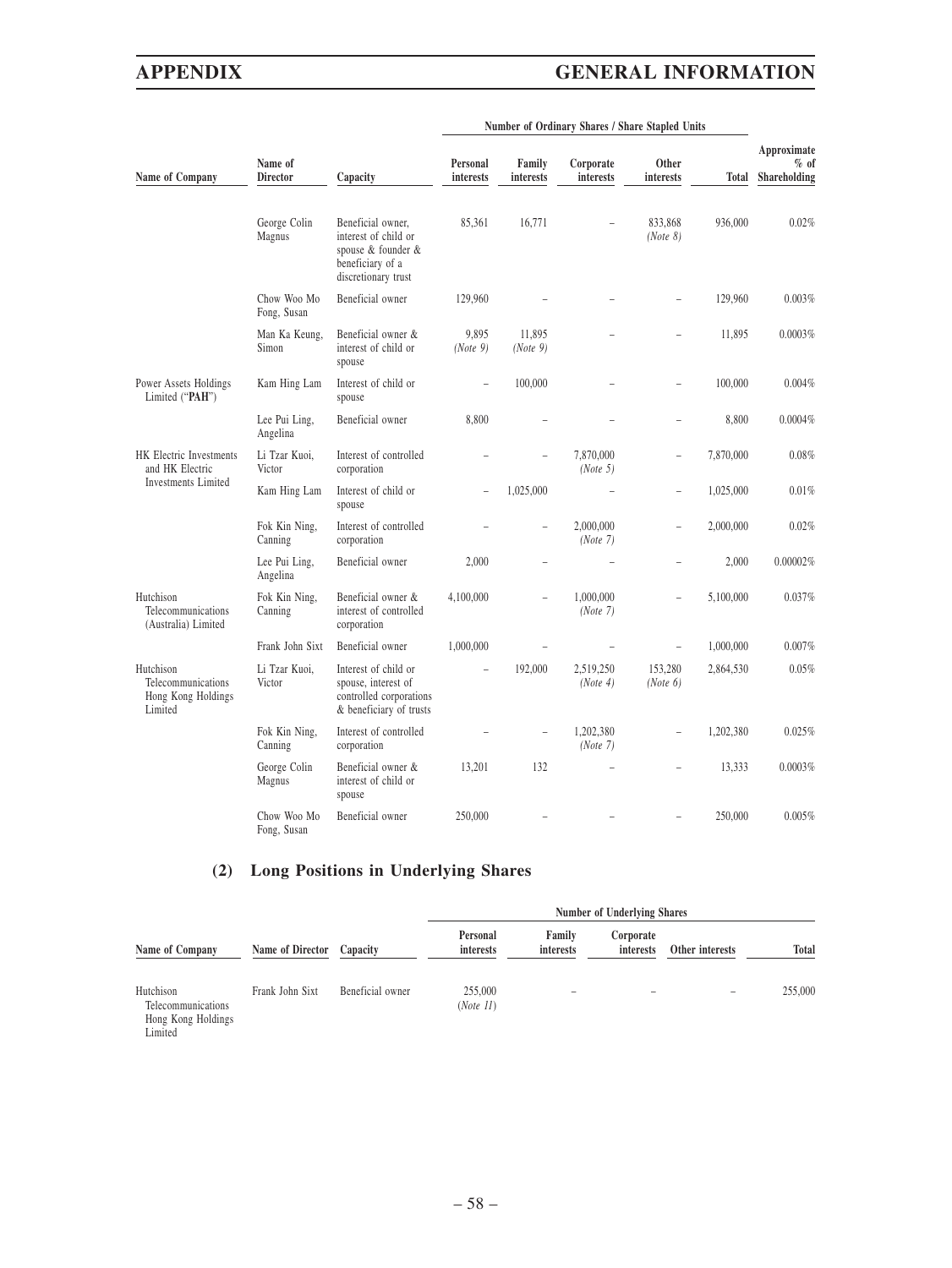Limited

# **APPENDIX GENERAL INFORMATION**

| Name of Company                                                  | Name of<br><b>Director</b> | Capacity                                                                                                   | Personal<br>interests    | Family<br>interests | Corporate<br>interests | Other<br>interests  | Total     | Approximate<br>$%$ of<br>Shareholding |
|------------------------------------------------------------------|----------------------------|------------------------------------------------------------------------------------------------------------|--------------------------|---------------------|------------------------|---------------------|-----------|---------------------------------------|
|                                                                  | George Colin<br>Magnus     | Beneficial owner,<br>interest of child or<br>spouse & founder &<br>beneficiary of a<br>discretionary trust | 85,361                   | 16,771              |                        | 833,868<br>(Note 8) | 936,000   | 0.02%                                 |
|                                                                  | Chow Woo Mo<br>Fong, Susan | Beneficial owner                                                                                           | 129,960                  |                     |                        |                     | 129,960   | 0.003%                                |
|                                                                  | Man Ka Keung,<br>Simon     | Beneficial owner &<br>interest of child or<br>spouse                                                       | 9,895<br>(Note 9)        | 11,895<br>(Note 9)  |                        | $\overline{a}$      | 11,895    | 0.0003%                               |
| Power Assets Holdings<br>Limited ("PAH")                         | Kam Hing Lam               | Interest of child or<br>spouse                                                                             | $\overline{a}$           | 100,000             |                        | $\overline{a}$      | 100,000   | 0.004%                                |
|                                                                  | Lee Pui Ling,<br>Angelina  | Beneficial owner                                                                                           | 8,800                    |                     |                        |                     | 8,800     | 0.0004%                               |
| HK Electric Investments<br>and HK Electric                       | Li Tzar Kuoi,<br>Victor    | Interest of controlled<br>corporation                                                                      |                          |                     | 7.870.000<br>(Note 5)  | $\overline{a}$      | 7,870,000 | 0.08%                                 |
| Investments Limited                                              | Kam Hing Lam               | Interest of child or<br>spouse                                                                             | ÷                        | 1,025,000           |                        | $\overline{a}$      | 1,025,000 | 0.01%                                 |
|                                                                  | Fok Kin Ning,<br>Canning   | Interest of controlled<br>corporation                                                                      |                          |                     | 2.000.000<br>(Note 7)  |                     | 2,000,000 | 0.02%                                 |
|                                                                  | Lee Pui Ling,<br>Angelina  | Beneficial owner                                                                                           | 2,000                    |                     |                        |                     | 2,000     | 0.00002%                              |
| Hutchison<br>Telecommunications<br>(Australia) Limited           | Fok Kin Ning,<br>Canning   | Beneficial owner &<br>interest of controlled<br>corporation                                                | 4,100,000                |                     | 1,000,000<br>(Note 7)  | $\overline{a}$      | 5,100,000 | 0.037%                                |
|                                                                  | Frank John Sixt            | Beneficial owner                                                                                           | 1,000,000                |                     |                        |                     | 1,000,000 | 0.007%                                |
| Hutchison<br>Telecommunications<br>Hong Kong Holdings<br>Limited | Li Tzar Kuoi,<br>Victor    | Interest of child or<br>spouse, interest of<br>controlled corporations<br>& beneficiary of trusts          | $\overline{\phantom{a}}$ | 192,000             | 2,519,250<br>(Note 4)  | 153,280<br>(Note 6) | 2,864,530 | 0.05%                                 |
|                                                                  | Fok Kin Ning,<br>Canning   | Interest of controlled<br>corporation                                                                      |                          |                     | 1,202,380<br>(Note 7)  |                     | 1,202,380 | 0.025%                                |
|                                                                  | George Colin<br>Magnus     | Beneficial owner &<br>interest of child or<br>spouse                                                       | 13,201                   | 132                 |                        | $\overline{a}$      | 13,333    | 0.0003%                               |
|                                                                  | Chow Woo Mo<br>Fong, Susan | Beneficial owner                                                                                           | 250,000                  |                     |                        |                     | 250,000   | 0.005%                                |

#### **Number of Ordinary Shares / Share Stapled Units**

# **(2) Long Positions in Underlying Shares**

| Name of Company                                       |                  |                  | <b>Number of Underlying Shares</b> |                          |                        |                 |         |
|-------------------------------------------------------|------------------|------------------|------------------------------------|--------------------------|------------------------|-----------------|---------|
|                                                       | Name of Director | Capacity         | Personal<br>interests              | Family<br>interests      | Corporate<br>interests | Other interests | Total   |
| Hutchison<br>Telecommunications<br>Hong Kong Holdings | Frank John Sixt  | Beneficial owner | 255,000<br>(Note 11)               | $\overline{\phantom{a}}$ |                        |                 | 255,000 |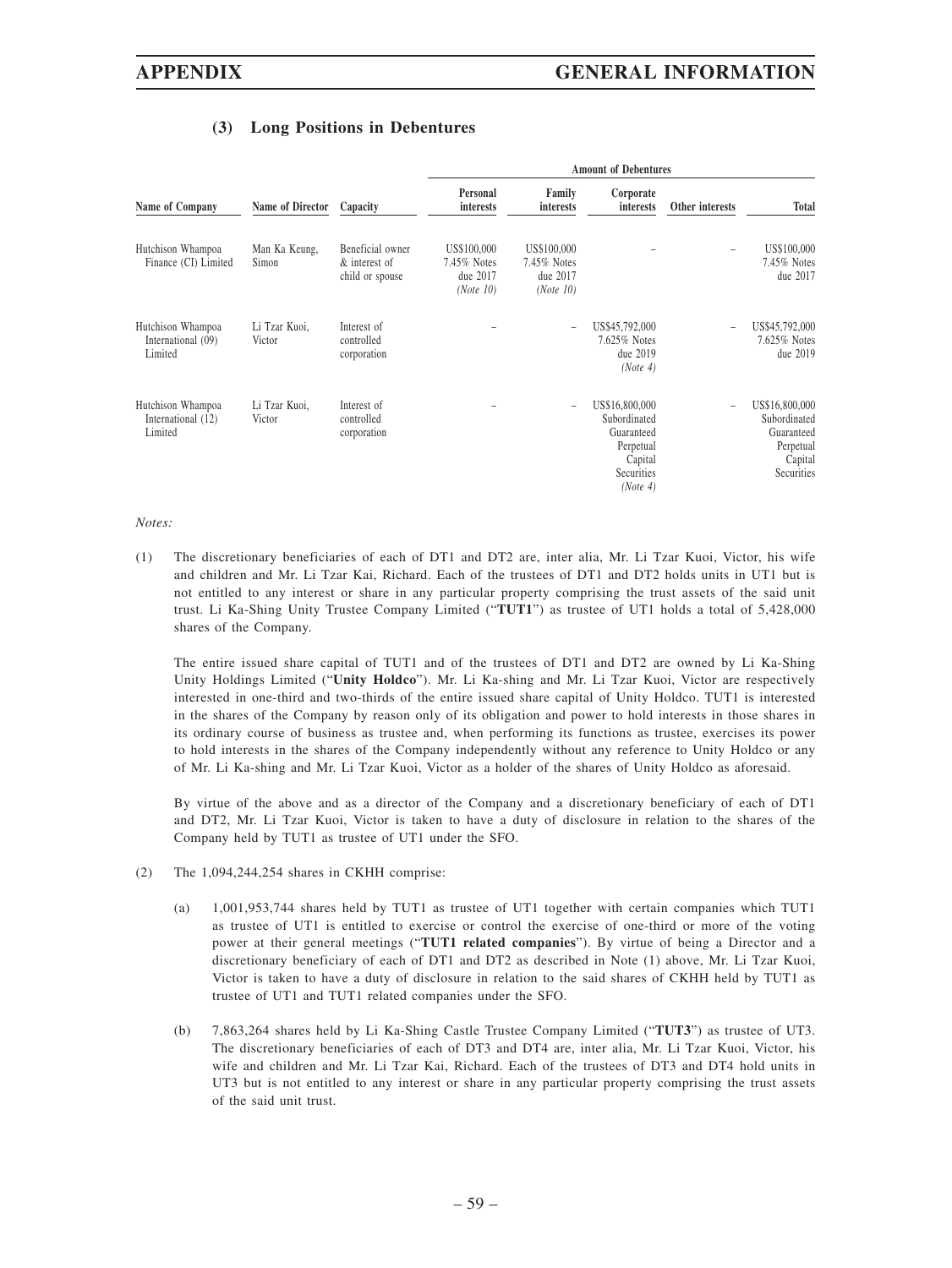# **(3) Long Positions in Debentures**

|                                                    |                         |                                                      | <b>Amount of Debentures</b>                         |                                                     |                                                                                                |                          |                                                                                    |  |
|----------------------------------------------------|-------------------------|------------------------------------------------------|-----------------------------------------------------|-----------------------------------------------------|------------------------------------------------------------------------------------------------|--------------------------|------------------------------------------------------------------------------------|--|
| Name of Company                                    | Name of Director        | Capacity                                             | Personal<br>interests                               | Family<br><i>interests</i>                          | Corporate<br><i>interests</i>                                                                  | Other interests          | Total                                                                              |  |
| Hutchison Whampoa<br>Finance (CI) Limited          | Man Ka Keung,<br>Simon  | Beneficial owner<br>& interest of<br>child or spouse | US\$100,000<br>7.45% Notes<br>due 2017<br>(Note 10) | US\$100,000<br>7.45% Notes<br>due 2017<br>(Note 10) |                                                                                                | $\overline{\phantom{a}}$ | US\$100,000<br>7.45% Notes<br>due 2017                                             |  |
| Hutchison Whampoa<br>International (09)<br>Limited | Li Tzar Kuoi,<br>Victor | Interest of<br>controlled<br>corporation             |                                                     |                                                     | US\$45,792,000<br>7.625% Notes<br>due 2019<br>(Note 4)                                         |                          | US\$45,792,000<br>7.625% Notes<br>due 2019                                         |  |
| Hutchison Whampoa<br>International (12)<br>Limited | Li Tzar Kuoi,<br>Victor | Interest of<br>controlled<br>corporation             |                                                     |                                                     | US\$16,800,000<br>Subordinated<br>Guaranteed<br>Perpetual<br>Capital<br>Securities<br>(Note 4) | $\overline{\phantom{0}}$ | US\$16,800,000<br>Subordinated<br>Guaranteed<br>Perpetual<br>Capital<br>Securities |  |

#### *Notes:*

(1) The discretionary beneficiaries of each of DT1 and DT2 are, inter alia, Mr. Li Tzar Kuoi, Victor, his wife and children and Mr. Li Tzar Kai, Richard. Each of the trustees of DT1 and DT2 holds units in UT1 but is not entitled to any interest or share in any particular property comprising the trust assets of the said unit trust. Li Ka-Shing Unity Trustee Company Limited ("**TUT1**") as trustee of UT1 holds a total of 5,428,000 shares of the Company.

The entire issued share capital of TUT1 and of the trustees of DT1 and DT2 are owned by Li Ka-Shing Unity Holdings Limited ("**Unity Holdco**"). Mr. Li Ka-shing and Mr. Li Tzar Kuoi, Victor are respectively interested in one-third and two-thirds of the entire issued share capital of Unity Holdco. TUT1 is interested in the shares of the Company by reason only of its obligation and power to hold interests in those shares in its ordinary course of business as trustee and, when performing its functions as trustee, exercises its power to hold interests in the shares of the Company independently without any reference to Unity Holdco or any of Mr. Li Ka-shing and Mr. Li Tzar Kuoi, Victor as a holder of the shares of Unity Holdco as aforesaid.

By virtue of the above and as a director of the Company and a discretionary beneficiary of each of DT1 and DT2, Mr. Li Tzar Kuoi, Victor is taken to have a duty of disclosure in relation to the shares of the Company held by TUT1 as trustee of UT1 under the SFO.

- (2) The 1,094,244,254 shares in CKHH comprise:
	- (a) 1,001,953,744 shares held by TUT1 as trustee of UT1 together with certain companies which TUT1 as trustee of UT1 is entitled to exercise or control the exercise of one-third or more of the voting power at their general meetings ("**TUT1 related companies**"). By virtue of being a Director and a discretionary beneficiary of each of DT1 and DT2 as described in Note (1) above, Mr. Li Tzar Kuoi, Victor is taken to have a duty of disclosure in relation to the said shares of CKHH held by TUT1 as trustee of UT1 and TUT1 related companies under the SFO.
	- (b) 7,863,264 shares held by Li Ka-Shing Castle Trustee Company Limited ("**TUT3**") as trustee of UT3. The discretionary beneficiaries of each of DT3 and DT4 are, inter alia, Mr. Li Tzar Kuoi, Victor, his wife and children and Mr. Li Tzar Kai, Richard. Each of the trustees of DT3 and DT4 hold units in UT3 but is not entitled to any interest or share in any particular property comprising the trust assets of the said unit trust.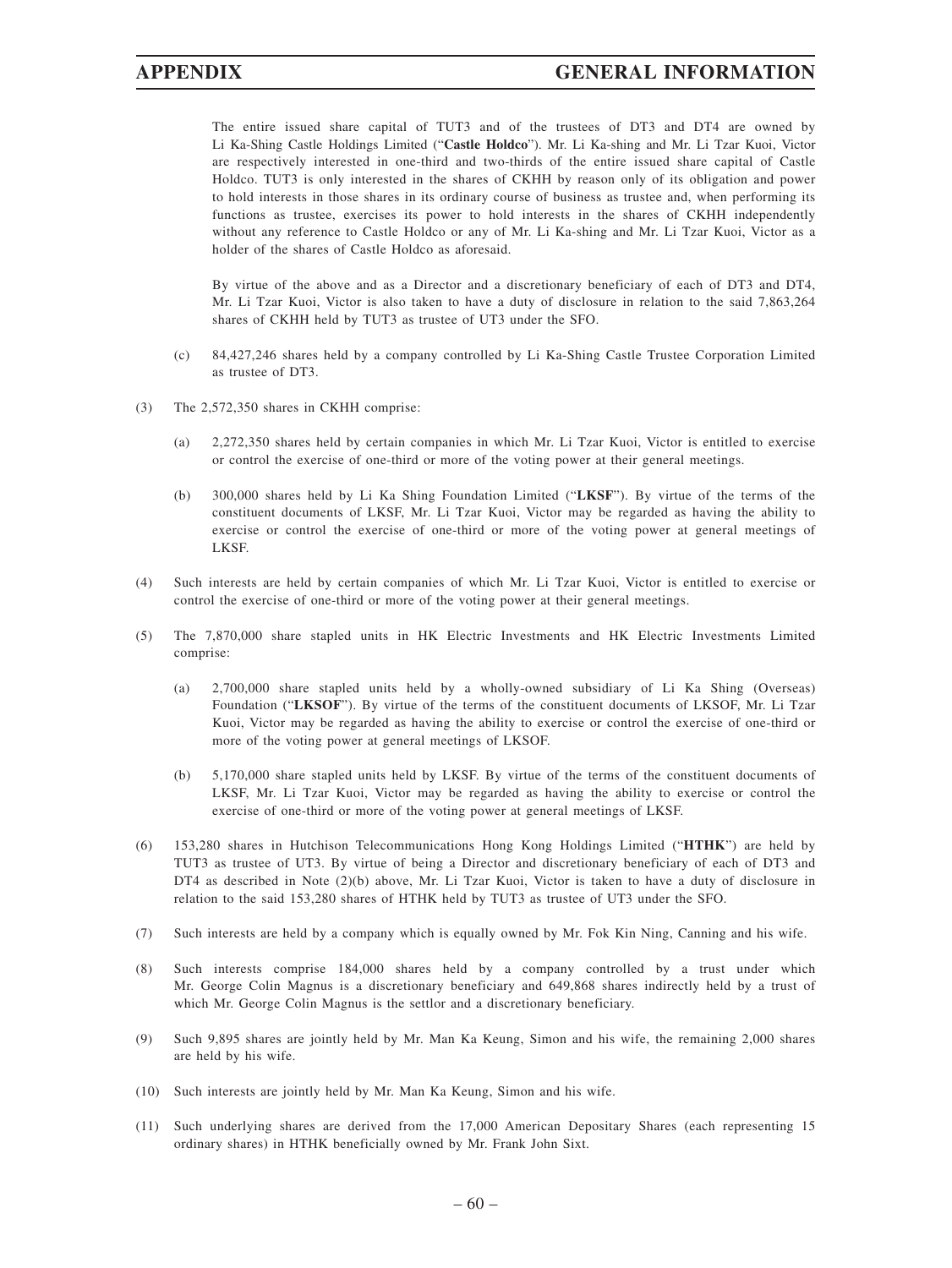The entire issued share capital of TUT3 and of the trustees of DT3 and DT4 are owned by Li Ka-Shing Castle Holdings Limited ("**Castle Holdco**"). Mr. Li Ka-shing and Mr. Li Tzar Kuoi, Victor are respectively interested in one-third and two-thirds of the entire issued share capital of Castle Holdco. TUT3 is only interested in the shares of CKHH by reason only of its obligation and power to hold interests in those shares in its ordinary course of business as trustee and, when performing its functions as trustee, exercises its power to hold interests in the shares of CKHH independently without any reference to Castle Holdco or any of Mr. Li Ka-shing and Mr. Li Tzar Kuoi, Victor as a holder of the shares of Castle Holdco as aforesaid.

By virtue of the above and as a Director and a discretionary beneficiary of each of DT3 and DT4, Mr. Li Tzar Kuoi, Victor is also taken to have a duty of disclosure in relation to the said 7,863,264 shares of CKHH held by TUT3 as trustee of UT3 under the SFO.

- (c) 84,427,246 shares held by a company controlled by Li Ka-Shing Castle Trustee Corporation Limited as trustee of DT3.
- (3) The 2,572,350 shares in CKHH comprise:
	- (a) 2,272,350 shares held by certain companies in which Mr. Li Tzar Kuoi, Victor is entitled to exercise or control the exercise of one-third or more of the voting power at their general meetings.
	- (b) 300,000 shares held by Li Ka Shing Foundation Limited ("**LKSF**"). By virtue of the terms of the constituent documents of LKSF, Mr. Li Tzar Kuoi, Victor may be regarded as having the ability to exercise or control the exercise of one-third or more of the voting power at general meetings of LKSF.
- (4) Such interests are held by certain companies of which Mr. Li Tzar Kuoi, Victor is entitled to exercise or control the exercise of one-third or more of the voting power at their general meetings.
- (5) The 7,870,000 share stapled units in HK Electric Investments and HK Electric Investments Limited comprise:
	- (a) 2,700,000 share stapled units held by a wholly-owned subsidiary of Li Ka Shing (Overseas) Foundation ("**LKSOF**"). By virtue of the terms of the constituent documents of LKSOF, Mr. Li Tzar Kuoi, Victor may be regarded as having the ability to exercise or control the exercise of one-third or more of the voting power at general meetings of LKSOF.
	- (b) 5,170,000 share stapled units held by LKSF. By virtue of the terms of the constituent documents of LKSF, Mr. Li Tzar Kuoi, Victor may be regarded as having the ability to exercise or control the exercise of one-third or more of the voting power at general meetings of LKSF.
- (6) 153,280 shares in Hutchison Telecommunications Hong Kong Holdings Limited ("**HTHK**") are held by TUT3 as trustee of UT3. By virtue of being a Director and discretionary beneficiary of each of DT3 and DT4 as described in Note (2)(b) above, Mr. Li Tzar Kuoi, Victor is taken to have a duty of disclosure in relation to the said 153,280 shares of HTHK held by TUT3 as trustee of UT3 under the SFO.
- (7) Such interests are held by a company which is equally owned by Mr. Fok Kin Ning, Canning and his wife.
- (8) Such interests comprise 184,000 shares held by a company controlled by a trust under which Mr. George Colin Magnus is a discretionary beneficiary and 649,868 shares indirectly held by a trust of which Mr. George Colin Magnus is the settlor and a discretionary beneficiary.
- (9) Such 9,895 shares are jointly held by Mr. Man Ka Keung, Simon and his wife, the remaining 2,000 shares are held by his wife.
- (10) Such interests are jointly held by Mr. Man Ka Keung, Simon and his wife.
- (11) Such underlying shares are derived from the 17,000 American Depositary Shares (each representing 15 ordinary shares) in HTHK beneficially owned by Mr. Frank John Sixt.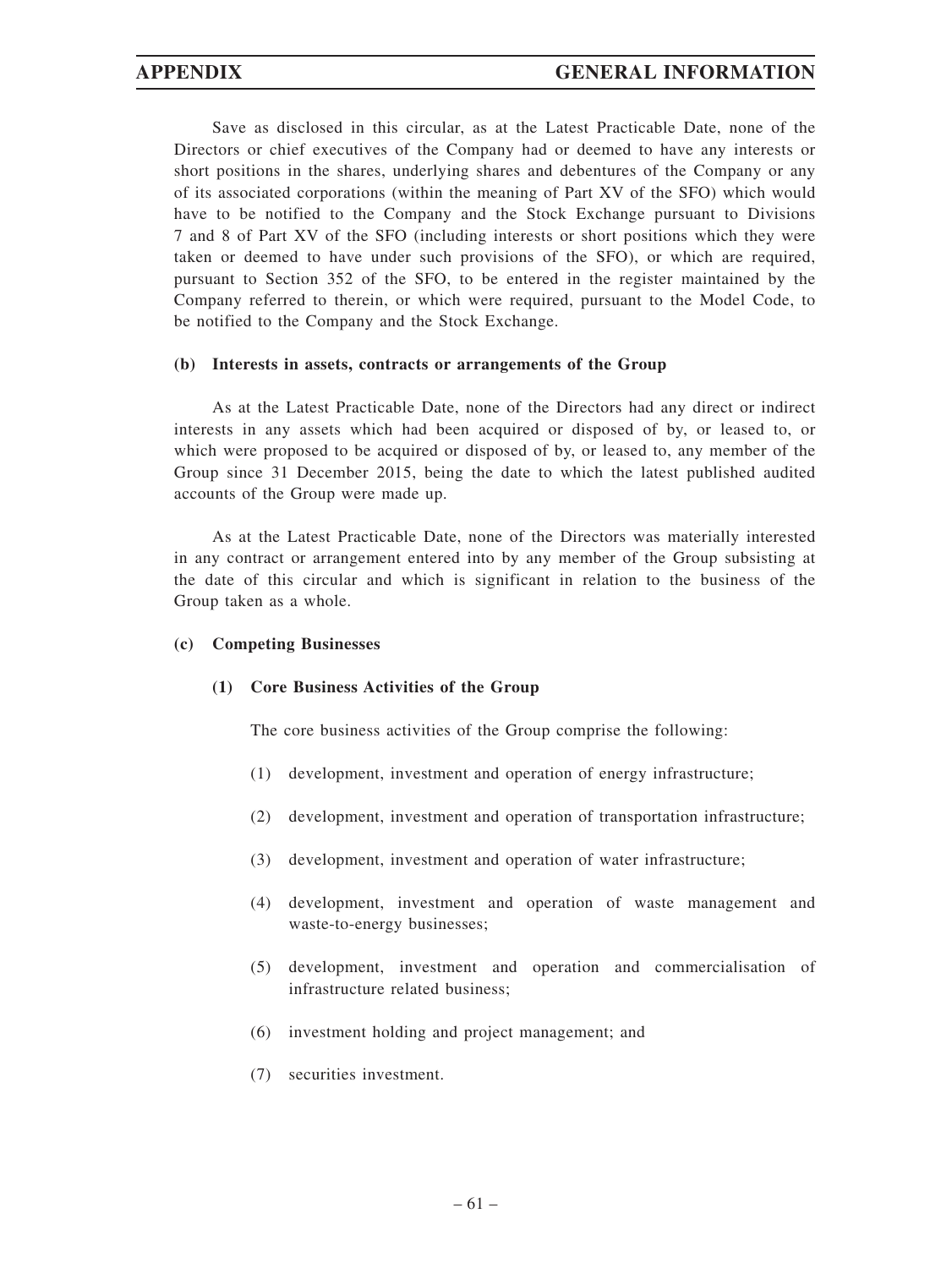Save as disclosed in this circular, as at the Latest Practicable Date, none of the Directors or chief executives of the Company had or deemed to have any interests or short positions in the shares, underlying shares and debentures of the Company or any of its associated corporations (within the meaning of Part XV of the SFO) which would have to be notified to the Company and the Stock Exchange pursuant to Divisions 7 and 8 of Part XV of the SFO (including interests or short positions which they were taken or deemed to have under such provisions of the SFO), or which are required, pursuant to Section 352 of the SFO, to be entered in the register maintained by the Company referred to therein, or which were required, pursuant to the Model Code, to be notified to the Company and the Stock Exchange.

#### **(b) Interests in assets, contracts or arrangements of the Group**

As at the Latest Practicable Date, none of the Directors had any direct or indirect interests in any assets which had been acquired or disposed of by, or leased to, or which were proposed to be acquired or disposed of by, or leased to, any member of the Group since 31 December 2015, being the date to which the latest published audited accounts of the Group were made up.

As at the Latest Practicable Date, none of the Directors was materially interested in any contract or arrangement entered into by any member of the Group subsisting at the date of this circular and which is significant in relation to the business of the Group taken as a whole.

#### **(c) Competing Businesses**

#### **(1) Core Business Activities of the Group**

The core business activities of the Group comprise the following:

- (1) development, investment and operation of energy infrastructure;
- (2) development, investment and operation of transportation infrastructure;
- (3) development, investment and operation of water infrastructure;
- (4) development, investment and operation of waste management and waste-to-energy businesses;
- (5) development, investment and operation and commercialisation of infrastructure related business;
- (6) investment holding and project management; and
- (7) securities investment.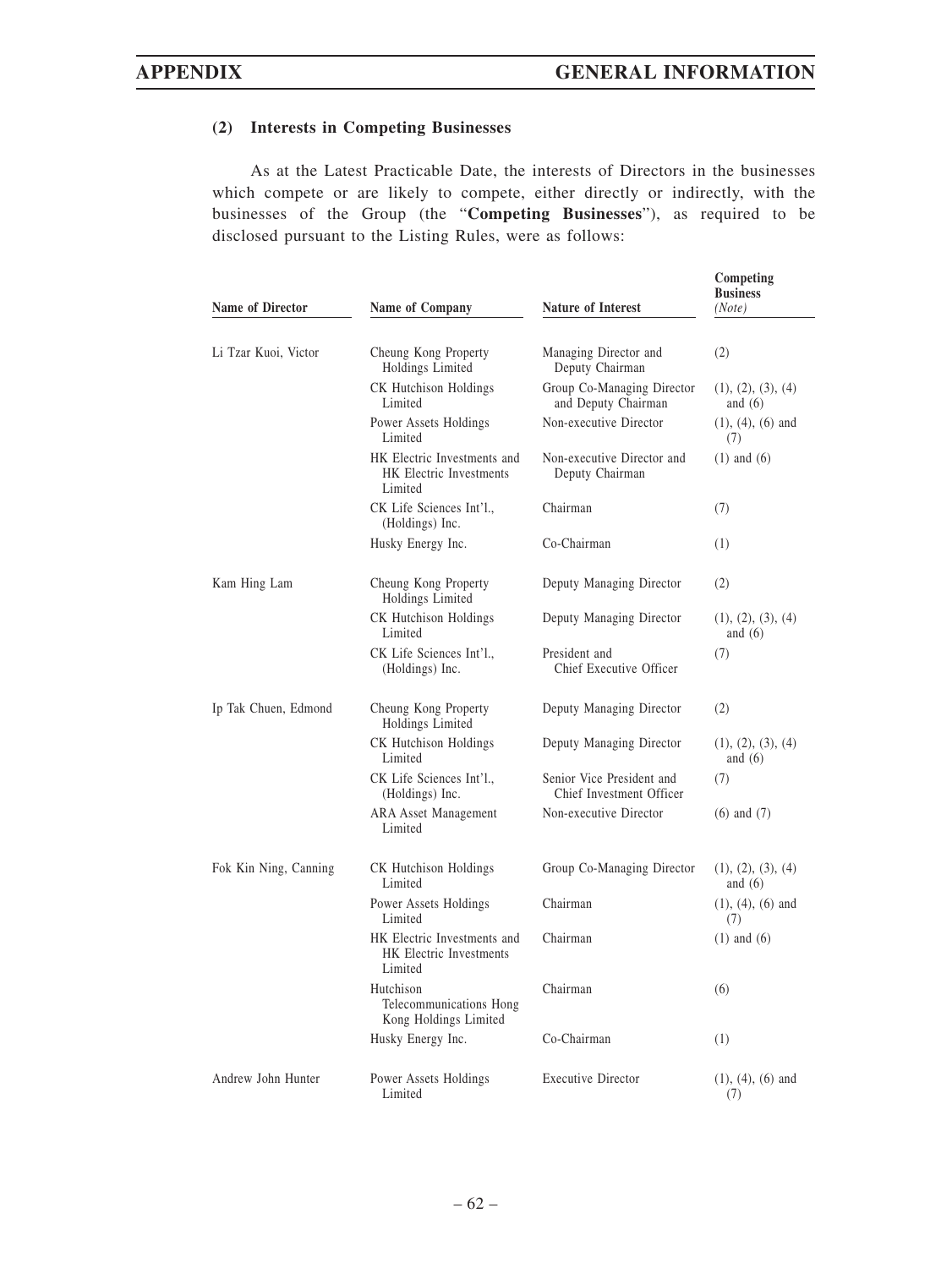# **(2) Interests in Competing Businesses**

As at the Latest Practicable Date, the interests of Directors in the businesses which compete or are likely to compete, either directly or indirectly, with the businesses of the Group (the "**Competing Businesses**"), as required to be disclosed pursuant to the Listing Rules, were as follows:

| Name of Director      | Name of Company                                                          | <b>Nature of Interest</b>                             | Competing<br><b>Business</b><br>(Note) |
|-----------------------|--------------------------------------------------------------------------|-------------------------------------------------------|----------------------------------------|
|                       |                                                                          |                                                       |                                        |
| Li Tzar Kuoi, Victor  | Cheung Kong Property<br>Holdings Limited                                 | Managing Director and<br>Deputy Chairman              | (2)                                    |
|                       | CK Hutchison Holdings<br>Limited                                         | Group Co-Managing Director<br>and Deputy Chairman     | (1), (2), (3), (4)<br>and $(6)$        |
|                       | Power Assets Holdings<br>Limited                                         | Non-executive Director                                | $(1), (4), (6)$ and<br>(7)             |
|                       | HK Electric Investments and<br><b>HK</b> Electric Investments<br>Limited | Non-executive Director and<br>Deputy Chairman         | $(1)$ and $(6)$                        |
|                       | CK Life Sciences Int'l.,<br>(Holdings) Inc.                              | Chairman                                              | (7)                                    |
|                       | Husky Energy Inc.                                                        | Co-Chairman                                           | (1)                                    |
| Kam Hing Lam          | Cheung Kong Property<br>Holdings Limited                                 | Deputy Managing Director                              | (2)                                    |
|                       | CK Hutchison Holdings<br>Limited                                         | Deputy Managing Director                              | (1), (2), (3), (4)<br>and $(6)$        |
|                       | CK Life Sciences Int'l.,<br>(Holdings) Inc.                              | President and<br>Chief Executive Officer              | (7)                                    |
| Ip Tak Chuen, Edmond  | Cheung Kong Property<br>Holdings Limited                                 | Deputy Managing Director                              | (2)                                    |
|                       | CK Hutchison Holdings<br>Limited                                         | Deputy Managing Director                              | (1), (2), (3), (4)<br>and $(6)$        |
|                       | CK Life Sciences Int'l.,<br>(Holdings) Inc.                              | Senior Vice President and<br>Chief Investment Officer | (7)                                    |
|                       | <b>ARA Asset Management</b><br>Limited                                   | Non-executive Director                                | $(6)$ and $(7)$                        |
| Fok Kin Ning, Canning | CK Hutchison Holdings<br>Limited                                         | Group Co-Managing Director                            | (1), (2), (3), (4)<br>and $(6)$        |
|                       | Power Assets Holdings<br>Limited                                         | Chairman                                              | $(1), (4), (6)$ and<br>(7)             |
|                       | HK Electric Investments and<br><b>HK</b> Electric Investments<br>Limited | Chairman                                              | $(1)$ and $(6)$                        |
|                       | Hutchison<br>Telecommunications Hong<br>Kong Holdings Limited            | Chairman                                              | (6)                                    |
|                       | Husky Energy Inc.                                                        | Co-Chairman                                           | (1)                                    |
| Andrew John Hunter    | Power Assets Holdings<br>Limited                                         | <b>Executive Director</b>                             | $(1), (4), (6)$ and<br>(7)             |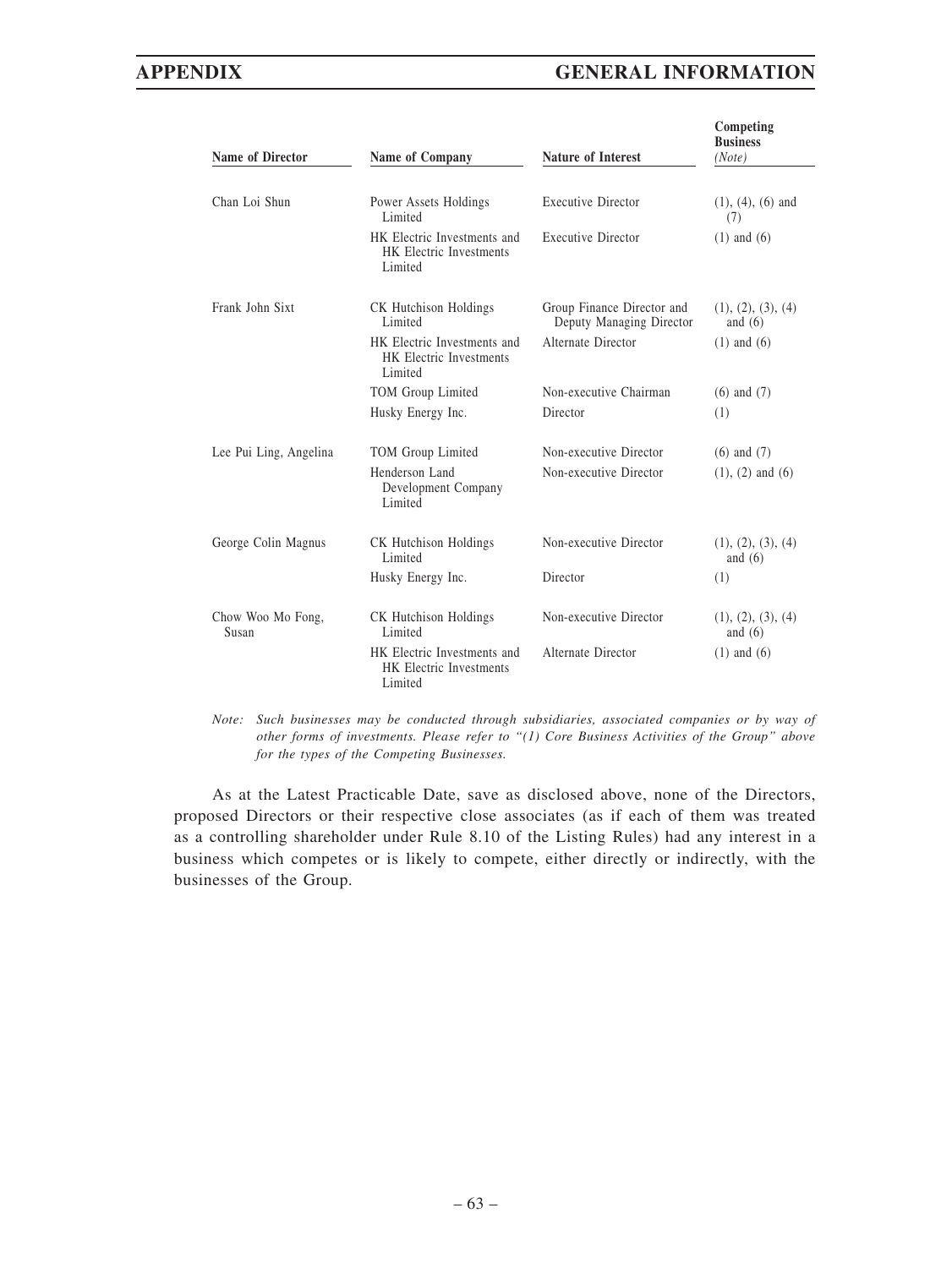# **APPENDIX GENERAL INFORMATION**

| <b>Name of Director</b>    | Name of Company                                                          | <b>Nature of Interest</b>                              | Competing<br><b>Business</b><br>(Note) |
|----------------------------|--------------------------------------------------------------------------|--------------------------------------------------------|----------------------------------------|
| Chan Loi Shun              | Power Assets Holdings<br>Limited                                         | <b>Executive Director</b>                              | $(1), (4), (6)$ and<br>(7)             |
|                            | HK Electric Investments and<br><b>HK</b> Electric Investments<br>Limited | <b>Executive Director</b>                              | $(1)$ and $(6)$                        |
| Frank John Sixt            | CK Hutchison Holdings<br>Limited                                         | Group Finance Director and<br>Deputy Managing Director | (1), (2), (3), (4)<br>and $(6)$        |
|                            | HK Electric Investments and<br><b>HK Electric Investments</b><br>Limited | Alternate Director                                     | $(1)$ and $(6)$                        |
|                            | TOM Group Limited                                                        | Non-executive Chairman                                 | $(6)$ and $(7)$                        |
|                            | Husky Energy Inc.                                                        | Director                                               | (1)                                    |
| Lee Pui Ling, Angelina     | TOM Group Limited                                                        | Non-executive Director                                 | $(6)$ and $(7)$                        |
|                            | Henderson Land<br>Development Company<br>Limited                         | Non-executive Director                                 | $(1)$ , $(2)$ and $(6)$                |
| George Colin Magnus        | CK Hutchison Holdings<br>Limited                                         | Non-executive Director                                 | (1), (2), (3), (4)<br>and $(6)$        |
|                            | Husky Energy Inc.                                                        | Director                                               | (1)                                    |
| Chow Woo Mo Fong,<br>Susan | CK Hutchison Holdings<br>Limited                                         | Non-executive Director                                 | (1), (2), (3), (4)<br>and $(6)$        |
|                            | HK Electric Investments and<br><b>HK</b> Electric Investments<br>Limited | Alternate Director                                     | $(1)$ and $(6)$                        |

*Note: Such businesses may be conducted through subsidiaries, associated companies or by way of other forms of investments. Please refer to "(1) Core Business Activities of the Group" above for the types of the Competing Businesses.*

As at the Latest Practicable Date, save as disclosed above, none of the Directors, proposed Directors or their respective close associates (as if each of them was treated as a controlling shareholder under Rule 8.10 of the Listing Rules) had any interest in a business which competes or is likely to compete, either directly or indirectly, with the businesses of the Group.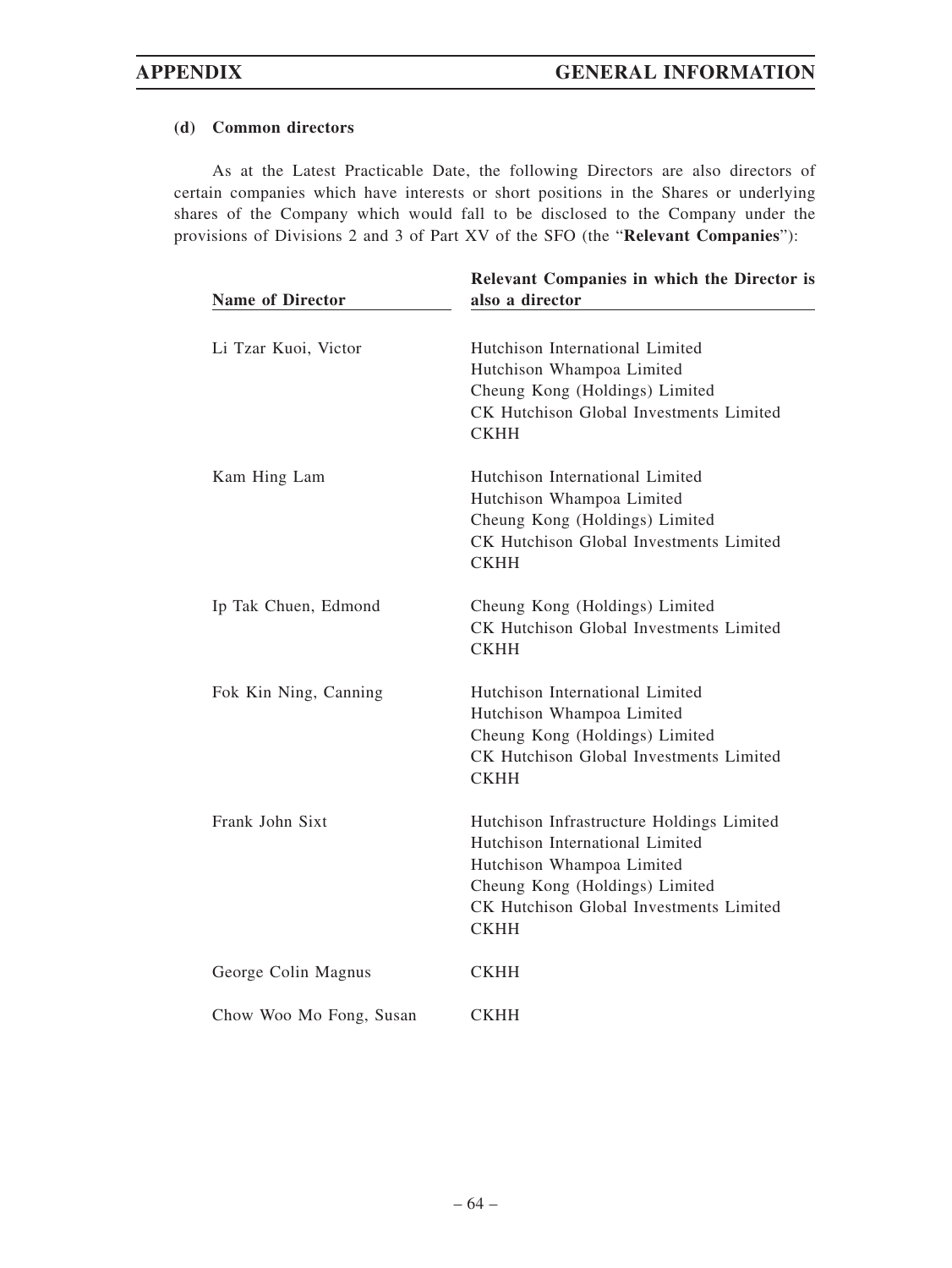### **(d) Common directors**

As at the Latest Practicable Date, the following Directors are also directors of certain companies which have interests or short positions in the Shares or underlying shares of the Company which would fall to be disclosed to the Company under the provisions of Divisions 2 and 3 of Part XV of the SFO (the "**Relevant Companies**"):

| <b>Name of Director</b> | Relevant Companies in which the Director is<br>also a director                                                                                                                                        |
|-------------------------|-------------------------------------------------------------------------------------------------------------------------------------------------------------------------------------------------------|
| Li Tzar Kuoi, Victor    | Hutchison International Limited<br>Hutchison Whampoa Limited<br>Cheung Kong (Holdings) Limited<br>CK Hutchison Global Investments Limited<br><b>CKHH</b>                                              |
| Kam Hing Lam            | Hutchison International Limited<br>Hutchison Whampoa Limited<br>Cheung Kong (Holdings) Limited<br>CK Hutchison Global Investments Limited<br><b>CKHH</b>                                              |
| Ip Tak Chuen, Edmond    | Cheung Kong (Holdings) Limited<br>CK Hutchison Global Investments Limited<br><b>CKHH</b>                                                                                                              |
| Fok Kin Ning, Canning   | Hutchison International Limited<br>Hutchison Whampoa Limited<br>Cheung Kong (Holdings) Limited<br>CK Hutchison Global Investments Limited<br><b>CKHH</b>                                              |
| Frank John Sixt         | Hutchison Infrastructure Holdings Limited<br>Hutchison International Limited<br>Hutchison Whampoa Limited<br>Cheung Kong (Holdings) Limited<br>CK Hutchison Global Investments Limited<br><b>CKHH</b> |
| George Colin Magnus     | <b>CKHH</b>                                                                                                                                                                                           |
| Chow Woo Mo Fong, Susan | <b>CKHH</b>                                                                                                                                                                                           |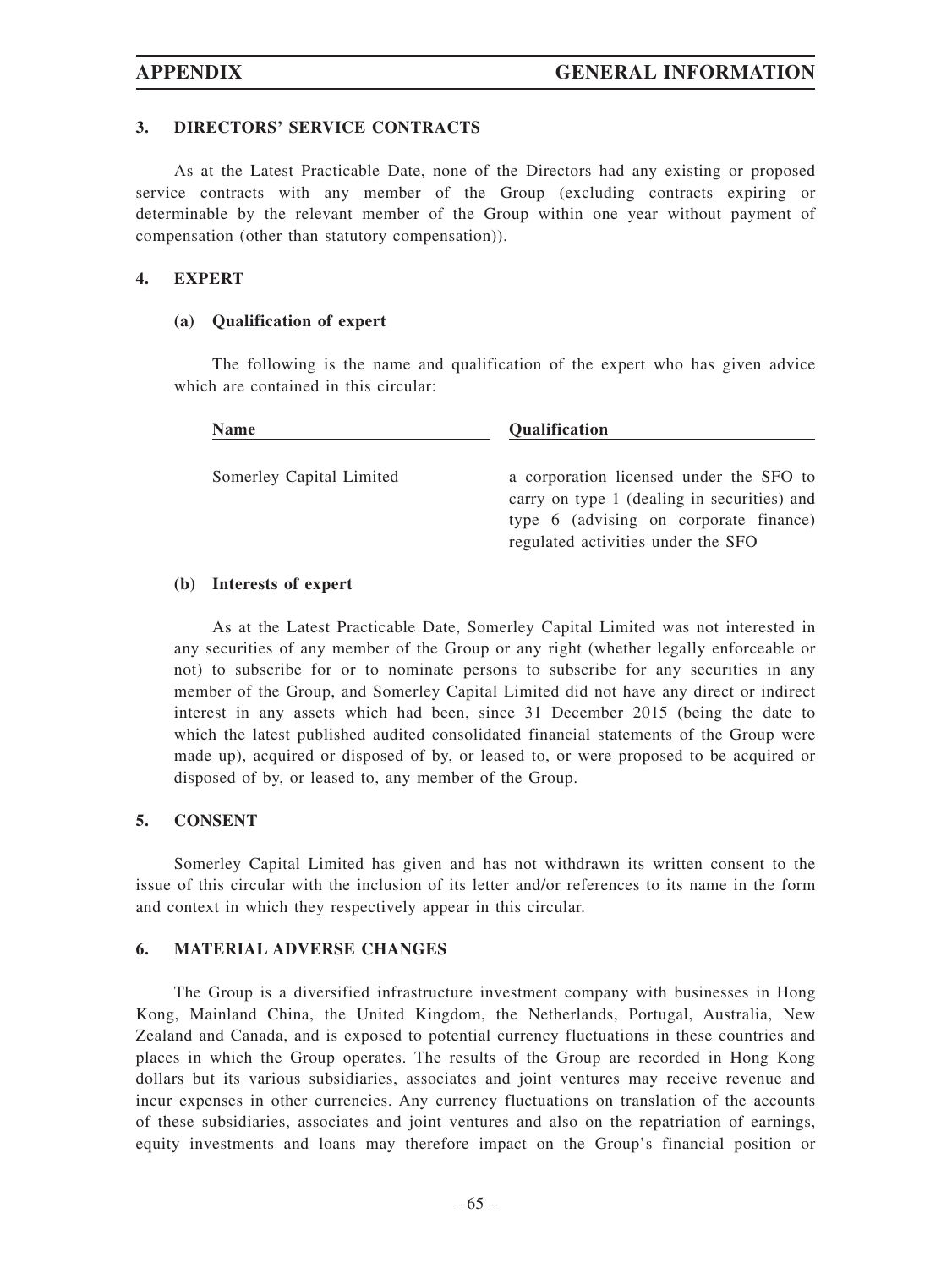### **3. DIRECTORS' SERVICE CONTRACTS**

As at the Latest Practicable Date, none of the Directors had any existing or proposed service contracts with any member of the Group (excluding contracts expiring or determinable by the relevant member of the Group within one year without payment of compensation (other than statutory compensation)).

#### **4. EXPERT**

#### **(a) Qualification of expert**

The following is the name and qualification of the expert who has given advice which are contained in this circular:

| <b>Name</b>              | Qualification                               |
|--------------------------|---------------------------------------------|
| Somerley Capital Limited | a corporation licensed under the SFO to     |
|                          | carry on type 1 (dealing in securities) and |
|                          | type 6 (advising on corporate finance)      |
|                          | regulated activities under the SFO          |

#### **(b) Interests of expert**

As at the Latest Practicable Date, Somerley Capital Limited was not interested in any securities of any member of the Group or any right (whether legally enforceable or not) to subscribe for or to nominate persons to subscribe for any securities in any member of the Group, and Somerley Capital Limited did not have any direct or indirect interest in any assets which had been, since 31 December 2015 (being the date to which the latest published audited consolidated financial statements of the Group were made up), acquired or disposed of by, or leased to, or were proposed to be acquired or disposed of by, or leased to, any member of the Group.

#### **5. CONSENT**

Somerley Capital Limited has given and has not withdrawn its written consent to the issue of this circular with the inclusion of its letter and/or references to its name in the form and context in which they respectively appear in this circular.

#### **6. MATERIAL ADVERSE CHANGES**

The Group is a diversified infrastructure investment company with businesses in Hong Kong, Mainland China, the United Kingdom, the Netherlands, Portugal, Australia, New Zealand and Canada, and is exposed to potential currency fluctuations in these countries and places in which the Group operates. The results of the Group are recorded in Hong Kong dollars but its various subsidiaries, associates and joint ventures may receive revenue and incur expenses in other currencies. Any currency fluctuations on translation of the accounts of these subsidiaries, associates and joint ventures and also on the repatriation of earnings, equity investments and loans may therefore impact on the Group's financial position or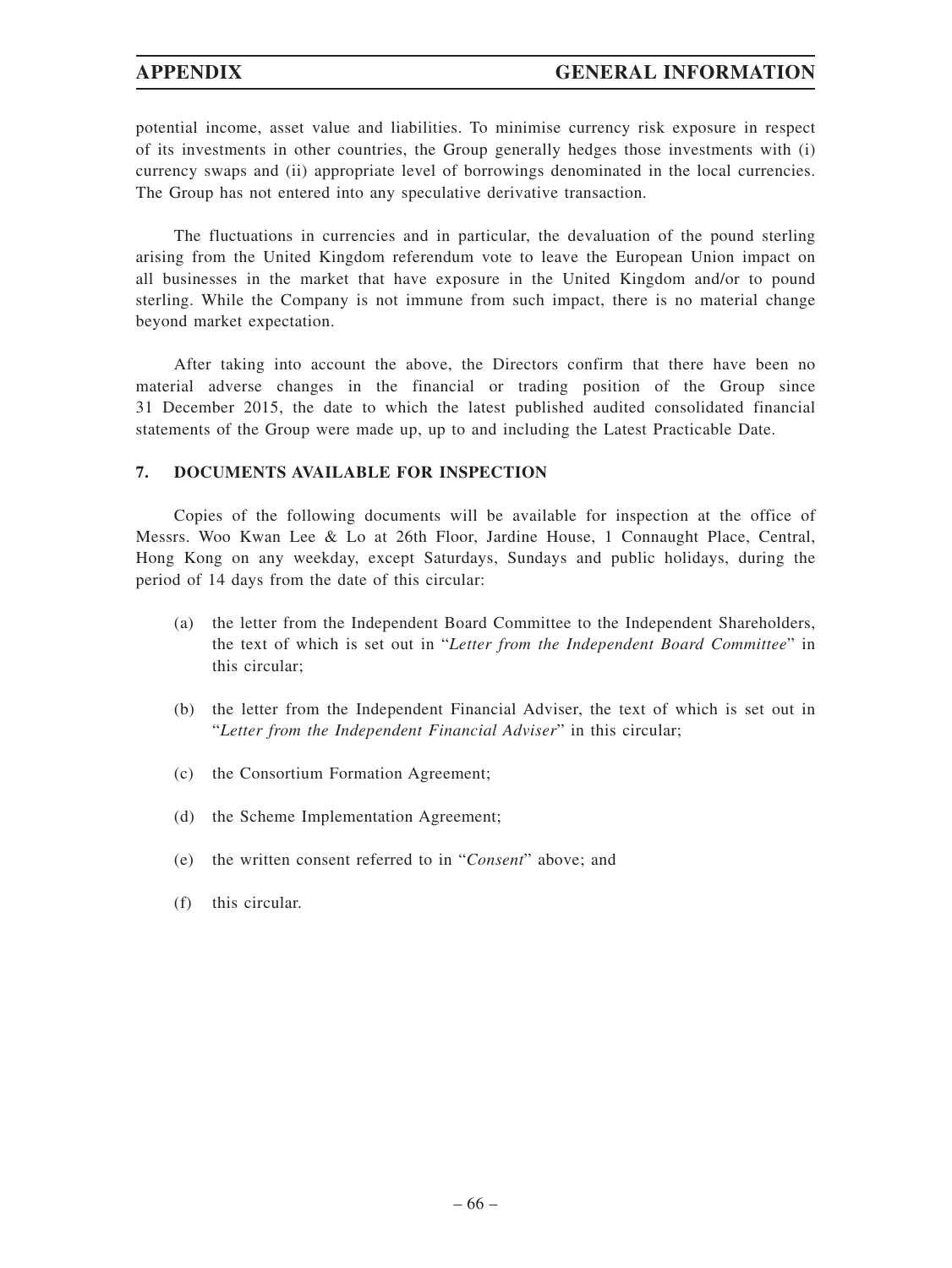potential income, asset value and liabilities. To minimise currency risk exposure in respect of its investments in other countries, the Group generally hedges those investments with (i) currency swaps and (ii) appropriate level of borrowings denominated in the local currencies. The Group has not entered into any speculative derivative transaction.

The fluctuations in currencies and in particular, the devaluation of the pound sterling arising from the United Kingdom referendum vote to leave the European Union impact on all businesses in the market that have exposure in the United Kingdom and/or to pound sterling. While the Company is not immune from such impact, there is no material change beyond market expectation.

After taking into account the above, the Directors confirm that there have been no material adverse changes in the financial or trading position of the Group since 31 December 2015, the date to which the latest published audited consolidated financial statements of the Group were made up, up to and including the Latest Practicable Date.

#### **7. DOCUMENTS AVAILABLE FOR INSPECTION**

Copies of the following documents will be available for inspection at the office of Messrs. Woo Kwan Lee & Lo at 26th Floor, Jardine House, 1 Connaught Place, Central, Hong Kong on any weekday, except Saturdays, Sundays and public holidays, during the period of 14 days from the date of this circular:

- (a) the letter from the Independent Board Committee to the Independent Shareholders, the text of which is set out in "*Letter from the Independent Board Committee*" in this circular;
- (b) the letter from the Independent Financial Adviser, the text of which is set out in "*Letter from the Independent Financial Adviser*" in this circular;
- (c) the Consortium Formation Agreement;
- (d) the Scheme Implementation Agreement;
- (e) the written consent referred to in "*Consent*" above; and
- (f) this circular.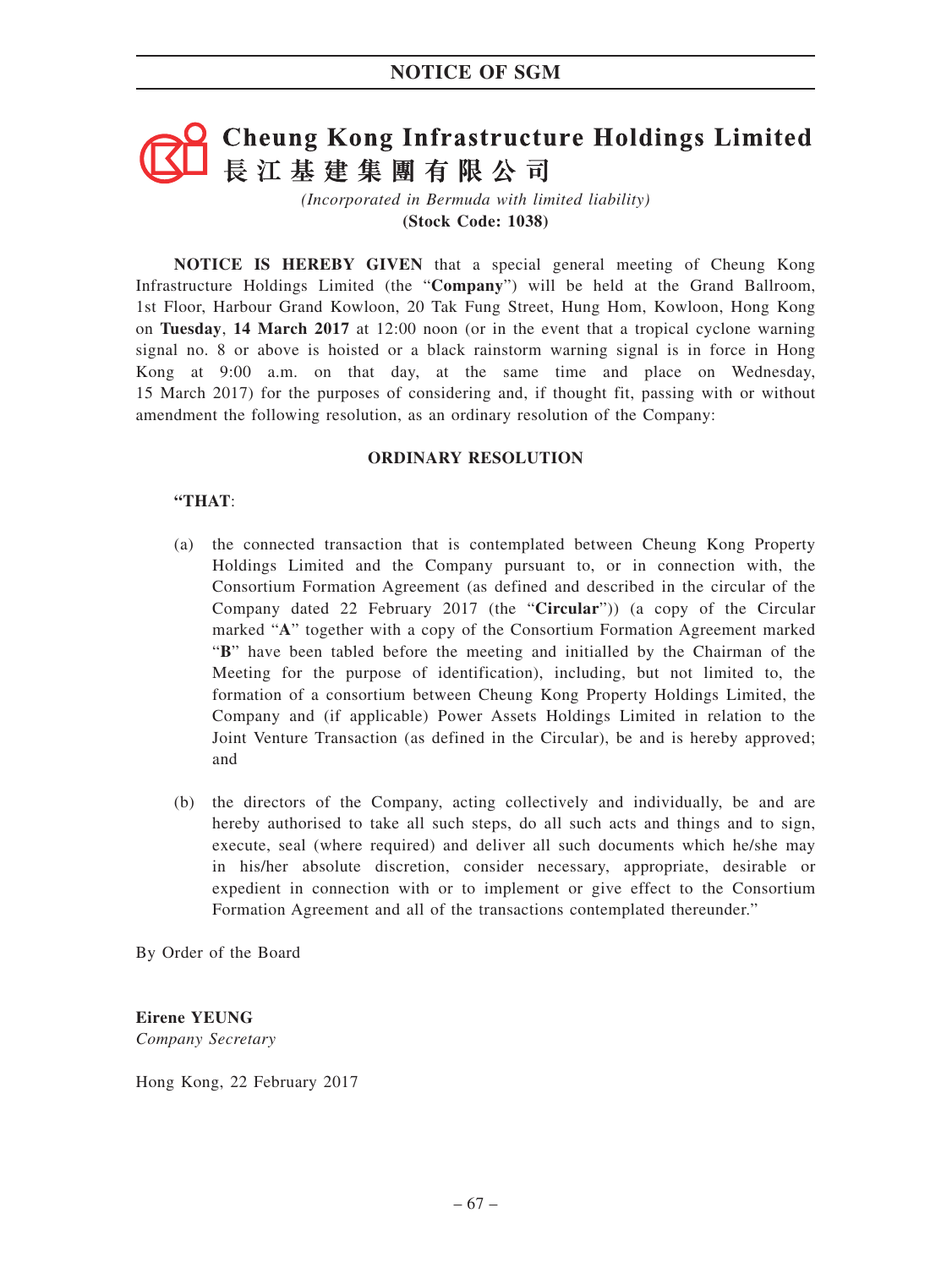# **Cheung Kong Infrastructure Holdings Limited** 長江基建集團有限公司

*(Incorporated in Bermuda with limited liability)* **(Stock Code: 1038)**

**NOTICE IS HEREBY GIVEN** that a special general meeting of Cheung Kong Infrastructure Holdings Limited (the "**Company**") will be held at the Grand Ballroom, 1st Floor, Harbour Grand Kowloon, 20 Tak Fung Street, Hung Hom, Kowloon, Hong Kong on **Tuesday**, **14 March 2017** at 12:00 noon (or in the event that a tropical cyclone warning signal no. 8 or above is hoisted or a black rainstorm warning signal is in force in Hong Kong at 9:00 a.m. on that day, at the same time and place on Wednesday, 15 March 2017) for the purposes of considering and, if thought fit, passing with or without amendment the following resolution, as an ordinary resolution of the Company:

#### **ORDINARY RESOLUTION**

### **"THAT**:

- (a) the connected transaction that is contemplated between Cheung Kong Property Holdings Limited and the Company pursuant to, or in connection with, the Consortium Formation Agreement (as defined and described in the circular of the Company dated 22 February 2017 (the "**Circular**")) (a copy of the Circular marked "**A**" together with a copy of the Consortium Formation Agreement marked "**B**" have been tabled before the meeting and initialled by the Chairman of the Meeting for the purpose of identification), including, but not limited to, the formation of a consortium between Cheung Kong Property Holdings Limited, the Company and (if applicable) Power Assets Holdings Limited in relation to the Joint Venture Transaction (as defined in the Circular), be and is hereby approved; and
- (b) the directors of the Company, acting collectively and individually, be and are hereby authorised to take all such steps, do all such acts and things and to sign, execute, seal (where required) and deliver all such documents which he/she may in his/her absolute discretion, consider necessary, appropriate, desirable or expedient in connection with or to implement or give effect to the Consortium Formation Agreement and all of the transactions contemplated thereunder."

By Order of the Board

**Eirene YEUNG** *Company Secretary*

Hong Kong, 22 February 2017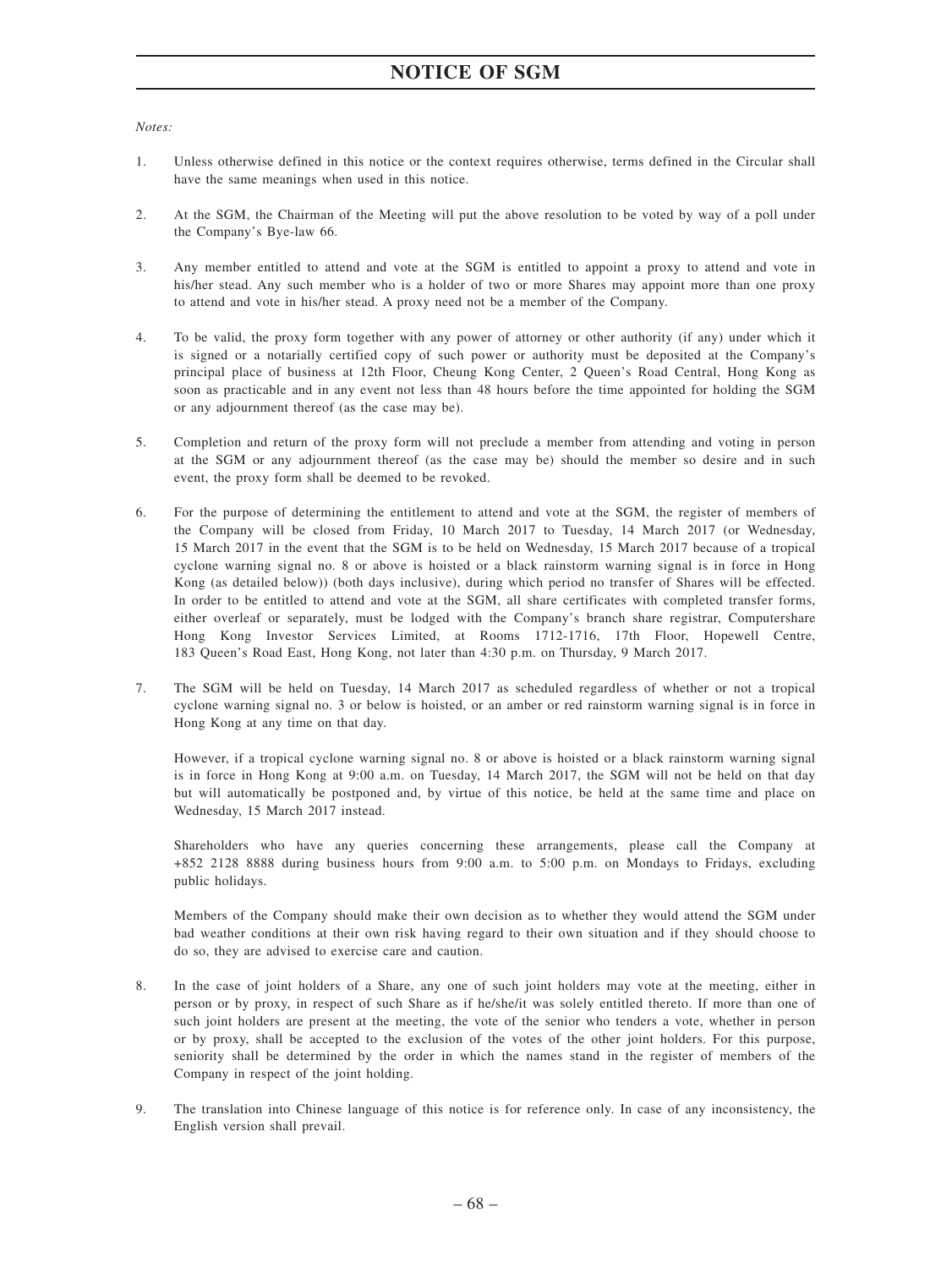# **NOTICE OF SGM**

*Notes:*

- 1. Unless otherwise defined in this notice or the context requires otherwise, terms defined in the Circular shall have the same meanings when used in this notice.
- 2. At the SGM, the Chairman of the Meeting will put the above resolution to be voted by way of a poll under the Company's Bye-law 66.
- 3. Any member entitled to attend and vote at the SGM is entitled to appoint a proxy to attend and vote in his/her stead. Any such member who is a holder of two or more Shares may appoint more than one proxy to attend and vote in his/her stead. A proxy need not be a member of the Company.
- 4. To be valid, the proxy form together with any power of attorney or other authority (if any) under which it is signed or a notarially certified copy of such power or authority must be deposited at the Company's principal place of business at 12th Floor, Cheung Kong Center, 2 Queen's Road Central, Hong Kong as soon as practicable and in any event not less than 48 hours before the time appointed for holding the SGM or any adjournment thereof (as the case may be).
- 5. Completion and return of the proxy form will not preclude a member from attending and voting in person at the SGM or any adjournment thereof (as the case may be) should the member so desire and in such event, the proxy form shall be deemed to be revoked.
- 6. For the purpose of determining the entitlement to attend and vote at the SGM, the register of members of the Company will be closed from Friday, 10 March 2017 to Tuesday, 14 March 2017 (or Wednesday, 15 March 2017 in the event that the SGM is to be held on Wednesday, 15 March 2017 because of a tropical cyclone warning signal no. 8 or above is hoisted or a black rainstorm warning signal is in force in Hong Kong (as detailed below)) (both days inclusive), during which period no transfer of Shares will be effected. In order to be entitled to attend and vote at the SGM, all share certificates with completed transfer forms, either overleaf or separately, must be lodged with the Company's branch share registrar, Computershare Hong Kong Investor Services Limited, at Rooms 1712-1716, 17th Floor, Hopewell Centre, 183 Queen's Road East, Hong Kong, not later than 4:30 p.m. on Thursday, 9 March 2017.
- 7. The SGM will be held on Tuesday, 14 March 2017 as scheduled regardless of whether or not a tropical cyclone warning signal no. 3 or below is hoisted, or an amber or red rainstorm warning signal is in force in Hong Kong at any time on that day.

However, if a tropical cyclone warning signal no. 8 or above is hoisted or a black rainstorm warning signal is in force in Hong Kong at 9:00 a.m. on Tuesday, 14 March 2017, the SGM will not be held on that day but will automatically be postponed and, by virtue of this notice, be held at the same time and place on Wednesday, 15 March 2017 instead.

Shareholders who have any queries concerning these arrangements, please call the Company at +852 2128 8888 during business hours from 9:00 a.m. to 5:00 p.m. on Mondays to Fridays, excluding public holidays.

Members of the Company should make their own decision as to whether they would attend the SGM under bad weather conditions at their own risk having regard to their own situation and if they should choose to do so, they are advised to exercise care and caution.

- 8. In the case of joint holders of a Share, any one of such joint holders may vote at the meeting, either in person or by proxy, in respect of such Share as if he/she/it was solely entitled thereto. If more than one of such joint holders are present at the meeting, the vote of the senior who tenders a vote, whether in person or by proxy, shall be accepted to the exclusion of the votes of the other joint holders. For this purpose, seniority shall be determined by the order in which the names stand in the register of members of the Company in respect of the joint holding.
- 9. The translation into Chinese language of this notice is for reference only. In case of any inconsistency, the English version shall prevail.